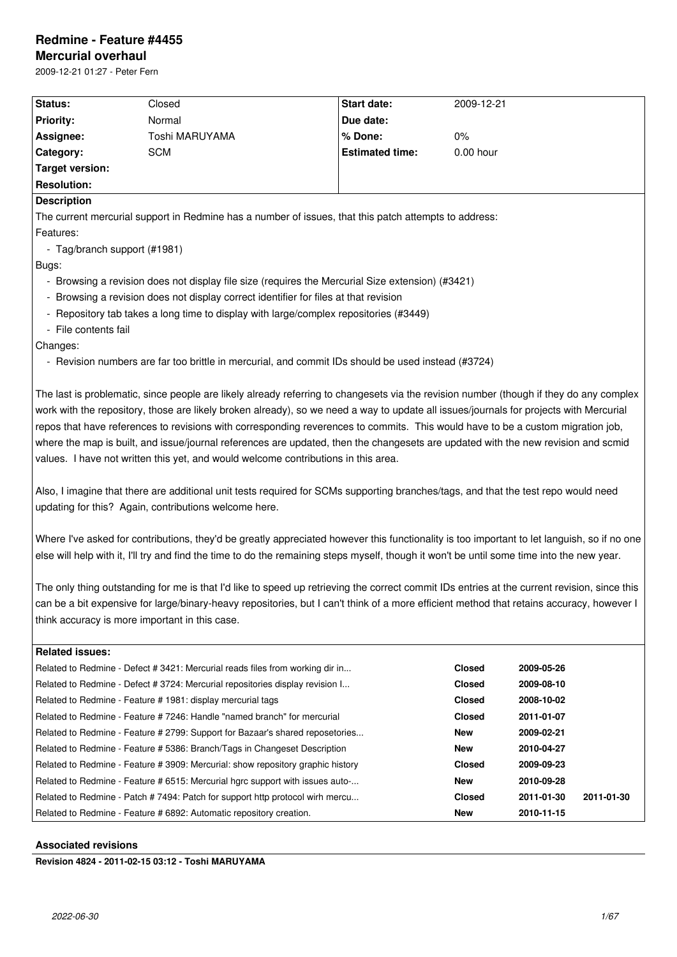# **Redmine - Feature #4455**

# **Mercurial overhaul**

2009-12-21 01:27 - Peter Fern

| Status:                      | Closed                                                                                                                                                                                                                                                                                                                                                                                                                                                                                                                                                                                                                                                                                                                                                                                                                                                                                                                                                                                                                                                             | <b>Start date:</b>     | 2009-12-21           |                          |  |
|------------------------------|--------------------------------------------------------------------------------------------------------------------------------------------------------------------------------------------------------------------------------------------------------------------------------------------------------------------------------------------------------------------------------------------------------------------------------------------------------------------------------------------------------------------------------------------------------------------------------------------------------------------------------------------------------------------------------------------------------------------------------------------------------------------------------------------------------------------------------------------------------------------------------------------------------------------------------------------------------------------------------------------------------------------------------------------------------------------|------------------------|----------------------|--------------------------|--|
| <b>Priority:</b>             | Normal                                                                                                                                                                                                                                                                                                                                                                                                                                                                                                                                                                                                                                                                                                                                                                                                                                                                                                                                                                                                                                                             | Due date:              |                      |                          |  |
| Assignee:                    | Toshi MARUYAMA                                                                                                                                                                                                                                                                                                                                                                                                                                                                                                                                                                                                                                                                                                                                                                                                                                                                                                                                                                                                                                                     | % Done:                | $0\%$                |                          |  |
| Category:                    | <b>SCM</b>                                                                                                                                                                                                                                                                                                                                                                                                                                                                                                                                                                                                                                                                                                                                                                                                                                                                                                                                                                                                                                                         | <b>Estimated time:</b> | 0.00 hour            |                          |  |
| <b>Target version:</b>       |                                                                                                                                                                                                                                                                                                                                                                                                                                                                                                                                                                                                                                                                                                                                                                                                                                                                                                                                                                                                                                                                    |                        |                      |                          |  |
| <b>Resolution:</b>           |                                                                                                                                                                                                                                                                                                                                                                                                                                                                                                                                                                                                                                                                                                                                                                                                                                                                                                                                                                                                                                                                    |                        |                      |                          |  |
| <b>Description</b>           |                                                                                                                                                                                                                                                                                                                                                                                                                                                                                                                                                                                                                                                                                                                                                                                                                                                                                                                                                                                                                                                                    |                        |                      |                          |  |
|                              | The current mercurial support in Redmine has a number of issues, that this patch attempts to address:                                                                                                                                                                                                                                                                                                                                                                                                                                                                                                                                                                                                                                                                                                                                                                                                                                                                                                                                                              |                        |                      |                          |  |
| Features:                    |                                                                                                                                                                                                                                                                                                                                                                                                                                                                                                                                                                                                                                                                                                                                                                                                                                                                                                                                                                                                                                                                    |                        |                      |                          |  |
| - Tag/branch support (#1981) |                                                                                                                                                                                                                                                                                                                                                                                                                                                                                                                                                                                                                                                                                                                                                                                                                                                                                                                                                                                                                                                                    |                        |                      |                          |  |
| Bugs:                        |                                                                                                                                                                                                                                                                                                                                                                                                                                                                                                                                                                                                                                                                                                                                                                                                                                                                                                                                                                                                                                                                    |                        |                      |                          |  |
|                              | - Browsing a revision does not display file size (requires the Mercurial Size extension) (#3421)                                                                                                                                                                                                                                                                                                                                                                                                                                                                                                                                                                                                                                                                                                                                                                                                                                                                                                                                                                   |                        |                      |                          |  |
|                              | Browsing a revision does not display correct identifier for files at that revision                                                                                                                                                                                                                                                                                                                                                                                                                                                                                                                                                                                                                                                                                                                                                                                                                                                                                                                                                                                 |                        |                      |                          |  |
|                              | - Repository tab takes a long time to display with large/complex repositories (#3449)                                                                                                                                                                                                                                                                                                                                                                                                                                                                                                                                                                                                                                                                                                                                                                                                                                                                                                                                                                              |                        |                      |                          |  |
| - File contents fail         |                                                                                                                                                                                                                                                                                                                                                                                                                                                                                                                                                                                                                                                                                                                                                                                                                                                                                                                                                                                                                                                                    |                        |                      |                          |  |
| Changes:                     |                                                                                                                                                                                                                                                                                                                                                                                                                                                                                                                                                                                                                                                                                                                                                                                                                                                                                                                                                                                                                                                                    |                        |                      |                          |  |
|                              | - Revision numbers are far too brittle in mercurial, and commit IDs should be used instead (#3724)                                                                                                                                                                                                                                                                                                                                                                                                                                                                                                                                                                                                                                                                                                                                                                                                                                                                                                                                                                 |                        |                      |                          |  |
|                              | The last is problematic, since people are likely already referring to changesets via the revision number (though if they do any complex<br>work with the repository, those are likely broken already), so we need a way to update all issues/journals for projects with Mercurial<br>repos that have references to revisions with corresponding reverences to commits. This would have to be a custom migration job,                                                                                                                                                                                                                                                                                                                                                                                                                                                                                                                                                                                                                                               |                        |                      |                          |  |
|                              | where the map is built, and issue/journal references are updated, then the changesets are updated with the new revision and scmid<br>values. I have not written this yet, and would welcome contributions in this area.<br>Also, I imagine that there are additional unit tests required for SCMs supporting branches/tags, and that the test repo would need<br>updating for this? Again, contributions welcome here.<br>Where I've asked for contributions, they'd be greatly appreciated however this functionality is too important to let languish, so if no one<br>else will help with it, I'll try and find the time to do the remaining steps myself, though it won't be until some time into the new year.<br>The only thing outstanding for me is that I'd like to speed up retrieving the correct commit IDs entries at the current revision, since this<br>can be a bit expensive for large/binary-heavy repositories, but I can't think of a more efficient method that retains accuracy, however I<br>think accuracy is more important in this case. |                        |                      |                          |  |
|                              |                                                                                                                                                                                                                                                                                                                                                                                                                                                                                                                                                                                                                                                                                                                                                                                                                                                                                                                                                                                                                                                                    |                        |                      |                          |  |
|                              |                                                                                                                                                                                                                                                                                                                                                                                                                                                                                                                                                                                                                                                                                                                                                                                                                                                                                                                                                                                                                                                                    |                        |                      |                          |  |
|                              | Related to Redmine - Defect # 3421: Mercurial reads files from working dir in                                                                                                                                                                                                                                                                                                                                                                                                                                                                                                                                                                                                                                                                                                                                                                                                                                                                                                                                                                                      |                        | Closed               | 2009-05-26               |  |
| <b>Related issues:</b>       | Related to Redmine - Defect # 3724: Mercurial repositories display revision I                                                                                                                                                                                                                                                                                                                                                                                                                                                                                                                                                                                                                                                                                                                                                                                                                                                                                                                                                                                      |                        | <b>Closed</b>        | 2009-08-10               |  |
|                              | Related to Redmine - Feature # 1981: display mercurial tags                                                                                                                                                                                                                                                                                                                                                                                                                                                                                                                                                                                                                                                                                                                                                                                                                                                                                                                                                                                                        |                        | Closed               | 2008-10-02               |  |
|                              | Related to Redmine - Feature # 7246: Handle "named branch" for mercurial                                                                                                                                                                                                                                                                                                                                                                                                                                                                                                                                                                                                                                                                                                                                                                                                                                                                                                                                                                                           |                        | Closed               | 2011-01-07               |  |
|                              | Related to Redmine - Feature # 2799: Support for Bazaar's shared reposetories                                                                                                                                                                                                                                                                                                                                                                                                                                                                                                                                                                                                                                                                                                                                                                                                                                                                                                                                                                                      |                        | New                  | 2009-02-21               |  |
|                              | Related to Redmine - Feature # 5386: Branch/Tags in Changeset Description                                                                                                                                                                                                                                                                                                                                                                                                                                                                                                                                                                                                                                                                                                                                                                                                                                                                                                                                                                                          |                        | New                  | 2010-04-27               |  |
|                              | Related to Redmine - Feature # 3909: Mercurial: show repository graphic history<br>Related to Redmine - Feature # 6515: Mercurial hgrc support with issues auto-                                                                                                                                                                                                                                                                                                                                                                                                                                                                                                                                                                                                                                                                                                                                                                                                                                                                                                   |                        | <b>Closed</b><br>New | 2009-09-23<br>2010-09-28 |  |

Related to Redmine - Feature # 6892: Automatic repository creation. **New 1998** New 2010-11-15

## **Associated revisions**

**Revision 4824 - 2011-02-15 03:12 - Toshi MARUYAMA**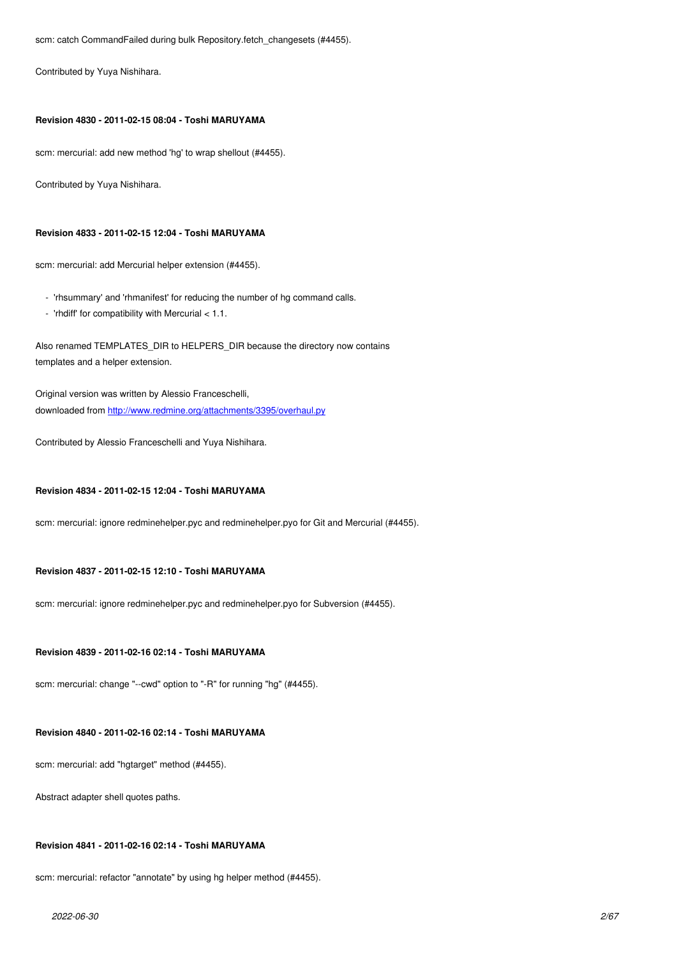## **Revision 4830 - 2011-02-15 08:04 - Toshi MARUYAMA**

scm: mercurial: add new method 'hg' to wrap shellout (#4455).

Contributed by Yuya Nishihara.

## **Revision 4833 - 2011-02-15 12:04 - Toshi MARUYAMA**

scm: mercurial: add Mercurial helper extension (#4455).

- 'rhsummary' and 'rhmanifest' for reducing the number of hg command calls.
- 'rhdiff' for compatibility with Mercurial < 1.1.

Also renamed TEMPLATES DIR to HELPERS DIR because the directory now contains templates and a helper extension.

Original version was written by Alessio Franceschelli, downloaded from http://www.redmine.org/attachments/3395/overhaul.py

Contributed by Alessio Franceschelli and Yuya Nishihara.

## **Revision 4834 - 2011-02-15 12:04 - Toshi MARUYAMA**

scm: mercurial: ignore redminehelper.pyc and redminehelper.pyo for Git and Mercurial (#4455).

## **Revision 4837 - 2011-02-15 12:10 - Toshi MARUYAMA**

scm: mercurial: ignore redminehelper.pyc and redminehelper.pyo for Subversion (#4455).

## **Revision 4839 - 2011-02-16 02:14 - Toshi MARUYAMA**

scm: mercurial: change "--cwd" option to "-R" for running "hg" (#4455).

## **Revision 4840 - 2011-02-16 02:14 - Toshi MARUYAMA**

scm: mercurial: add "hgtarget" method (#4455).

Abstract adapter shell quotes paths.

## **Revision 4841 - 2011-02-16 02:14 - Toshi MARUYAMA**

scm: mercurial: refactor "annotate" by using hg helper method (#4455).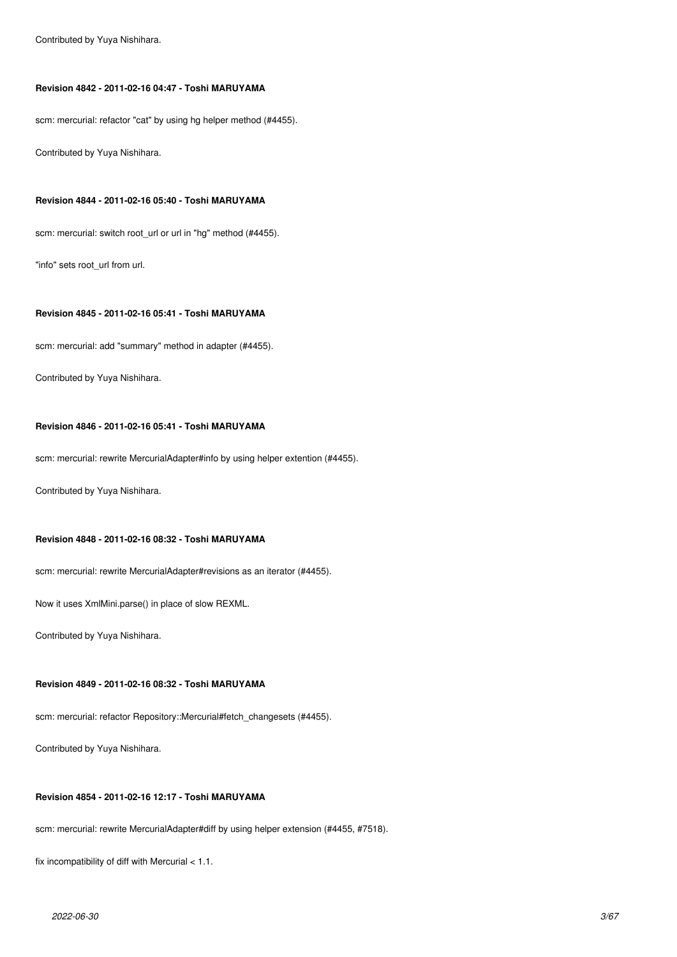Contributed by Yuya Nishihara.

## **Revision 4842 - 2011-02-16 04:47 - Toshi MARUYAMA**

scm: mercurial: refactor "cat" by using hg helper method (#4455).

Contributed by Yuya Nishihara.

### **Revision 4844 - 2011-02-16 05:40 - Toshi MARUYAMA**

scm: mercurial: switch root url or url in "hg" method (#4455).

"info" sets root\_url from url.

#### **Revision 4845 - 2011-02-16 05:41 - Toshi MARUYAMA**

scm: mercurial: add "summary" method in adapter (#4455).

Contributed by Yuya Nishihara.

### **Revision 4846 - 2011-02-16 05:41 - Toshi MARUYAMA**

scm: mercurial: rewrite MercurialAdapter#info by using helper extention (#4455).

Contributed by Yuya Nishihara.

### **Revision 4848 - 2011-02-16 08:32 - Toshi MARUYAMA**

scm: mercurial: rewrite MercurialAdapter#revisions as an iterator (#4455).

Now it uses XmlMini.parse() in place of slow REXML.

Contributed by Yuya Nishihara.

## **Revision 4849 - 2011-02-16 08:32 - Toshi MARUYAMA**

scm: mercurial: refactor Repository::Mercurial#fetch\_changesets (#4455).

Contributed by Yuya Nishihara.

## **Revision 4854 - 2011-02-16 12:17 - Toshi MARUYAMA**

scm: mercurial: rewrite MercurialAdapter#diff by using helper extension (#4455, #7518).

fix incompatibility of diff with Mercurial < 1.1.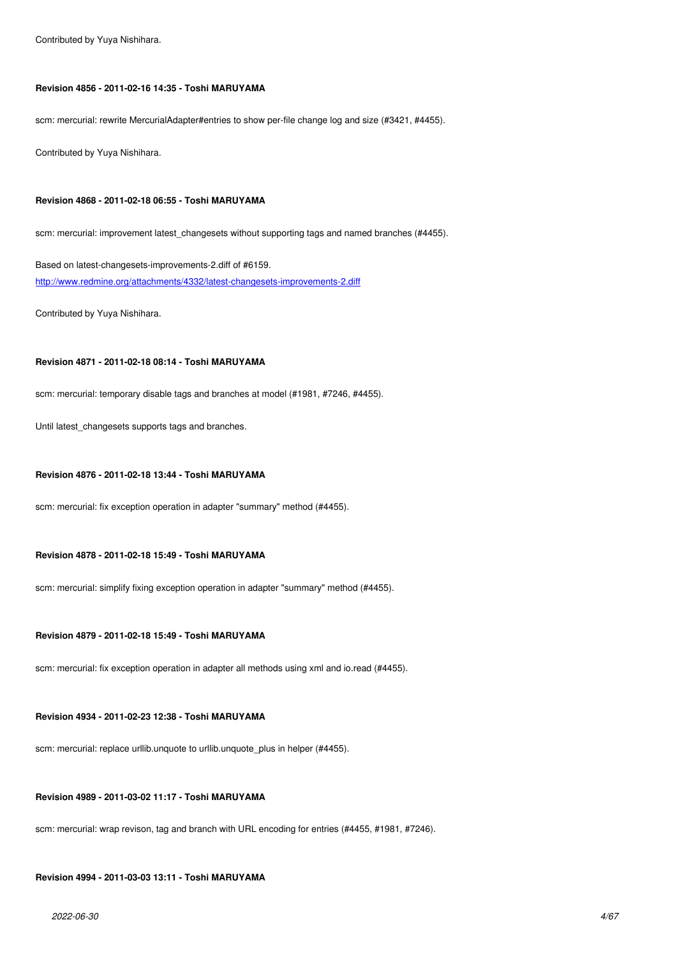### **Revision 4856 - 2011-02-16 14:35 - Toshi MARUYAMA**

scm: mercurial: rewrite MercurialAdapter#entries to show per-file change log and size (#3421, #4455).

Contributed by Yuya Nishihara.

### **Revision 4868 - 2011-02-18 06:55 - Toshi MARUYAMA**

scm: mercurial: improvement latest\_changesets without supporting tags and named branches (#4455).

Based on latest-changesets-improvements-2.diff of #6159. http://www.redmine.org/attachments/4332/latest-changesets-improvements-2.diff

Contributed by Yuya Nishihara.

### **Revision 4871 - 2011-02-18 08:14 - Toshi MARUYAMA**

scm: mercurial: temporary disable tags and branches at model (#1981, #7246, #4455).

Until latest\_changesets supports tags and branches.

### **Revision 4876 - 2011-02-18 13:44 - Toshi MARUYAMA**

scm: mercurial: fix exception operation in adapter "summary" method (#4455).

#### **Revision 4878 - 2011-02-18 15:49 - Toshi MARUYAMA**

scm: mercurial: simplify fixing exception operation in adapter "summary" method (#4455).

### **Revision 4879 - 2011-02-18 15:49 - Toshi MARUYAMA**

scm: mercurial: fix exception operation in adapter all methods using xml and io.read (#4455).

### **Revision 4934 - 2011-02-23 12:38 - Toshi MARUYAMA**

scm: mercurial: replace urllib.unquote to urllib.unquote\_plus in helper (#4455).

### **Revision 4989 - 2011-03-02 11:17 - Toshi MARUYAMA**

scm: mercurial: wrap revison, tag and branch with URL encoding for entries (#4455, #1981, #7246).

### **Revision 4994 - 2011-03-03 13:11 - Toshi MARUYAMA**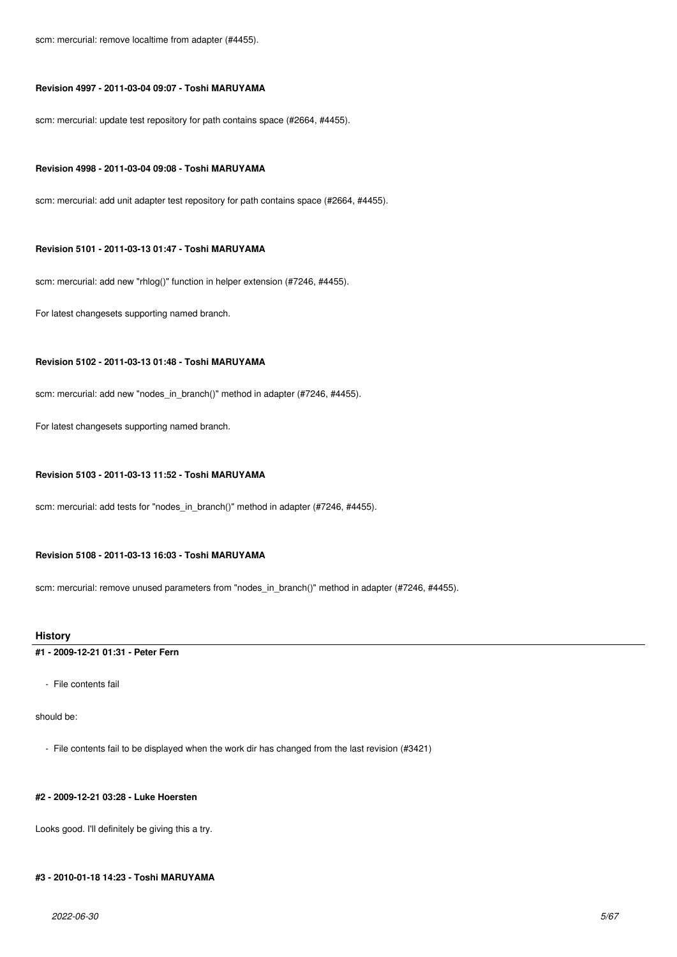scm: mercurial: remove localtime from adapter (#4455).

## **Revision 4997 - 2011-03-04 09:07 - Toshi MARUYAMA**

scm: mercurial: update test repository for path contains space (#2664, #4455).

#### **Revision 4998 - 2011-03-04 09:08 - Toshi MARUYAMA**

scm: mercurial: add unit adapter test repository for path contains space (#2664, #4455).

#### **Revision 5101 - 2011-03-13 01:47 - Toshi MARUYAMA**

scm: mercurial: add new "rhlog()" function in helper extension (#7246, #4455).

For latest changesets supporting named branch.

## **Revision 5102 - 2011-03-13 01:48 - Toshi MARUYAMA**

scm: mercurial: add new "nodes in branch()" method in adapter (#7246, #4455).

For latest changesets supporting named branch.

### **Revision 5103 - 2011-03-13 11:52 - Toshi MARUYAMA**

scm: mercurial: add tests for "nodes\_in\_branch()" method in adapter (#7246, #4455).

## **Revision 5108 - 2011-03-13 16:03 - Toshi MARUYAMA**

scm: mercurial: remove unused parameters from "nodes\_in\_branch()" method in adapter (#7246, #4455).

### **History**

## **#1 - 2009-12-21 01:31 - Peter Fern**

- File contents fail

should be:

- File contents fail to be displayed when the work dir has changed from the last revision (#3421)

## **#2 - 2009-12-21 03:28 - Luke Hoersten**

Looks good. I'll definitely be giving this a try.

## **#3 - 2010-01-18 14:23 - Toshi MARUYAMA**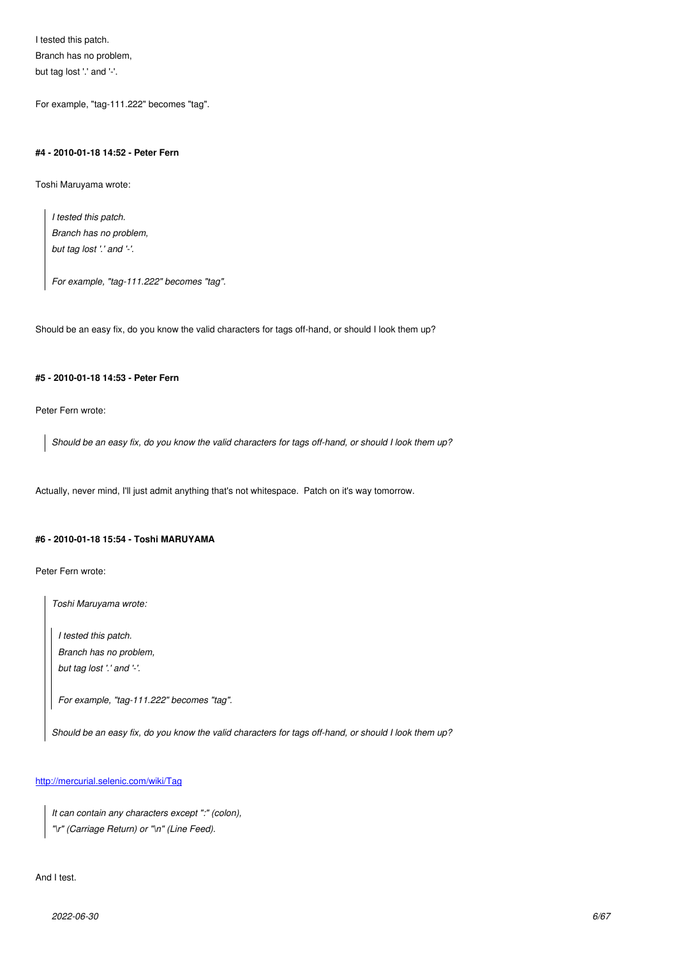Branch has no problem, but tag lost '.' and '-'.

For example, "tag-111.222" becomes "tag".

## **#4 - 2010-01-18 14:52 - Peter Fern**

Toshi Maruyama wrote:

*I tested this patch. Branch has no problem, but tag lost '.' and '-'.*

*For example, "tag-111.222" becomes "tag".*

Should be an easy fix, do you know the valid characters for tags off-hand, or should I look them up?

#### **#5 - 2010-01-18 14:53 - Peter Fern**

Peter Fern wrote:

*Should be an easy fix, do you know the valid characters for tags off-hand, or should I look them up?*

Actually, never mind, I'll just admit anything that's not whitespace. Patch on it's way tomorrow.

## **#6 - 2010-01-18 15:54 - Toshi MARUYAMA**

Peter Fern wrote:

*Toshi Maruyama wrote:*

*I tested this patch. Branch has no problem, but tag lost '.' and '-'.*

*For example, "tag-111.222" becomes "tag".*

*Should be an easy fix, do you know the valid characters for tags off-hand, or should I look them up?*

### http://mercurial.selenic.com/wiki/Tag

*It can contain any characters except ":" (colon), ["\r" \(Carriage Return\) or "\n" \(Line](http://mercurial.selenic.com/wiki/Tag) Feed).*

## And I test.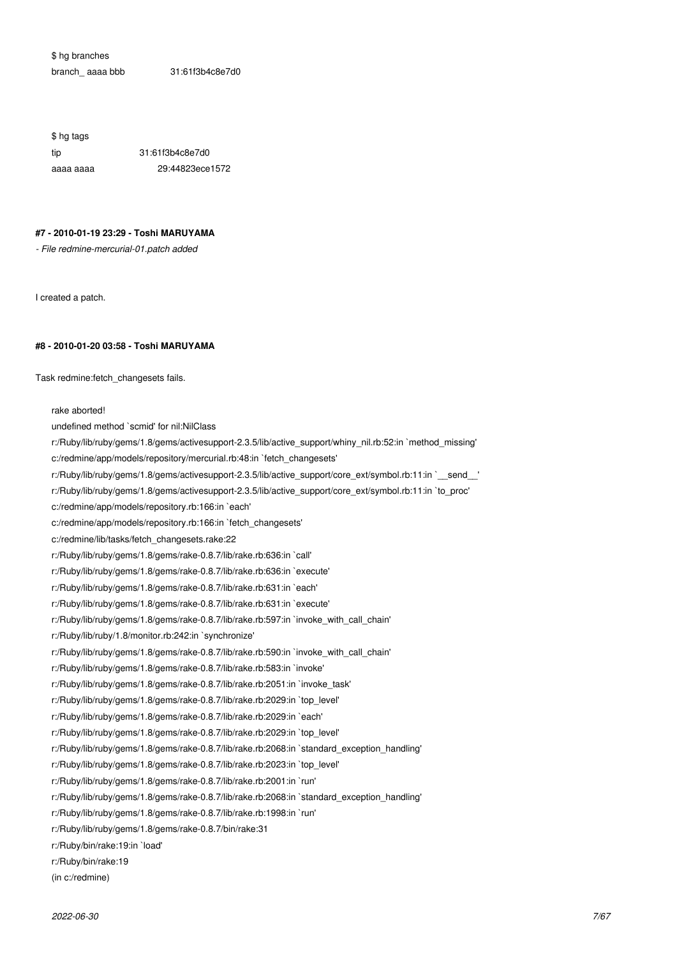\$ hg branches branch\_ aaaa bbb 31:61f3b4c8e7d0

\$ hg tags tip 31:61f3b4c8e7d0 aaaa aaaa 29:44823ece1572

## **#7 - 2010-01-19 23:29 - Toshi MARUYAMA**

*- File redmine-mercurial-01.patch added*

I created a patch.

## **#8 - 2010-01-20 03:58 - Toshi MARUYAMA**

Task redmine:fetch\_changesets fails.

### rake aborted!

undefined method `scmid' for nil:NilClass r:/Ruby/lib/ruby/gems/1.8/gems/activesupport-2.3.5/lib/active\_support/whiny\_nil.rb:52:in `method\_missing' c:/redmine/app/models/repository/mercurial.rb:48:in `fetch\_changesets' r:/Ruby/lib/ruby/gems/1.8/gems/activesupport-2.3.5/lib/active\_support/core\_ext/symbol.rb:11:in `\_\_send\_\_' r:/Ruby/lib/ruby/gems/1.8/gems/activesupport-2.3.5/lib/active\_support/core\_ext/symbol.rb:11:in `to\_proc' c:/redmine/app/models/repository.rb:166:in `each' c:/redmine/app/models/repository.rb:166:in `fetch\_changesets' c:/redmine/lib/tasks/fetch\_changesets.rake:22 r:/Ruby/lib/ruby/gems/1.8/gems/rake-0.8.7/lib/rake.rb:636:in `call' r:/Ruby/lib/ruby/gems/1.8/gems/rake-0.8.7/lib/rake.rb:636:in `execute' r:/Ruby/lib/ruby/gems/1.8/gems/rake-0.8.7/lib/rake.rb:631:in `each' r:/Ruby/lib/ruby/gems/1.8/gems/rake-0.8.7/lib/rake.rb:631:in `execute' r:/Ruby/lib/ruby/gems/1.8/gems/rake-0.8.7/lib/rake.rb:597:in `invoke\_with\_call\_chain' r:/Ruby/lib/ruby/1.8/monitor.rb:242:in `synchronize' r:/Ruby/lib/ruby/gems/1.8/gems/rake-0.8.7/lib/rake.rb:590:in `invoke\_with\_call\_chain' r:/Ruby/lib/ruby/gems/1.8/gems/rake-0.8.7/lib/rake.rb:583:in `invoke' r:/Ruby/lib/ruby/gems/1.8/gems/rake-0.8.7/lib/rake.rb:2051:in `invoke\_task' r:/Ruby/lib/ruby/gems/1.8/gems/rake-0.8.7/lib/rake.rb:2029:in `top\_level' r:/Ruby/lib/ruby/gems/1.8/gems/rake-0.8.7/lib/rake.rb:2029:in `each' r:/Ruby/lib/ruby/gems/1.8/gems/rake-0.8.7/lib/rake.rb:2029:in `top\_level' r:/Ruby/lib/ruby/gems/1.8/gems/rake-0.8.7/lib/rake.rb:2068:in `standard\_exception\_handling' r:/Ruby/lib/ruby/gems/1.8/gems/rake-0.8.7/lib/rake.rb:2023:in `top\_level' r:/Ruby/lib/ruby/gems/1.8/gems/rake-0.8.7/lib/rake.rb:2001:in `run' r:/Ruby/lib/ruby/gems/1.8/gems/rake-0.8.7/lib/rake.rb:2068:in `standard\_exception\_handling' r:/Ruby/lib/ruby/gems/1.8/gems/rake-0.8.7/lib/rake.rb:1998:in `run' r:/Ruby/lib/ruby/gems/1.8/gems/rake-0.8.7/bin/rake:31 r:/Ruby/bin/rake:19:in `load' r:/Ruby/bin/rake:19 (in c:/redmine)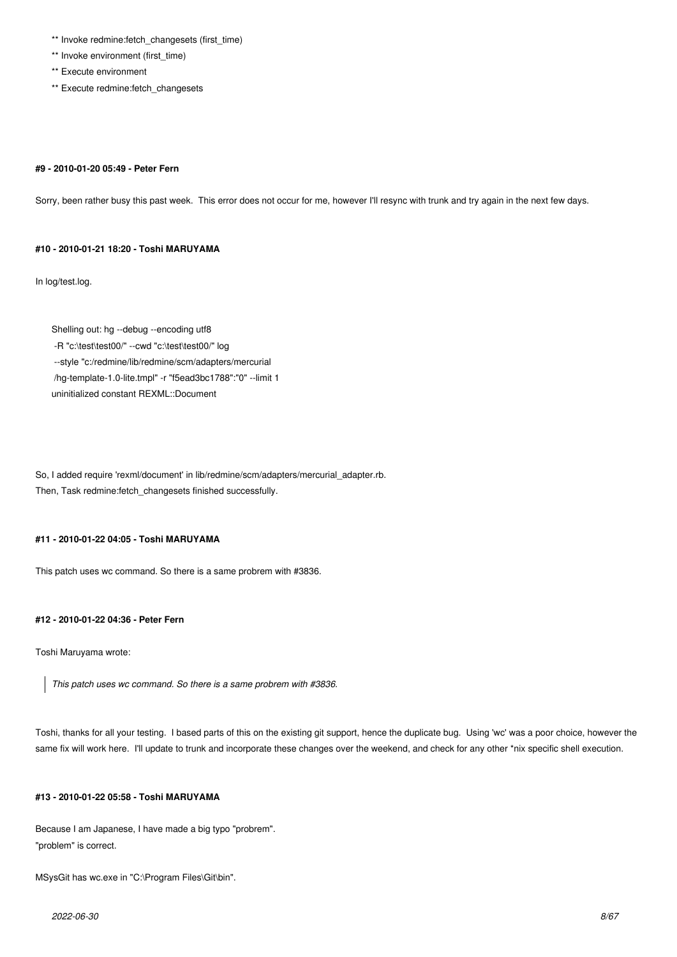- \*\* Invoke redmine: fetch\_changesets (first\_time)
- \*\* Invoke environment (first\_time)
- \*\* Execute environment
- \*\* Execute redmine:fetch\_changesets

#### **#9 - 2010-01-20 05:49 - Peter Fern**

Sorry, been rather busy this past week. This error does not occur for me, however I'll resync with trunk and try again in the next few days.

### **#10 - 2010-01-21 18:20 - Toshi MARUYAMA**

In log/test.log.

Shelling out: hg --debug --encoding utf8 -R "c:\test\test00/" --cwd "c:\test\test00/" log --style "c:/redmine/lib/redmine/scm/adapters/mercurial /hg-template-1.0-lite.tmpl" -r "f5ead3bc1788":"0" --limit 1 uninitialized constant REXML::Document

So, I added require 'rexml/document' in lib/redmine/scm/adapters/mercurial\_adapter.rb. Then, Task redmine:fetch\_changesets finished successfully.

## **#11 - 2010-01-22 04:05 - Toshi MARUYAMA**

This patch uses wc command. So there is a same probrem with #3836.

## **#12 - 2010-01-22 04:36 - Peter Fern**

Toshi Maruyama wrote:

*This patch uses wc command. So there is a same probrem with #3836.*

Toshi, thanks for all your testing. I based parts of this on the existing git support, hence the duplicate bug. Using 'wc' was a poor choice, however the same fix will work here. I'll update to trunk and incorporate these changes over the weekend, and check for any other \*nix specific shell execution.

## **#13 - 2010-01-22 05:58 - Toshi MARUYAMA**

Because I am Japanese, I have made a big typo "probrem". "problem" is correct.

MSysGit has wc.exe in "C:\Program Files\Git\bin".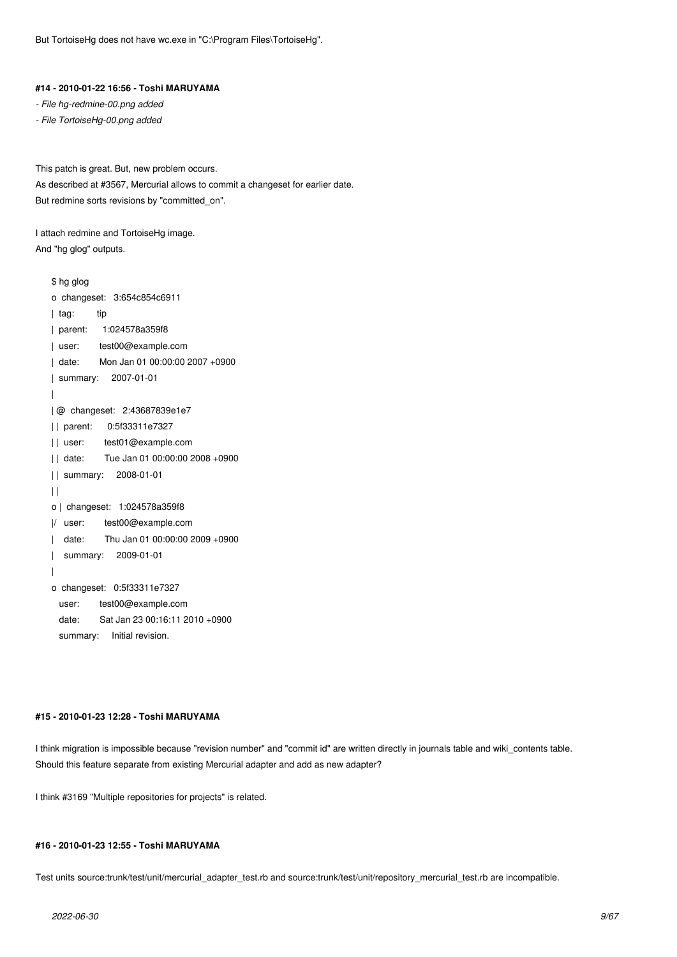But TortoiseHg does not have wc.exe in "C:\Program Files\TortoiseHg".

### **#14 - 2010-01-22 16:56 - Toshi MARUYAMA**

*- File hg-redmine-00.png added*

*- File TortoiseHg-00.png added*

This patch is great. But, new problem occurs.

As described at #3567, Mercurial allows to commit a changeset for earlier date. But redmine sorts revisions by "committed\_on".

I attach redmine and TortoiseHg image. And "hg glog" outputs.

```
$ hg glog
o changeset: 3:654c854c6911
| tag: tip
| parent: 1:024578a359f8
| user: test00@example.com
| date: Mon Jan 01 00:00:00 2007 +0900
| summary: 2007-01-01
|
| @ changeset: 2:43687839e1e7
| | parent: 0:5f33311e7327
| | user: test01@example.com
| | date: Tue Jan 01 00:00:00 2008 +0900
| | summary: 2008-01-01
| \ |o | changeset: 1:024578a359f8
|/ user: test00@example.com
| date: Thu Jan 01 00:00:00 2009 +0900
| summary: 2009-01-01
|
o changeset: 0:5f33311e7327
 user: test00@example.com
  date: Sat Jan 23 00:16:11 2010 +0900
 summary: Initial revision.
```
## **#15 - 2010-01-23 12:28 - Toshi MARUYAMA**

I think migration is impossible because "revision number" and "commit id" are written directly in journals table and wiki\_contents table. Should this feature separate from existing Mercurial adapter and add as new adapter?

I think #3169 "Multiple repositories for projects" is related.

### **#16 - 2010-01-23 12:55 - Toshi MARUYAMA**

Test units source:trunk/test/unit/mercurial\_adapter\_test.rb and source:trunk/test/unit/repository\_mercurial\_test.rb are incompatible.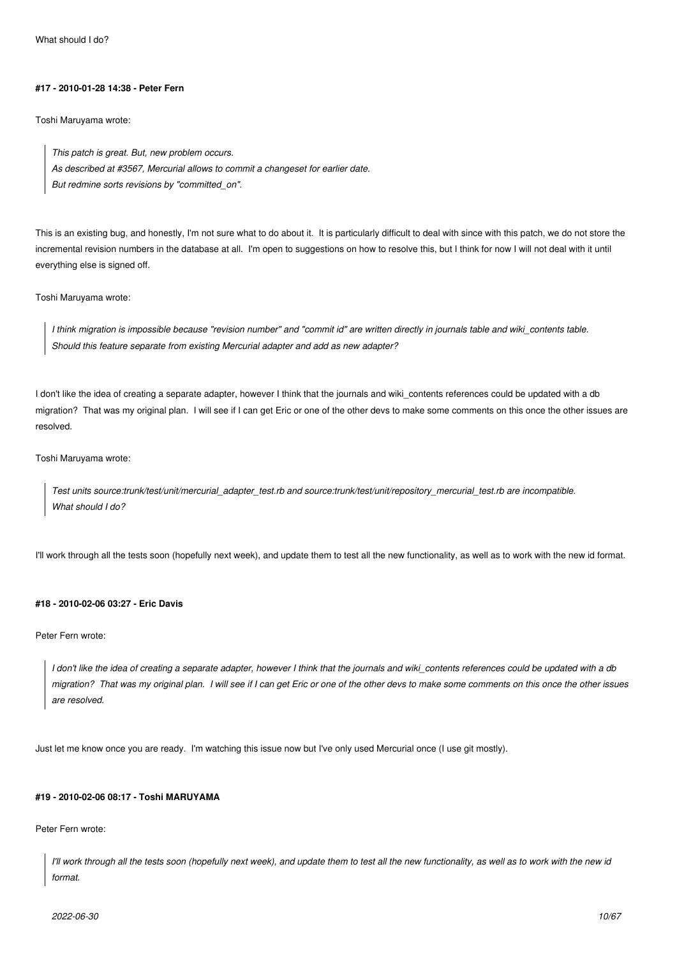#### **#17 - 2010-01-28 14:38 - Peter Fern**

Toshi Maruyama wrote:

*This patch is great. But, new problem occurs. As described at #3567, Mercurial allows to commit a changeset for earlier date. But redmine sorts revisions by "committed\_on".*

This is an existing bug, and honestly, I'm not sure what to do about it. It is particularly difficult to deal with since with this patch, we do not store the incremental revision numbers in the database at all. I'm open to suggestions on how to resolve this, but I think for now I will not deal with it until everything else is signed off.

Toshi Maruyama wrote:

*I think migration is impossible because "revision number" and "commit id" are written directly in journals table and wiki\_contents table. Should this feature separate from existing Mercurial adapter and add as new adapter?*

I don't like the idea of creating a separate adapter, however I think that the journals and wiki contents references could be updated with a db migration? That was my original plan. I will see if I can get Eric or one of the other devs to make some comments on this once the other issues are resolved.

Toshi Maruyama wrote:

*Test units source:trunk/test/unit/mercurial\_adapter\_test.rb and source:trunk/test/unit/repository\_mercurial\_test.rb are incompatible. What should I do?*

I'll work through all the tests soon (hopefully next week), and update them to test all the new functionality, as well as to work with the new id format.

## **#18 - 2010-02-06 03:27 - Eric Davis**

Peter Fern wrote:

*I don't like the idea of creating a separate adapter, however I think that the journals and wiki\_contents references could be updated with a db migration? That was my original plan. I will see if I can get Eric or one of the other devs to make some comments on this once the other issues are resolved.*

Just let me know once you are ready. I'm watching this issue now but I've only used Mercurial once (I use git mostly).

### **#19 - 2010-02-06 08:17 - Toshi MARUYAMA**

Peter Fern wrote:

*I'll work through all the tests soon (hopefully next week), and update them to test all the new functionality, as well as to work with the new id format.*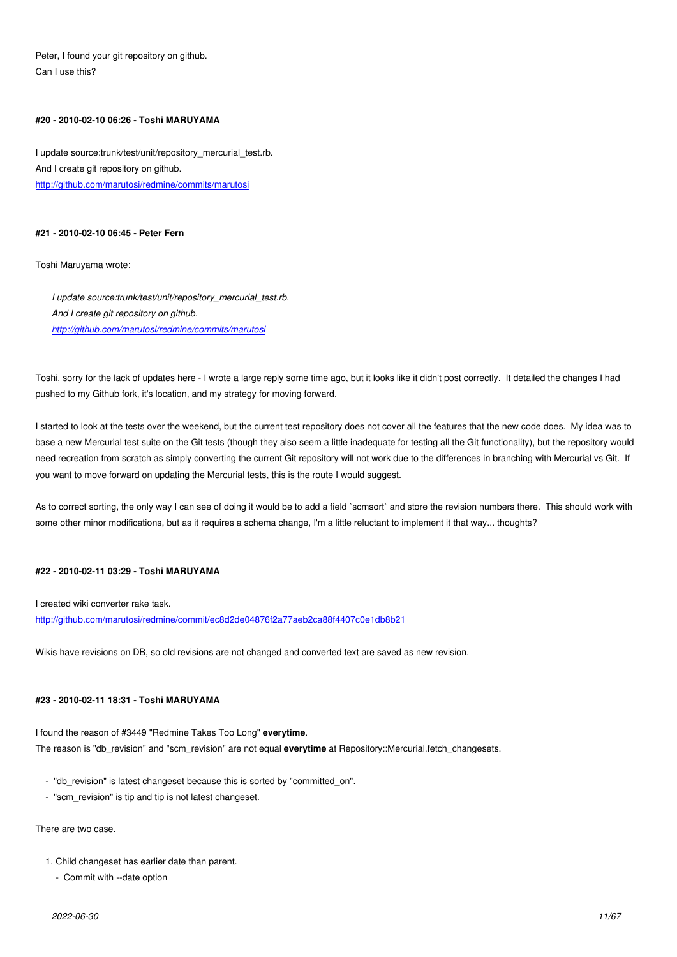Peter, I found your git repository on github. Can I use this?

## **#20 - 2010-02-10 06:26 - Toshi MARUYAMA**

I update source:trunk/test/unit/repository\_mercurial\_test.rb. And I create git repository on github. http://github.com/marutosi/redmine/commits/marutosi

## **[#21 - 2010-02-10 06:45 - Peter Fern](http://github.com/marutosi/redmine/commits/marutosi)**

Toshi Maruyama wrote:

*I update source:trunk/test/unit/repository\_mercurial\_test.rb. And I create git repository on github. http://github.com/marutosi/redmine/commits/marutosi*

Toshi, sorry for the lack of updates here - I wrote a large reply some time ago, but it looks like it didn't post correctly. It detailed the changes I had pus[hed to my Github fork, it's location, and my strategy fo](http://github.com/marutosi/redmine/commits/marutosi)r moving forward.

I started to look at the tests over the weekend, but the current test repository does not cover all the features that the new code does. My idea was to base a new Mercurial test suite on the Git tests (though they also seem a little inadequate for testing all the Git functionality), but the repository would need recreation from scratch as simply converting the current Git repository will not work due to the differences in branching with Mercurial vs Git. If you want to move forward on updating the Mercurial tests, this is the route I would suggest.

As to correct sorting, the only way I can see of doing it would be to add a field `scmsort` and store the revision numbers there. This should work with some other minor modifications, but as it requires a schema change, I'm a little reluctant to implement it that way... thoughts?

### **#22 - 2010-02-11 03:29 - Toshi MARUYAMA**

I created wiki converter rake task.

http://github.com/marutosi/redmine/commit/ec8d2de04876f2a77aeb2ca88f4407c0e1db8b21

Wikis have revisions on DB, so old revisions are not changed and converted text are saved as new revision.

### **#23 - 2010-02-11 18:31 - Toshi MARUYAMA**

I found the reason of #3449 "Redmine Takes Too Long" **everytime**. The reason is "db\_revision" and "scm\_revision" are not equal **everytime** at Repository::Mercurial.fetch\_changesets.

- "db\_revision" is latest changeset because this is sorted by "committed\_on".
- "scm\_revision" is tip and tip is not latest changeset.

## There are two case.

- 1. Child changeset has earlier date than parent.
	- Commit with --date option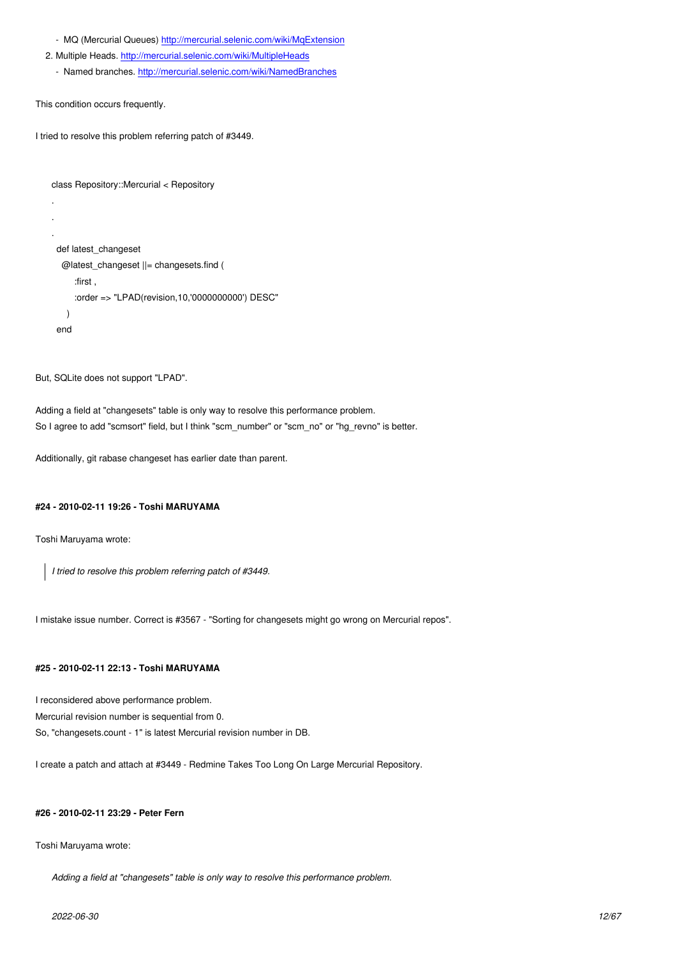- 2. Multiple Heads. http://mercurial.selenic.com/wiki/MultipleHeads
	- Named branches. http://mercurial.selenic.com/wiki/NamedBranches

This condition occur[s frequently](http://mercurial.selenic.com/wiki/MultipleHeads)[.](http://mercurial.selenic.com/wiki/MqExtension)

.

I tried to resolve this pro[blem referring patch of #3449.](http://mercurial.selenic.com/wiki/NamedBranches)

```
class Repository::Mercurial < Repository
```

```
.
.
 def latest_changeset
   @latest_changeset ||= changesets.find (
      :first ,
      :order => "LPAD(revision,10,'0000000000') DESC" 
    )
 end
```
But, SQLite does not support "LPAD".

Adding a field at "changesets" table is only way to resolve this performance problem. So I agree to add "scmsort" field, but I think "scm\_number" or "scm\_no" or "hg\_revno" is better.

Additionally, git rabase changeset has earlier date than parent.

## **#24 - 2010-02-11 19:26 - Toshi MARUYAMA**

Toshi Maruyama wrote:

*I tried to resolve this problem referring patch of #3449.*

I mistake issue number. Correct is #3567 - "Sorting for changesets might go wrong on Mercurial repos".

## **#25 - 2010-02-11 22:13 - Toshi MARUYAMA**

I reconsidered above performance problem.

Mercurial revision number is sequential from 0.

So, "changesets.count - 1" is latest Mercurial revision number in DB.

I create a patch and attach at #3449 - Redmine Takes Too Long On Large Mercurial Repository.

## **#26 - 2010-02-11 23:29 - Peter Fern**

### Toshi Maruyama wrote:

*Adding a field at "changesets" table is only way to resolve this performance problem.*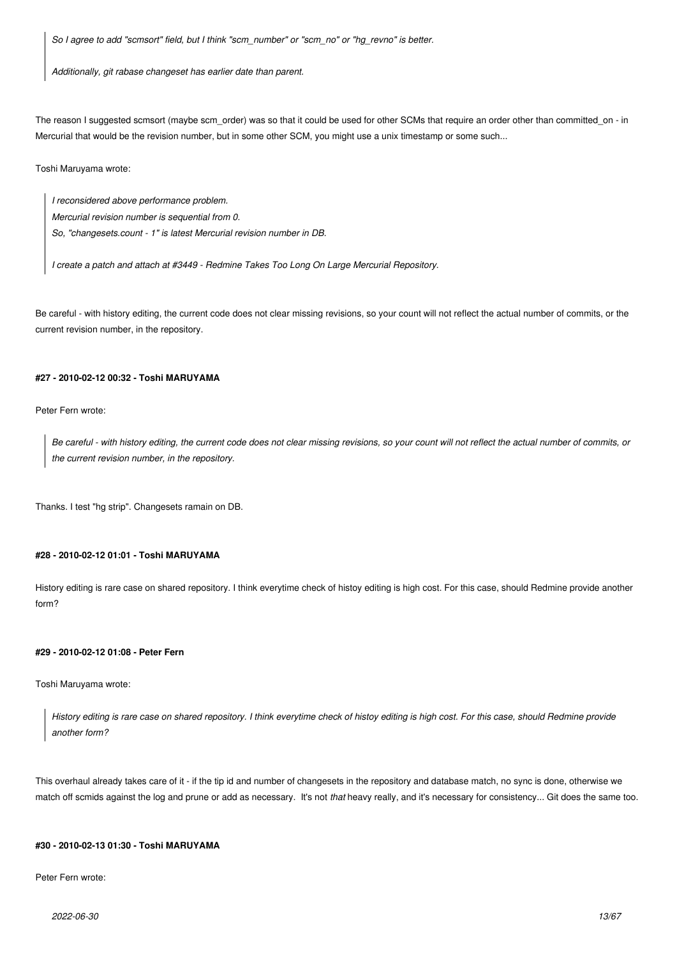*So I agree to add "scmsort" field, but I think "scm\_number" or "scm\_no" or "hg\_revno" is better.*

*Additionally, git rabase changeset has earlier date than parent.*

The reason I suggested scmsort (maybe scm\_order) was so that it could be used for other SCMs that require an order other than committed\_on - in Mercurial that would be the revision number, but in some other SCM, you might use a unix timestamp or some such...

Toshi Maruyama wrote:

*I reconsidered above performance problem. Mercurial revision number is sequential from 0. So, "changesets.count - 1" is latest Mercurial revision number in DB.*

*I create a patch and attach at #3449 - Redmine Takes Too Long On Large Mercurial Repository.*

Be careful - with history editing, the current code does not clear missing revisions, so your count will not reflect the actual number of commits, or the current revision number, in the repository.

## **#27 - 2010-02-12 00:32 - Toshi MARUYAMA**

Peter Fern wrote:

*Be careful - with history editing, the current code does not clear missing revisions, so your count will not reflect the actual number of commits, or the current revision number, in the repository.*

Thanks. I test "hg strip". Changesets ramain on DB.

## **#28 - 2010-02-12 01:01 - Toshi MARUYAMA**

History editing is rare case on shared repository. I think everytime check of histoy editing is high cost. For this case, should Redmine provide another form?

## **#29 - 2010-02-12 01:08 - Peter Fern**

Toshi Maruyama wrote:

*History editing is rare case on shared repository. I think everytime check of histoy editing is high cost. For this case, should Redmine provide another form?*

This overhaul already takes care of it - if the tip id and number of changesets in the repository and database match, no sync is done, otherwise we match off scmids against the log and prune or add as necessary. It's not *that* heavy really, and it's necessary for consistency... Git does the same too.

### **#30 - 2010-02-13 01:30 - Toshi MARUYAMA**

Peter Fern wrote: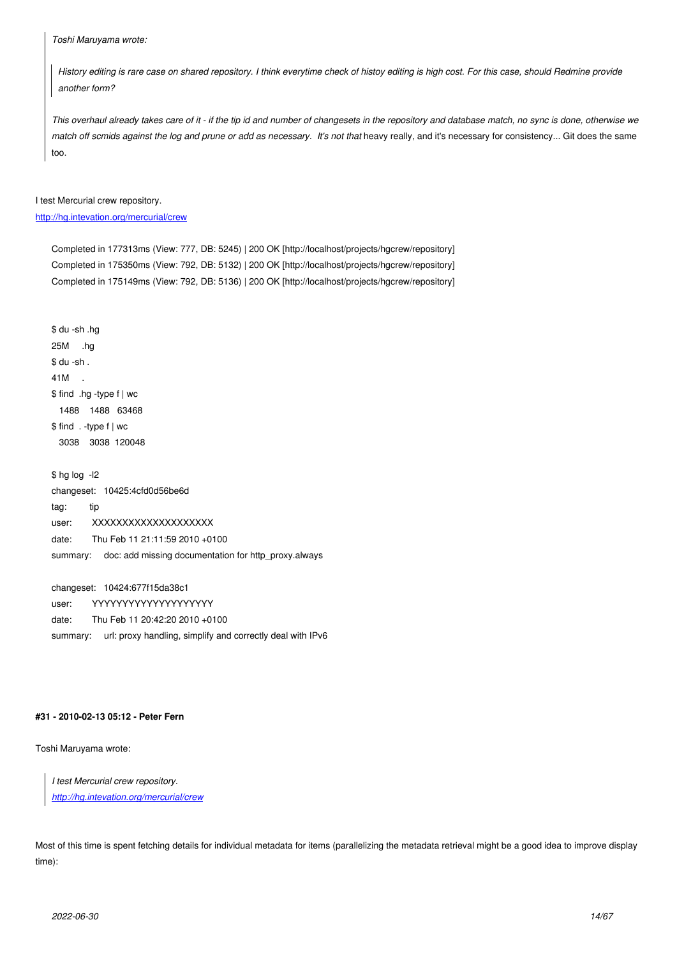*History editing is rare case on shared repository. I think everytime check of histoy editing is high cost. For this case, should Redmine provide another form?*

*This overhaul already takes care of it - if the tip id and number of changesets in the repository and database match, no sync is done, otherwise we match off scmids against the log and prune or add as necessary. It's not that* heavy really, and it's necessary for consistency... Git does the same too.

I test Mercurial crew repository.

## http://hg.intevation.org/mercurial/crew

Completed in 177313ms (View: 777, DB: 5245) | 200 OK [http://localhost/projects/hgcrew/repository] [Completed in 175350ms \(View: 79](http://hg.intevation.org/mercurial/crew)2, DB: 5132) | 200 OK [http://localhost/projects/hgcrew/repository] Completed in 175149ms (View: 792, DB: 5136) | 200 OK [http://localhost/projects/hgcrew/repository]

\$ du -sh .hg 25M .hg  $$$  du -sh. 41M \$ find .hg -type f | wc 1488 1488 63468 \$ find . -type f | wc 3038 3038 120048

\$ hg log -l2 changeset: 10425:4cfd0d56be6d tag: tip user: XXXXXXXXXXXXXXXXXXX date: Thu Feb 11 21:11:59 2010 +0100 summary: doc: add missing documentation for http\_proxy.always

changeset: 10424:677f15da38c1 user: YYYYYYYYYYYYYYYYYYYYYY date: Thu Feb 11 20:42:20 2010 +0100

summary: url: proxy handling, simplify and correctly deal with IPv6

### **#31 - 2010-02-13 05:12 - Peter Fern**

Toshi Maruyama wrote:

*I test Mercurial crew repository.*

*http://hg.intevation.org/mercurial/crew*

Mo[st of this time is spent fetching details f](http://hg.intevation.org/mercurial/crew)or individual metadata for items (parallelizing the metadata retrieval might be a good idea to improve display time):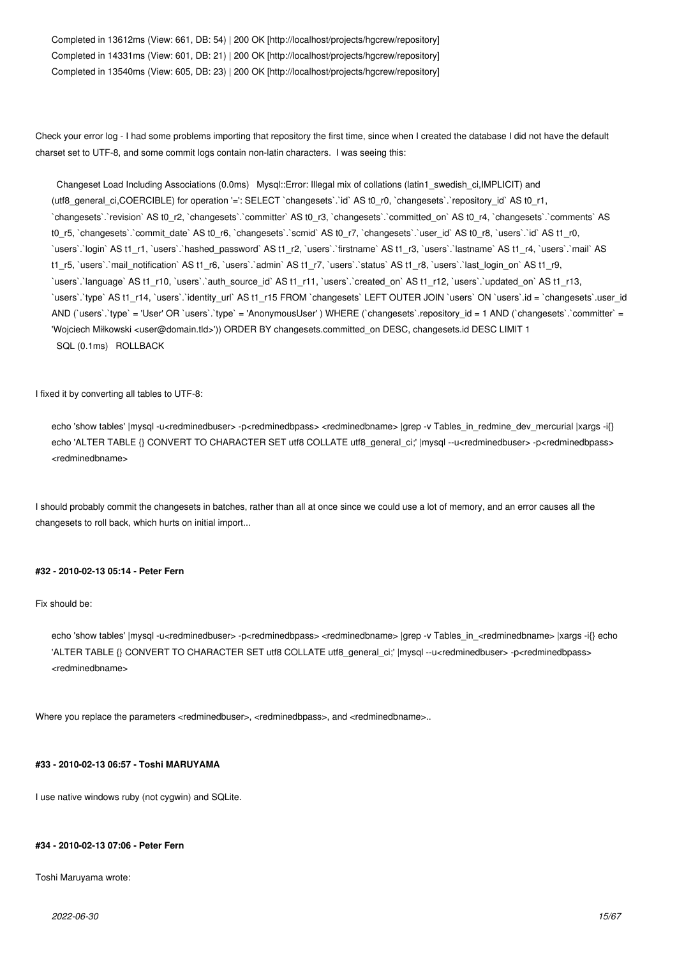Completed in 13612ms (View: 661, DB: 54) | 200 OK [http://localhost/projects/hgcrew/repository] Completed in 14331ms (View: 601, DB: 21) | 200 OK [http://localhost/projects/hgcrew/repository] Completed in 13540ms (View: 605, DB: 23) | 200 OK [http://localhost/projects/hgcrew/repository]

Check your error log - I had some problems importing that repository the first time, since when I created the database I did not have the default charset set to UTF-8, and some commit logs contain non-latin characters. I was seeing this:

 Changeset Load Including Associations (0.0ms) Mysql::Error: Illegal mix of collations (latin1\_swedish\_ci,IMPLICIT) and (utf8\_general\_ci,COERCIBLE) for operation '=': SELECT `changesets`.`id` AS t0\_r0, `changesets`.`repository\_id` AS t0\_r1, `changesets`.`revision` AS t0\_r2, `changesets`.`committer` AS t0\_r3, `changesets`.`committed\_on` AS t0\_r4, `changesets`.`comments` AS t0\_r5, `changesets`.`commit\_date` AS t0\_r6, `changesets`.`scmid` AS t0\_r7, `changesets`.`user\_id` AS t0\_r8, `users`.`id` AS t1\_r0, `users`.`login` AS t1\_r1, `users`.`hashed\_password` AS t1\_r2, `users`.`firstname` AS t1\_r3, `users`.`lastname` AS t1\_r4, `users`.`mail` AS t1\_r5, `users`.`mail\_notification` AS t1\_r6, `users`.`admin` AS t1\_r7, `users`.`status` AS t1\_r8, `users`.`last\_login\_on` AS t1\_r9, `users`.`language` AS t1\_r10, `users`.`auth\_source\_id` AS t1\_r11, `users`.`created\_on` AS t1\_r12, `users`.`updated\_on` AS t1\_r13, `users`.`type` AS t1\_r14, `users`.`identity\_url` AS t1\_r15 FROM `changesets` LEFT OUTER JOIN `users` ON `users`.id = `changesets`.user\_id AND (`users`.`type` = 'User' OR `users`.`type` = 'AnonymousUser' ) WHERE (`changesets`.repository\_id = 1 AND (`changesets`.`committer` = 'Wojciech Miłkowski <user@domain.tld>')) ORDER BY changesets.committed\_on DESC, changesets.id DESC LIMIT 1 SQL (0.1ms) ROLLBACK

I fixed it by converting all tables to UTF-8:

echo 'show tables' |mysql -u<redminedbuser> -p<redminedbpass> <redminedbname> |grep -v Tables\_in\_redmine\_dev\_mercurial |xargs -i{} echo 'ALTER TABLE {} CONVERT TO CHARACTER SET utf8 COLLATE utf8\_general\_ci;' |mysql --u<redminedbuser> -p<redminedbpass> <redminedbname>

I should probably commit the changesets in batches, rather than all at once since we could use a lot of memory, and an error causes all the changesets to roll back, which hurts on initial import...

## **#32 - 2010-02-13 05:14 - Peter Fern**

## Fix should be:

echo 'show tables' |mysql -u<redminedbuser> -p<redminedbpass> <redminedbname> |grep -v Tables\_in\_<redminedbname> |xargs -i{} echo 'ALTER TABLE {} CONVERT TO CHARACTER SET utf8 COLLATE utf8\_general\_ci;' |mysql --u<redminedbuser> -p<redminedbpass> <redminedbname>

Where you replace the parameters <redminedbuser>, <redminedbpass>, and <redminedbname>...

## **#33 - 2010-02-13 06:57 - Toshi MARUYAMA**

I use native windows ruby (not cygwin) and SQLite.

### **#34 - 2010-02-13 07:06 - Peter Fern**

Toshi Maruyama wrote: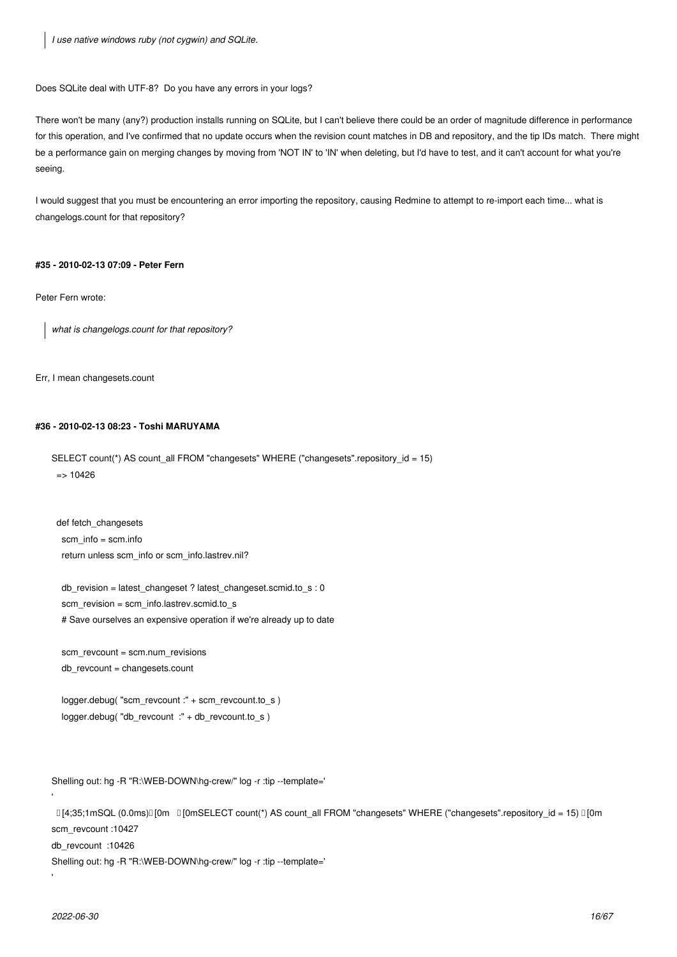*I use native windows ruby (not cygwin) and SQLite.*

Does SQLite deal with UTF-8? Do you have any errors in your logs?

There won't be many (any?) production installs running on SQLite, but I can't believe there could be an order of magnitude difference in performance for this operation, and I've confirmed that no update occurs when the revision count matches in DB and repository, and the tip IDs match. There might be a performance gain on merging changes by moving from 'NOT IN' to 'IN' when deleting, but I'd have to test, and it can't account for what you're seeing.

I would suggest that you must be encountering an error importing the repository, causing Redmine to attempt to re-import each time... what is changelogs.count for that repository?

## **#35 - 2010-02-13 07:09 - Peter Fern**

Peter Fern wrote:

*what is changelogs.count for that repository?*

Err, I mean changesets.count

## **#36 - 2010-02-13 08:23 - Toshi MARUYAMA**

SELECT count(\*) AS count\_all FROM "changesets" WHERE ("changesets".repository\_id = 15)  $=$  > 10426

def fetch\_changesets scm\_info = scm.info return unless scm\_info or scm\_info.lastrev.nil?

db revision = latest changeset ? latest changeset.scmid.to  $s : 0$  scm\_revision = scm\_info.lastrev.scmid.to\_s # Save ourselves an expensive operation if we're already up to date

 scm\_revcount = scm.num\_revisions db\_revcount = changesets.count

 logger.debug( "scm\_revcount :" + scm\_revcount.to\_s ) logger.debug( "db\_revcount :" + db\_revcount.to\_s )

Shelling out: hg -R "R:\WEB-DOWN\hg-crew/" log -r :tip --template='

 [4;35;1mSQL (0.0ms)[0m [0mSELECT count(\*) AS count\_all FROM "changesets" WHERE ("changesets".repository\_id = 15) [0m scm\_revcount :10427

db\_revcount :10426

Shelling out: hg -R "R:\WEB-DOWN\hg-crew/" log -r :tip --template='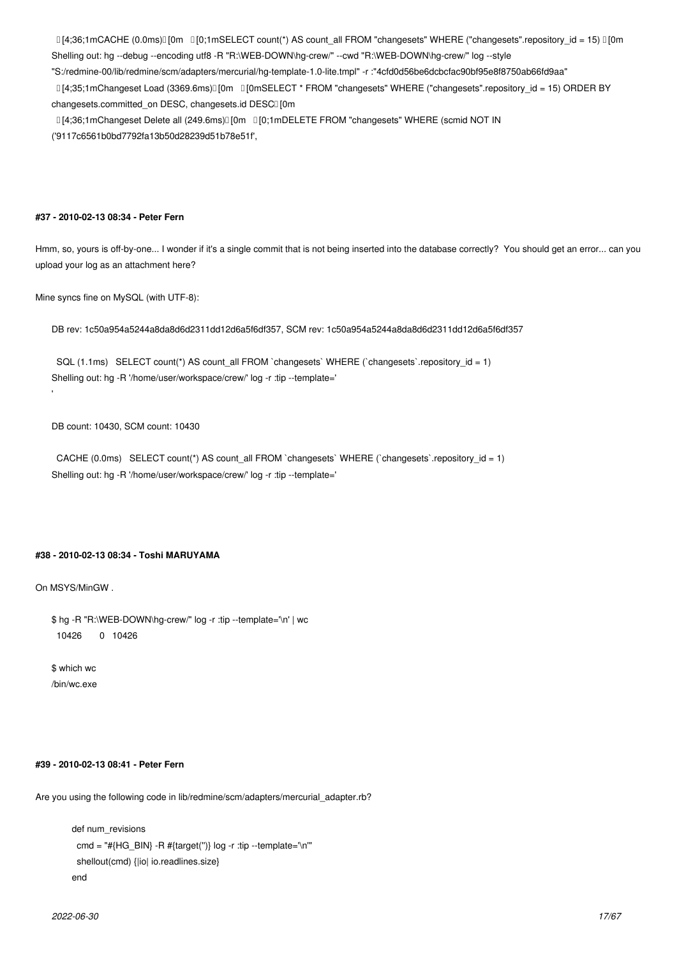$[4;36;1mCACHE (0.0ms)] [0m] [0;1mSELECT count(*) AS count all FROM "changesets" WHERE ("changeses".repository-ide = 15)  $[0m] [0;1mE] [0;1mE] [0;1mE] [0;1mE] [0;1mE] [0;1mE] [0;1mE] [0;1mE] [0;1mE] [0;1mE] [0;1mE] [0;1mE] [0;1mE] [0;1mE] [0;1mE] [0;1mE] [0;1mE] [0;1mE] [0;1mE] [0;1mE] [0;1mE] [0;1mE] [0;1mE]$$ Shelling out: hg --debug --encoding utf8 -R "R:\WEB-DOWN\hg-crew/" --cwd "R:\WEB-DOWN\hg-crew/" log --style

"S:/redmine-00/lib/redmine/scm/adapters/mercurial/hg-template-1.0-lite.tmpl" -r :"4cfd0d56be6dcbcfac90bf95e8f8750ab66fd9aa"

 [4;35;1mChangeset Load (3369.6ms)[0m [0mSELECT \* FROM "changesets" WHERE ("changesets".repository\_id = 15) ORDER BY changesets.committed\_on DESC, changesets.id DESCI [0m

 $I[4:36:1mChangeset Delete all (249.6ms)$ [0m  $I[0:1mDELETE FROM "changesets" WHERE (semid NOT IN")$ 

('9117c6561b0bd7792fa13b50d28239d51b78e51f',

## **#37 - 2010-02-13 08:34 - Peter Fern**

Hmm, so, yours is off-by-one... I wonder if it's a single commit that is not being inserted into the database correctly? You should get an error... can you upload your log as an attachment here?

Mine syncs fine on MySQL (with UTF-8):

DB rev: 1c50a954a5244a8da8d6d2311dd12d6a5f6df357, SCM rev: 1c50a954a5244a8da8d6d2311dd12d6a5f6df357

 SQL (1.1ms) SELECT count(\*) AS count\_all FROM `changesets` WHERE (`changesets`.repository\_id = 1) Shelling out: hg -R '/home/user/workspace/crew/' log -r :tip --template='

DB count: 10430, SCM count: 10430

 CACHE (0.0ms) SELECT count(\*) AS count\_all FROM `changesets` WHERE (`changesets`.repository\_id = 1) Shelling out: hg -R '/home/user/workspace/crew/' log -r :tip --template='

#### **#38 - 2010-02-13 08:34 - Toshi MARUYAMA**

On MSYS/MinGW .

'

\$ hg -R "R:\WEB-DOWN\hg-crew/" log -r :tip --template='\n' | wc 10426 0 10426

\$ which wc /bin/wc.exe

## **#39 - 2010-02-13 08:41 - Peter Fern**

Are you using the following code in lib/redmine/scm/adapters/mercurial\_adapter.rb?

```
def num_revisions
 cmd = "#{HG_BIN} -R #{target(")} log -r :tip --template='\n'"
  shellout(cmd) {|io| io.readlines.size}
 end
```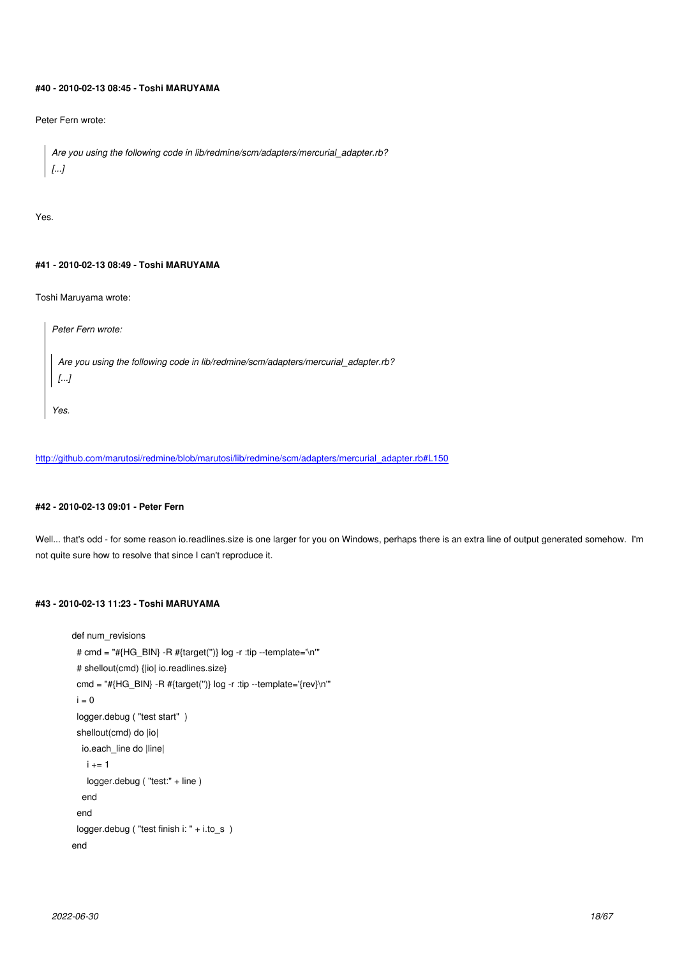## **#40 - 2010-02-13 08:45 - Toshi MARUYAMA**

Peter Fern wrote:

```
Are you using the following code in lib/redmine/scm/adapters/mercurial_adapter.rb?
[...]
```
Yes.

## **#41 - 2010-02-13 08:49 - Toshi MARUYAMA**

Toshi Maruyama wrote:

*Peter Fern wrote: Are you using the following code in lib/redmine/scm/adapters/mercurial\_adapter.rb? [...] Yes.*

http://github.com/marutosi/redmine/blob/marutosi/lib/redmine/scm/adapters/mercurial\_adapter.rb#L150

## **[#42 - 2010-02-13 09:01 - Peter Fern](http://github.com/marutosi/redmine/blob/marutosi/lib/redmine/scm/adapters/mercurial_adapter.rb#L150)**

Well... that's odd - for some reason io.readlines.size is one larger for you on Windows, perhaps there is an extra line of output generated somehow. I'm not quite sure how to resolve that since I can't reproduce it.

## **#43 - 2010-02-13 11:23 - Toshi MARUYAMA**

```
def num_revisions
  # cmd = "#{HG_BIN} -R #{target('')} log -r :tip --template='\n'" 
  # shellout(cmd) {|io| io.readlines.size}
 cmd = "#{HG_BIN} -R #{target(")} log -r :tip --template='{rev}\n'"
 i = 0 logger.debug ( "test start" )
  shellout(cmd) do |io|
   io.each_line do |line|
   i + = 1 logger.debug ( "test:" + line )
   end
  end
  logger.debug ( "test finish i: " + i.to_s )
 end
```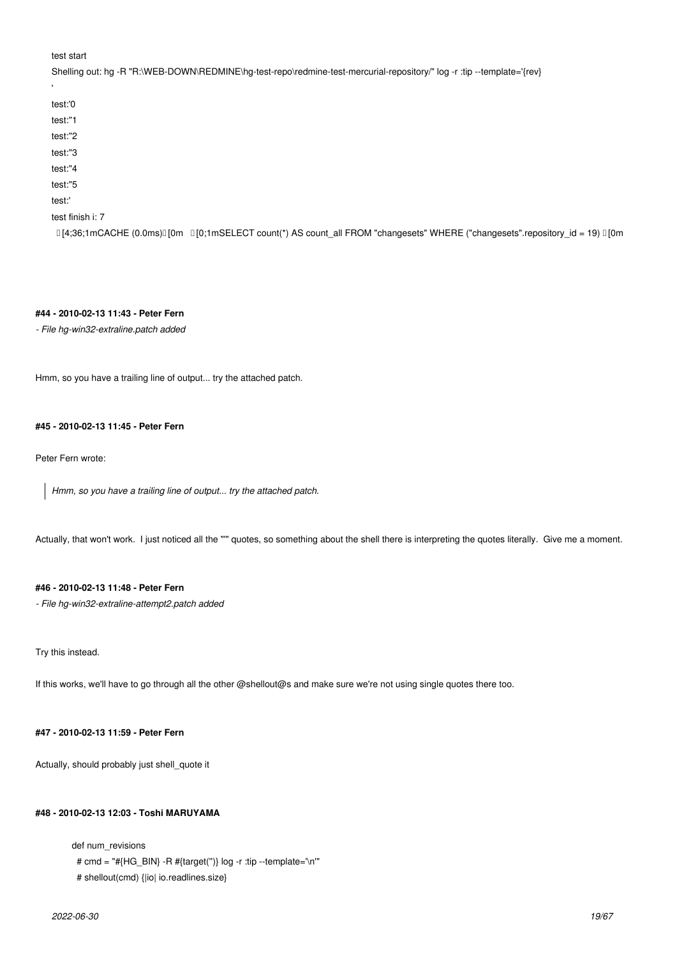## test start

Shelling out: hg -R "R:\WEB-DOWN\REDMINE\hg-test-repo\redmine-test-mercurial-repository/" log -r :tip --template='{rev} 'test:'0 test:''1 test:''2 test:''3 test:''4 test:''5 test:' test finish i: 7  $[14:36:1 \text{mCACHE } (0.0 \text{m})]$  [0m  $[10:1 \text{mSELECT count}^*]$  AS count all FROM "changesets" WHERE ("changesets".repository  $id = 19)$  [10m

### **#44 - 2010-02-13 11:43 - Peter Fern**

*- File hg-win32-extraline.patch added*

Hmm, so you have a trailing line of output... try the attached patch.

## **#45 - 2010-02-13 11:45 - Peter Fern**

Peter Fern wrote:

*Hmm, so you have a trailing line of output... try the attached patch.*

Actually, that won't work. I just noticed all the "'" quotes, so something about the shell there is interpreting the quotes literally. Give me a moment.

## **#46 - 2010-02-13 11:48 - Peter Fern**

*- File hg-win32-extraline-attempt2.patch added*

Try this instead.

If this works, we'll have to go through all the other @shellout@s and make sure we're not using single quotes there too.

## **#47 - 2010-02-13 11:59 - Peter Fern**

Actually, should probably just shell\_quote it

## **#48 - 2010-02-13 12:03 - Toshi MARUYAMA**

def num\_revisions

# cmd = "#{HG\_BIN} -R #{target('')} log -r :tip --template='\n'"

```
 # shellout(cmd) {|io| io.readlines.size}
```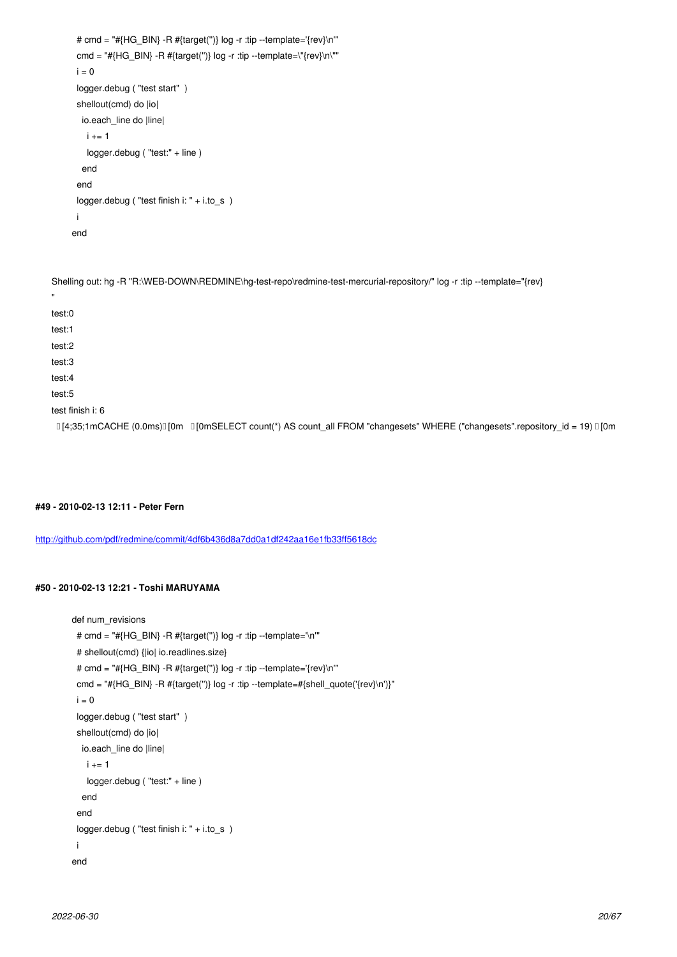```
\mathsf{c}_{\mathsf{H}}log - "#{Ranget(')} log -r :tip --template=\"{rev}\n\"
 i = 0 logger.debug ( "test start" )
  shellout(cmd) do |io|
   io.each_line do |line|
   i + = 1logger.debug ("test:" + line)
   end
  end
  logger.debug ( "test finish i: " + i.to_s )
  i
 end
```
Shelling out: hg -R "R:\WEB-DOWN\REDMINE\hg-test-repo\redmine-test-mercurial-repository/" log -r :tip --template="{rev} " test:0 test:1 test:2 test:3 test:4 test:5 test finish i: 6  $[4;35;1 \text{mCACHE (0.0ms)]$  [0m  $[1]$  [0mSELECT count(\*) AS count\_all FROM "changesets" WHERE ("changesets".repository\_id = 19)  $[1]$  [0m

**#49 - 2010-02-13 12:11 - Peter Fern**

http://github.com/pdf/redmine/commit/4df6b436d8a7dd0a1df242aa16e1fb33ff5618dc

### **[#50 - 2010-02-13 12:21 - Toshi MARUYAMA](http://github.com/pdf/redmine/commit/4df6b436d8a7dd0a1df242aa16e1fb33ff5618dc)**

```
 def num_revisions
  # cmd = "#{HG_BIN} -R #{target('')} log -r :tip --template='\n'" 
  # shellout(cmd) {|io| io.readlines.size}
 # cmd = "#{HG_BIN} -R #{target(")} log -r :tip --template='{rev}\n'"
  cmd = "#{HG_BIN} -R #{target('')} log -r :tip --template=#{shell_quote('{rev}\n')}" 
 \mathsf{i}=\mathsf{0} logger.debug ( "test start" )
  shellout(cmd) do |io|
   io.each_line do |line|
   i + = 1 logger.debug ( "test:" + line )
   end
  end
  logger.debug ( "test finish i: " + i.to_s )
  i
 end
```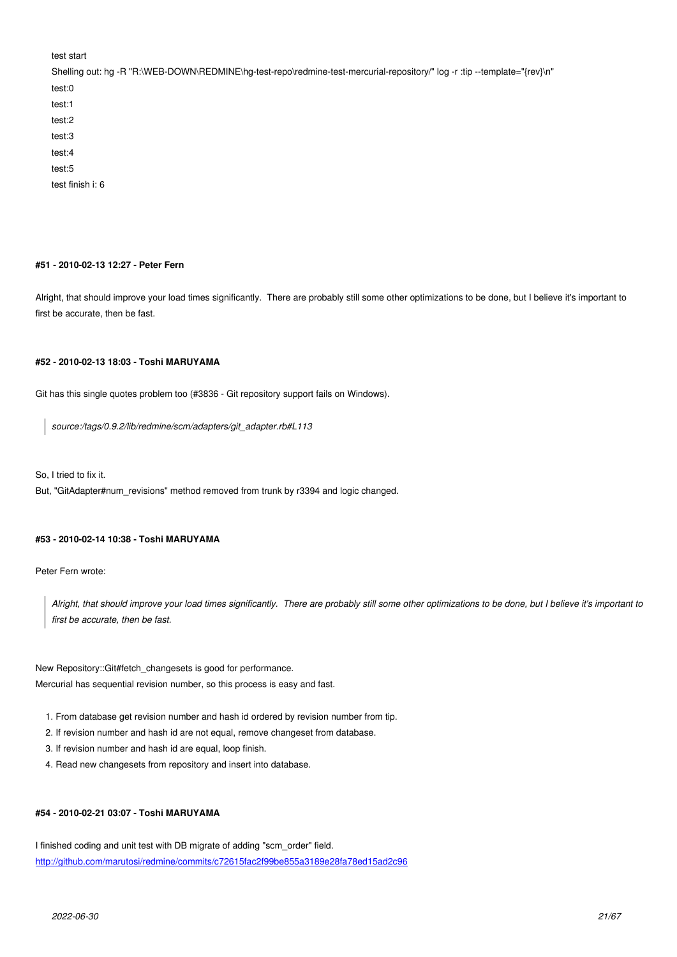| ισοι οιαπ                                                                                                                  |
|----------------------------------------------------------------------------------------------------------------------------|
| Shelling out: hg -R "R:\WEB-DOWN\REDMINE\hg-test-repo\redmine-test-mercurial-repository/" log -r :tip --template="{rev}\n" |
| test:0                                                                                                                     |
| test:1                                                                                                                     |
| test:2                                                                                                                     |
| test:3                                                                                                                     |
| test:4                                                                                                                     |
| test:5                                                                                                                     |
| test finish i: 6                                                                                                           |

## **#51 - 2010-02-13 12:27 - Peter Fern**

Alright, that should improve your load times significantly. There are probably still some other optimizations to be done, but I believe it's important to first be accurate, then be fast.

## **#52 - 2010-02-13 18:03 - Toshi MARUYAMA**

Git has this single quotes problem too (#3836 - Git repository support fails on Windows).

*source:/tags/0.9.2/lib/redmine/scm/adapters/git\_adapter.rb#L113*

So, I tried to fix it.

But, "GitAdapter#num\_revisions" method removed from trunk by r3394 and logic changed.

### **#53 - 2010-02-14 10:38 - Toshi MARUYAMA**

Peter Fern wrote:

*Alright, that should improve your load times significantly. There are probably still some other optimizations to be done, but I believe it's important to first be accurate, then be fast.*

New Repository::Git#fetch\_changesets is good for performance. Mercurial has sequential revision number, so this process is easy and fast.

- 1. From database get revision number and hash id ordered by revision number from tip.
- 2. If revision number and hash id are not equal, remove changeset from database.
- 3. If revision number and hash id are equal, loop finish.
- 4. Read new changesets from repository and insert into database.

### **#54 - 2010-02-21 03:07 - Toshi MARUYAMA**

I finished coding and unit test with DB migrate of adding "scm\_order" field. http://github.com/marutosi/redmine/commits/c72615fac2f99be855a3189e28fa78ed15ad2c96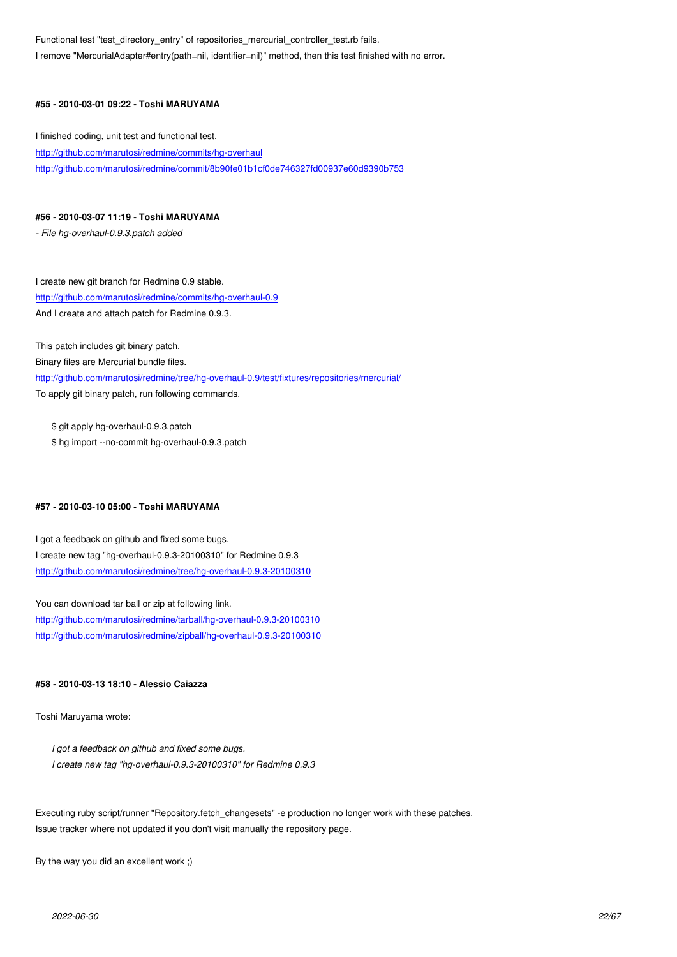I remove "MercurialAdapter#entry(path=nil, identifier=nil)" method, then this test finished with no error.

## **#55 - 2010-03-01 09:22 - Toshi MARUYAMA**

I finished coding, unit test and functional test. http://github.com/marutosi/redmine/commits/hg-overhaul http://github.com/marutosi/redmine/commit/8b90fe01b1cf0de746327fd00937e60d9390b753

## **[#56 - 2010-03-07 11:19 - Toshi MARUYAMA](http://github.com/marutosi/redmine/commits/hg-overhaul)**

*- File hg-overhaul-0.9.3.patch added*

I create new git branch for Redmine 0.9 stable. http://github.com/marutosi/redmine/commits/hg-overhaul-0.9 And I create and attach patch for Redmine 0.9.3.

[This patch includes git binary patch.](http://github.com/marutosi/redmine/commits/hg-overhaul-0.9)

Binary files are Mercurial bundle files.

http://github.com/marutosi/redmine/tree/hg-overhaul-0.9/test/fixtures/repositories/mercurial/ To apply git binary patch, run following commands.

[\\$ git apply hg-overhaul-0.9.3.patch](http://github.com/marutosi/redmine/tree/hg-overhaul-0.9/test/fixtures/repositories/mercurial/) \$ hg import --no-commit hg-overhaul-0.9.3.patch

## **#57 - 2010-03-10 05:00 - Toshi MARUYAMA**

I got a feedback on github and fixed some bugs. I create new tag "hg-overhaul-0.9.3-20100310" for Redmine 0.9.3 http://github.com/marutosi/redmine/tree/hg-overhaul-0.9.3-20100310

You can download tar ball or zip at following link.

[http://github.com/marutosi/redmine/tarball/hg-overhaul-0.9.3-2010031](http://github.com/marutosi/redmine/tree/hg-overhaul-0.9.3-20100310)0 http://github.com/marutosi/redmine/zipball/hg-overhaul-0.9.3-20100310

### **[#58 - 2010-03-13 18:10 - Alessio Caiazza](http://github.com/marutosi/redmine/tarball/hg-overhaul-0.9.3-20100310)**

Toshi Maruyama wrote:

*I got a feedback on github and fixed some bugs. I create new tag "hg-overhaul-0.9.3-20100310" for Redmine 0.9.3*

Executing ruby script/runner "Repository.fetch\_changesets" -e production no longer work with these patches. Issue tracker where not updated if you don't visit manually the repository page.

By the way you did an excellent work ;)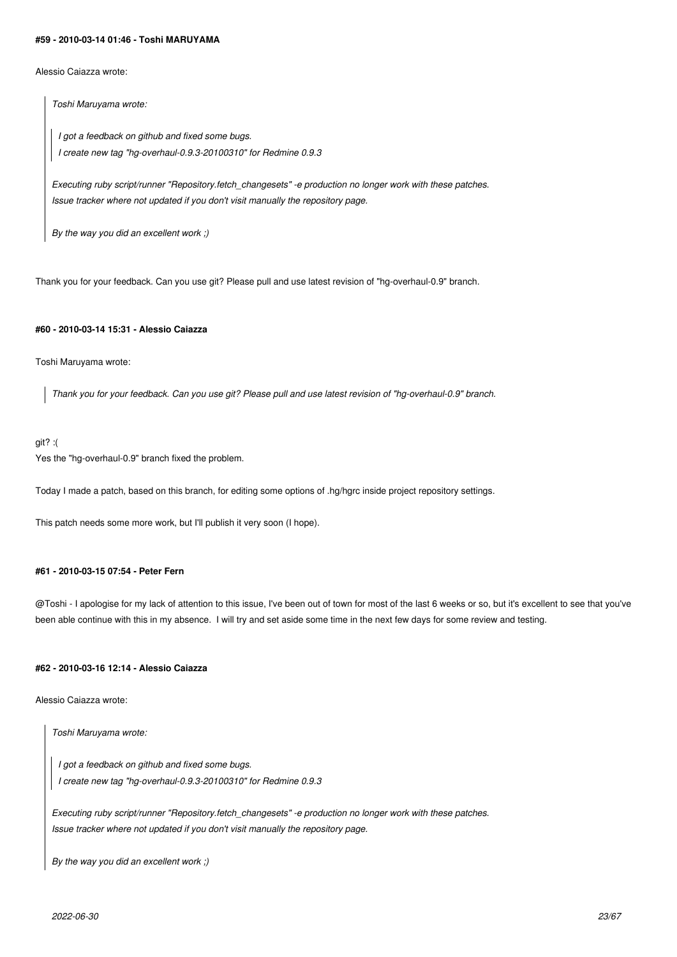### **#59 - 2010-03-14 01:46 - Toshi MARUYAMA**

Alessio Caiazza wrote:

*Toshi Maruyama wrote:*

*I got a feedback on github and fixed some bugs. I create new tag "hg-overhaul-0.9.3-20100310" for Redmine 0.9.3*

*Executing ruby script/runner "Repository.fetch\_changesets" -e production no longer work with these patches. Issue tracker where not updated if you don't visit manually the repository page.*

*By the way you did an excellent work ;)*

Thank you for your feedback. Can you use git? Please pull and use latest revision of "hg-overhaul-0.9" branch.

## **#60 - 2010-03-14 15:31 - Alessio Caiazza**

Toshi Maruyama wrote:

*Thank you for your feedback. Can you use git? Please pull and use latest revision of "hg-overhaul-0.9" branch.*

## git? :(

Yes the "hg-overhaul-0.9" branch fixed the problem.

Today I made a patch, based on this branch, for editing some options of .hg/hgrc inside project repository settings.

This patch needs some more work, but I'll publish it very soon (I hope).

## **#61 - 2010-03-15 07:54 - Peter Fern**

@Toshi - I apologise for my lack of attention to this issue, I've been out of town for most of the last 6 weeks or so, but it's excellent to see that you've been able continue with this in my absence. I will try and set aside some time in the next few days for some review and testing.

## **#62 - 2010-03-16 12:14 - Alessio Caiazza**

Alessio Caiazza wrote:

*Toshi Maruyama wrote:*

*I got a feedback on github and fixed some bugs. I create new tag "hg-overhaul-0.9.3-20100310" for Redmine 0.9.3*

*Executing ruby script/runner "Repository.fetch\_changesets" -e production no longer work with these patches. Issue tracker where not updated if you don't visit manually the repository page.*

*By the way you did an excellent work ;)*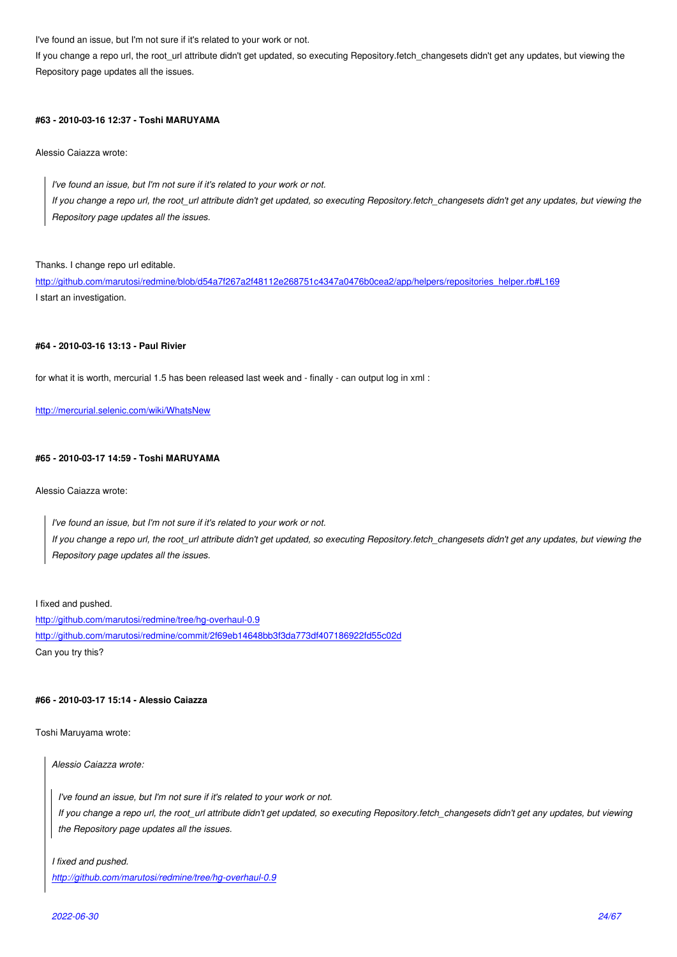If you change a repo url, the root\_url attribute didn't get updated, so executing Repository.fetch\_changesets didn't get any updates, but viewing the Repository page updates all the issues.

## **#63 - 2010-03-16 12:37 - Toshi MARUYAMA**

Alessio Caiazza wrote:

*I've found an issue, but I'm not sure if it's related to your work or not. If you change a repo url, the root\_url attribute didn't get updated, so executing Repository.fetch\_changesets didn't get any updates, but viewing the Repository page updates all the issues.*

Thanks. I change repo url editable.

http://github.com/marutosi/redmine/blob/d54a7f267a2f48112e268751c4347a0476b0cea2/app/helpers/repositories\_helper.rb#L169 I start an investigation.

### **[#64 - 2010-03-16 13:13 - Paul Rivier](http://github.com/marutosi/redmine/blob/d54a7f267a2f48112e268751c4347a0476b0cea2/app/helpers/repositories_helper.rb#L169)**

for what it is worth, mercurial 1.5 has been released last week and - finally - can output log in xml :

http://mercurial.selenic.com/wiki/WhatsNew

## **[#65 - 2010-03-17 14:59 - Toshi MARUYAM](http://mercurial.selenic.com/wiki/WhatsNew)A**

Alessio Caiazza wrote:

*I've found an issue, but I'm not sure if it's related to your work or not. If you change a repo url, the root\_url attribute didn't get updated, so executing Repository.fetch\_changesets didn't get any updates, but viewing the Repository page updates all the issues.*

#### I fixed and pushed.

http://github.com/marutosi/redmine/tree/hg-overhaul-0.9 http://github.com/marutosi/redmine/commit/2f69eb14648bb3f3da773df407186922fd55c02d Can you try this?

### **[#66 - 2010-03-17 15:14 - Alessio Caiazza](http://github.com/marutosi/redmine/commit/2f69eb14648bb3f3da773df407186922fd55c02d)**

Toshi Maruyama wrote:

*Alessio Caiazza wrote:*

*I've found an issue, but I'm not sure if it's related to your work or not. If you change a repo url, the root\_url attribute didn't get updated, so executing Repository.fetch\_changesets didn't get any updates, but viewing the Repository page updates all the issues.*

## *I fixed and pushed. http://github.com/marutosi/redmine/tree/hg-overhaul-0.9*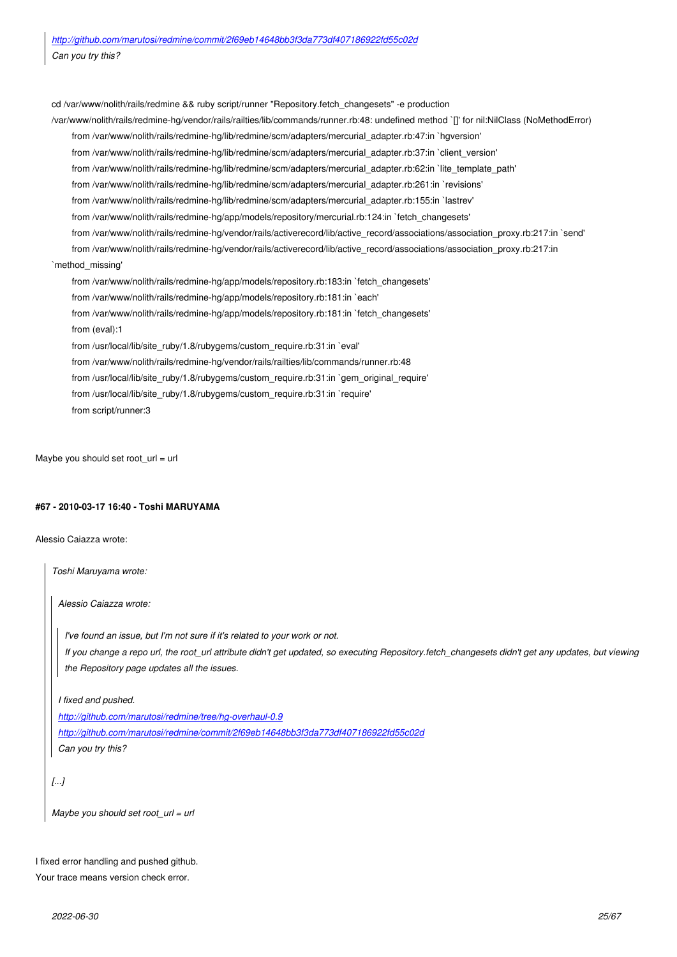[cd /var/www/nolith/rails/redmine && ruby script/runner "Repository.fetch\\_changesets" -e pro](http://github.com/marutosi/redmine/commit/2f69eb14648bb3f3da773df407186922fd55c02d)duction /var/www/nolith/rails/redmine-hg/vendor/rails/railties/lib/commands/runner.rb:48: undefined method `[]' for nil:NilClass (NoMethodError) from /var/www/nolith/rails/redmine-hg/lib/redmine/scm/adapters/mercurial\_adapter.rb:47:in `hgversion' from /var/www/nolith/rails/redmine-hg/lib/redmine/scm/adapters/mercurial\_adapter.rb:37:in `client\_version' from /var/www/nolith/rails/redmine-hg/lib/redmine/scm/adapters/mercurial\_adapter.rb:62:in `lite\_template\_path' from /var/www/nolith/rails/redmine-hg/lib/redmine/scm/adapters/mercurial\_adapter.rb:261:in `revisions' from /var/www/nolith/rails/redmine-hg/lib/redmine/scm/adapters/mercurial\_adapter.rb:155:in `lastrev' from /var/www/nolith/rails/redmine-hg/app/models/repository/mercurial.rb:124:in `fetch\_changesets' from /var/www/nolith/rails/redmine-hg/vendor/rails/activerecord/lib/active\_record/associations/association\_proxy.rb:217:in `send' from /var/www/nolith/rails/redmine-hg/vendor/rails/activerecord/lib/active\_record/associations/association\_proxy.rb:217:in `method\_missing' from /var/www/nolith/rails/redmine-hg/app/models/repository.rb:183:in `fetch\_changesets' from /var/www/nolith/rails/redmine-hg/app/models/repository.rb:181:in `each' from /var/www/nolith/rails/redmine-hg/app/models/repository.rb:181:in `fetch\_changesets' from (eval):1 from /usr/local/lib/site\_ruby/1.8/rubygems/custom\_require.rb:31:in `eval' from /var/www/nolith/rails/redmine-hg/vendor/rails/railties/lib/commands/runner.rb:48 from /usr/local/lib/site\_ruby/1.8/rubygems/custom\_require.rb:31:in `gem\_original\_require' from /usr/local/lib/site\_ruby/1.8/rubygems/custom\_require.rb:31:in `require' from script/runner:3

Maybe you should set root  $url = url$ 

## **#67 - 2010-03-17 16:40 - Toshi MARUYAMA**

Alessio Caiazza wrote:

*Toshi Maruyama wrote:*

*Alessio Caiazza wrote:*

*I've found an issue, but I'm not sure if it's related to your work or not. If you change a repo url, the root\_url attribute didn't get updated, so executing Repository.fetch\_changesets didn't get any updates, but viewing the Repository page updates all the issues.*

*I fixed and pushed.*

*http://github.com/marutosi/redmine/tree/hg-overhaul-0.9 http://github.com/marutosi/redmine/commit/2f69eb14648bb3f3da773df407186922fd55c02d Can you try this?*

*[.[..\]](http://github.com/marutosi/redmine/commit/2f69eb14648bb3f3da773df407186922fd55c02d)*

*Maybe you should set root\_url = url*

I fixed error handling and pushed github. Your trace means version check error.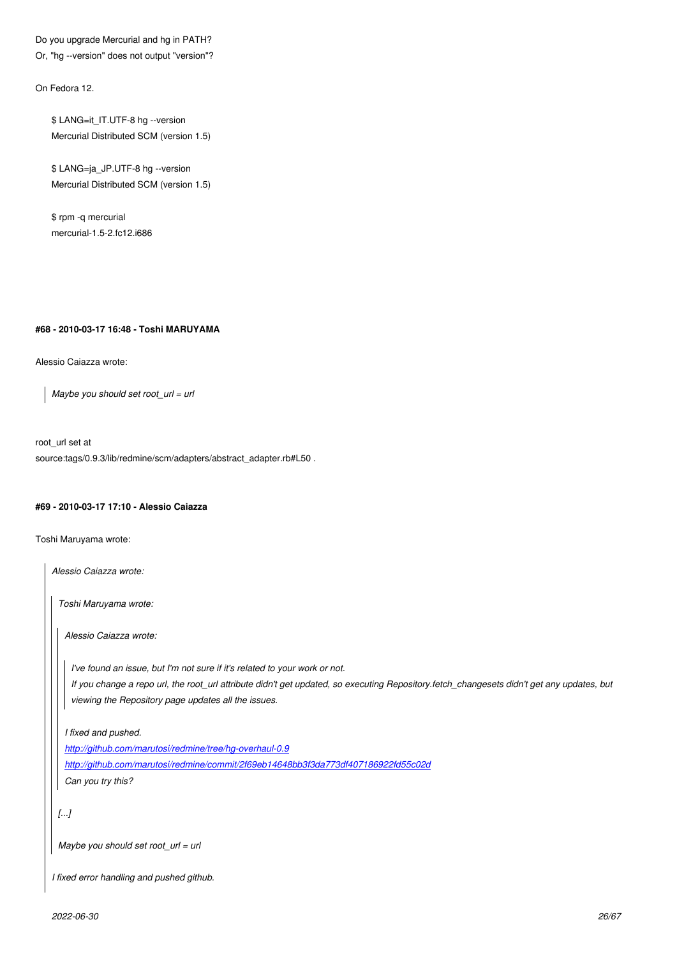Or, "hg --version" does not output "version"?

On Fedora 12.

\$ LANG=it\_IT.UTF-8 hg --version Mercurial Distributed SCM (version 1.5)

\$ LANG=ja\_JP.UTF-8 hg --version Mercurial Distributed SCM (version 1.5)

\$ rpm -q mercurial mercurial-1.5-2.fc12.i686

### **#68 - 2010-03-17 16:48 - Toshi MARUYAMA**

Alessio Caiazza wrote:

*Maybe you should set root\_url = url*

root\_url set at source:tags/0.9.3/lib/redmine/scm/adapters/abstract\_adapter.rb#L50.

## **#69 - 2010-03-17 17:10 - Alessio Caiazza**

Toshi Maruyama wrote:

*Alessio Caiazza wrote: Toshi Maruyama wrote: Alessio Caiazza wrote: I've found an issue, but I'm not sure if it's related to your work or not. If you change a repo url, the root\_url attribute didn't get updated, so executing Repository.fetch\_changesets didn't get any updates, but viewing the Repository page updates all the issues. I fixed and pushed. http://github.com/marutosi/redmine/tree/hg-overhaul-0.9 http://github.com/marutosi/redmine/commit/2f69eb14648bb3f3da773df407186922fd55c02d Can you try this? [.[..\]](http://github.com/marutosi/redmine/commit/2f69eb14648bb3f3da773df407186922fd55c02d) Maybe you should set root\_url = url I fixed error handling and pushed github.*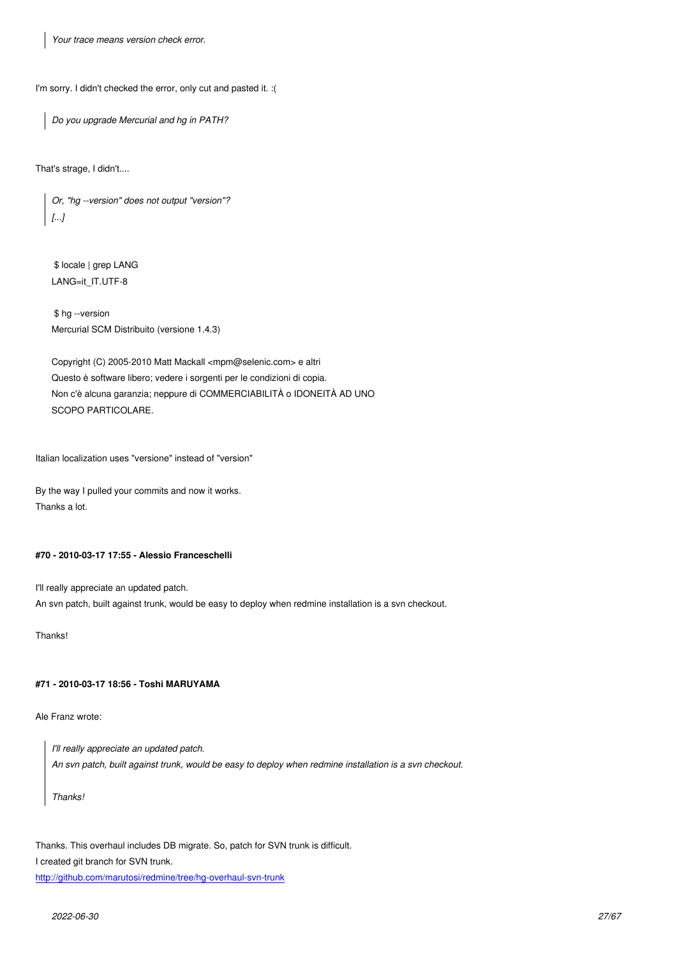I'm sorry. I didn't checked the error, only cut and pasted it. :(

*Do you upgrade Mercurial and hg in PATH?*

That's strage, I didn't....

*Or, "hg --version" does not output "version"? [...]*

 \$ locale | grep LANG LANG=it\_IT.UTF-8

 \$ hg --version Mercurial SCM Distribuito (versione 1.4.3)

Copyright (C) 2005-2010 Matt Mackall <mpm@selenic.com> e altri Questo è software libero; vedere i sorgenti per le condizioni di copia. Non c'è alcuna garanzia; neppure di COMMERCIABILITÀ o IDONEITÀ AD UNO SCOPO PARTICOLARE.

Italian localization uses "versione" instead of "version"

By the way I pulled your commits and now it works. Thanks a lot.

## **#70 - 2010-03-17 17:55 - Alessio Franceschelli**

I'll really appreciate an updated patch. An svn patch, built against trunk, would be easy to deploy when redmine installation is a svn checkout.

Thanks!

### **#71 - 2010-03-17 18:56 - Toshi MARUYAMA**

Ale Franz wrote:

*I'll really appreciate an updated patch. An svn patch, built against trunk, would be easy to deploy when redmine installation is a svn checkout.*

*Thanks!*

Thanks. This overhaul includes DB migrate. So, patch for SVN trunk is difficult.

I created git branch for SVN trunk.

http://github.com/marutosi/redmine/tree/hg-overhaul-svn-trunk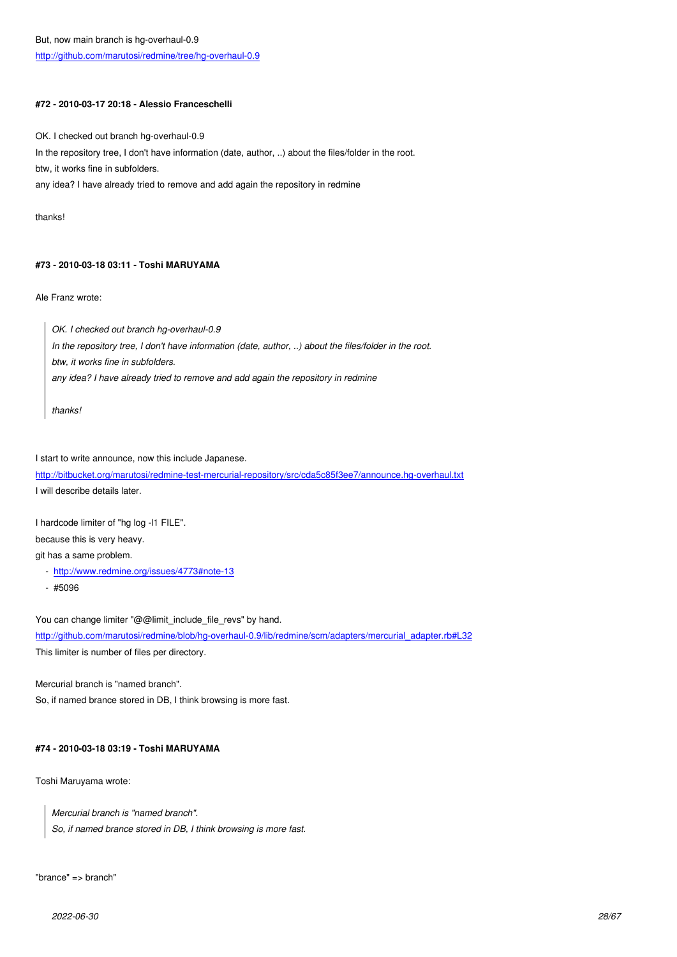## **[#72 - 2010-03-17 20:18 - Alessio Franceschelli](http://github.com/marutosi/redmine/tree/hg-overhaul-0.9)**

OK. I checked out branch hg-overhaul-0.9 In the repository tree, I don't have information (date, author, ..) about the files/folder in the root. btw, it works fine in subfolders. any idea? I have already tried to remove and add again the repository in redmine

thanks!

## **#73 - 2010-03-18 03:11 - Toshi MARUYAMA**

Ale Franz wrote:

*OK. I checked out branch hg-overhaul-0.9 In the repository tree, I don't have information (date, author, ..) about the files/folder in the root. btw, it works fine in subfolders. any idea? I have already tried to remove and add again the repository in redmine*

*thanks!*

I start to write announce, now this include Japanese.

http://bitbucket.org/marutosi/redmine-test-mercurial-repository/src/cda5c85f3ee7/announce.hg-overhaul.txt I will describe details later.

[I hardcode limiter of "hg log -l1 FILE".](http://bitbucket.org/marutosi/redmine-test-mercurial-repository/src/cda5c85f3ee7/announce.hg-overhaul.txt)

because this is very heavy.

git has a same problem.

- http://www.redmine.org/issues/4773#note-13
- #5096

You [can change limiter "@@limit\\_include\\_file\\_rev](http://www.redmine.org/issues/4773#note-13)s" by hand. http://github.com/marutosi/redmine/blob/hg-overhaul-0.9/lib/redmine/scm/adapters/mercurial\_adapter.rb#L32 This limiter is number of files per directory.

[Mercurial branch is "named branch".](http://github.com/marutosi/redmine/blob/hg-overhaul-0.9/lib/redmine/scm/adapters/mercurial_adapter.rb#L32) So, if named brance stored in DB, I think browsing is more fast.

# **#74 - 2010-03-18 03:19 - Toshi MARUYAMA**

Toshi Maruyama wrote:

*Mercurial branch is "named branch". So, if named brance stored in DB, I think browsing is more fast.*

"brance" => branch"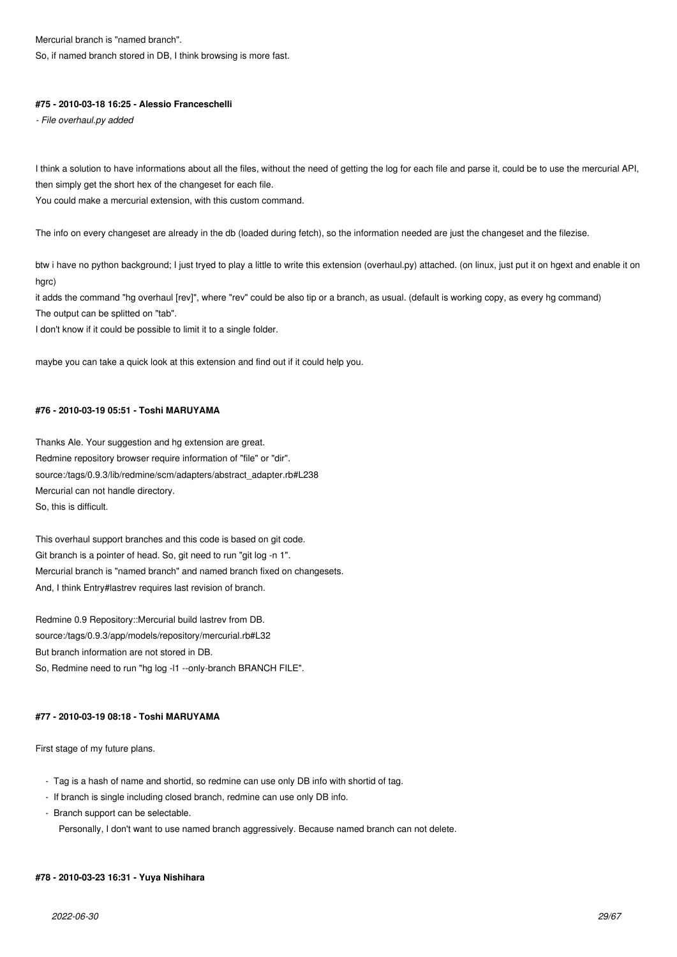## Mercurial branch is "named branch".

So, if named branch stored in DB, I think browsing is more fast.

### **#75 - 2010-03-18 16:25 - Alessio Franceschelli**

*- File overhaul.py added*

I think a solution to have informations about all the files, without the need of getting the log for each file and parse it, could be to use the mercurial API, then simply get the short hex of the changeset for each file.

You could make a mercurial extension, with this custom command.

The info on every changeset are already in the db (loaded during fetch), so the information needed are just the changeset and the filezise.

btw i have no python background; I just tryed to play a little to write this extension (overhaul.py) attached. (on linux, just put it on hgext and enable it on hgrc)

it adds the command "hg overhaul [rev]", where "rev" could be also tip or a branch, as usual. (default is working copy, as every hg command) The output can be splitted on "tab".

I don't know if it could be possible to limit it to a single folder.

maybe you can take a quick look at this extension and find out if it could help you.

## **#76 - 2010-03-19 05:51 - Toshi MARUYAMA**

Thanks Ale. Your suggestion and hg extension are great. Redmine repository browser require information of "file" or "dir". source:/tags/0.9.3/lib/redmine/scm/adapters/abstract\_adapter.rb#L238 Mercurial can not handle directory. So, this is difficult.

This overhaul support branches and this code is based on git code. Git branch is a pointer of head. So, git need to run "git log -n 1". Mercurial branch is "named branch" and named branch fixed on changesets. And, I think Entry#lastrev requires last revision of branch.

Redmine 0.9 Repository::Mercurial build lastrev from DB. source:/tags/0.9.3/app/models/repository/mercurial.rb#L32 But branch information are not stored in DB. So, Redmine need to run "hg log -l1 --only-branch BRANCH FILE".

## **#77 - 2010-03-19 08:18 - Toshi MARUYAMA**

First stage of my future plans.

- Tag is a hash of name and shortid, so redmine can use only DB info with shortid of tag.
- If branch is single including closed branch, redmine can use only DB info.
- Branch support can be selectable.

Personally, I don't want to use named branch aggressively. Because named branch can not delete.

#### **#78 - 2010-03-23 16:31 - Yuya Nishihara**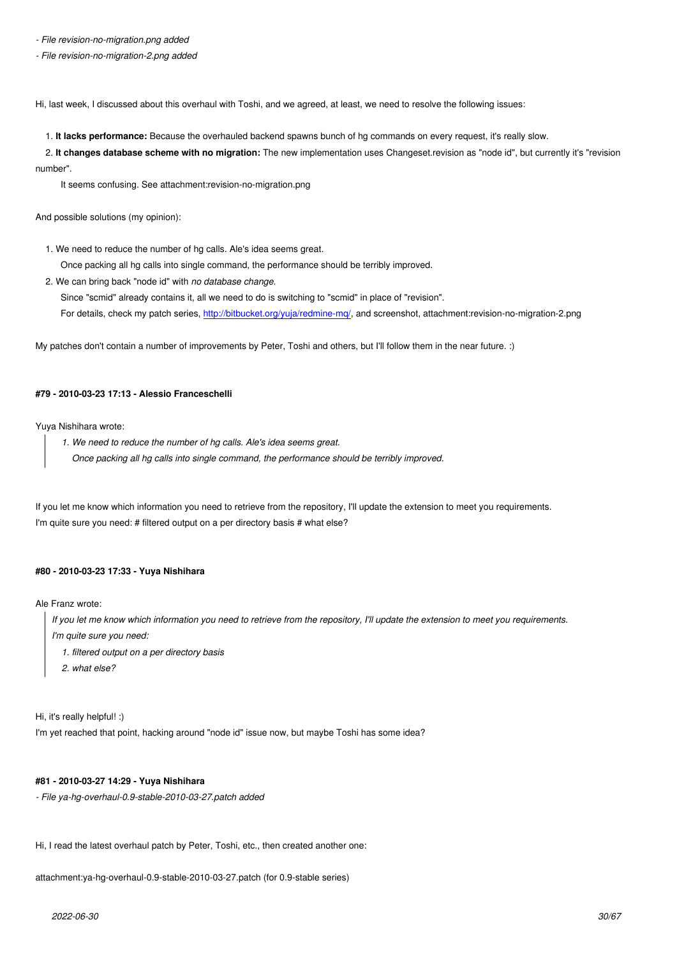*- File revision-no-migration-2.png added*

Hi, last week, I discussed about this overhaul with Toshi, and we agreed, at least, we need to resolve the following issues:

1. **It lacks performance:** Because the overhauled backend spawns bunch of hg commands on every request, it's really slow.

 2. **It changes database scheme with no migration:** The new implementation uses Changeset.revision as "node id", but currently it's "revision number".

It seems confusing. See attachment:revision-no-migration.png

And possible solutions (my opinion):

1. We need to reduce the number of hg calls. Ale's idea seems great.

Once packing all hg calls into single command, the performance should be terribly improved.

2. We can bring back "node id" with *no database change*.

 Since "scmid" already contains it, all we need to do is switching to "scmid" in place of "revision". For details, check my patch series, http://bitbucket.org/yuja/redmine-mq/, and screenshot, attachment:revision-no-migration-2.png

My patches don't contain a number of improvements by Peter, Toshi and others, but I'll follow them in the near future. :)

## **#79 - 2010-03-23 17:13 - Alessio Franceschelli**

Yuya Nishihara wrote:

- *1. We need to reduce the number of hg calls. Ale's idea seems great.*
	- *Once packing all hg calls into single command, the performance should be terribly improved.*

If you let me know which information you need to retrieve from the repository, I'll update the extension to meet you requirements. I'm quite sure you need: # filtered output on a per directory basis # what else?

#### **#80 - 2010-03-23 17:33 - Yuya Nishihara**

Ale Franz wrote:

*If you let me know which information you need to retrieve from the repository, I'll update the extension to meet you requirements.*

*I'm quite sure you need:*

- *1. filtered output on a per directory basis*
- *2. what else?*

Hi, it's really helpful! :)

I'm yet reached that point, hacking around "node id" issue now, but maybe Toshi has some idea?

## **#81 - 2010-03-27 14:29 - Yuya Nishihara**

*- File ya-hg-overhaul-0.9-stable-2010-03-27.patch added*

Hi, I read the latest overhaul patch by Peter, Toshi, etc., then created another one:

attachment:ya-hg-overhaul-0.9-stable-2010-03-27.patch (for 0.9-stable series)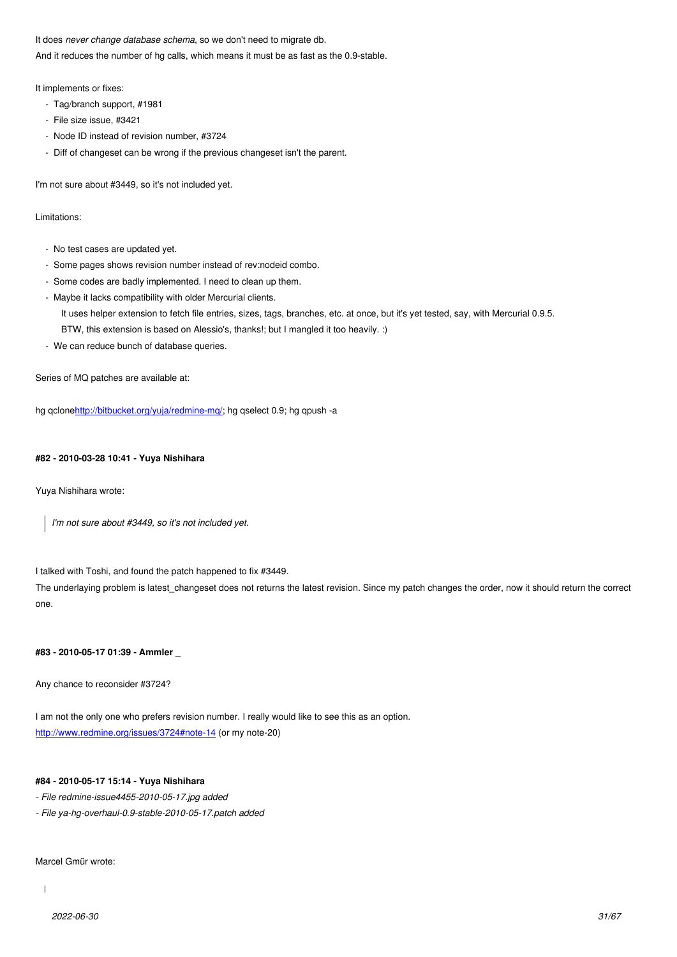And it reduces the number of hg calls, which means it must be as fast as the 0.9-stable.

It implements or fixes:

- Tag/branch support, #1981
- File size issue, #3421
- Node ID instead of revision number, #3724
- Diff of changeset can be wrong if the previous changeset isn't the parent.

I'm not sure about #3449, so it's not included yet.

Limitations:

- No test cases are updated yet.
- Some pages shows revision number instead of rev:nodeid combo.
- Some codes are badly implemented. I need to clean up them.
- Maybe it lacks compatibility with older Mercurial clients.
	- It uses helper extension to fetch file entries, sizes, tags, branches, etc. at once, but it's yet tested, say, with Mercurial 0.9.5.
	- BTW, this extension is based on Alessio's, thanks!; but I mangled it too heavily. :)
- We can reduce bunch of database queries.

Series of MQ patches are available at:

hg qclonehttp://bitbucket.org/yuja/redmine-mq/; hg qselect 0.9; hg qpush -a

### **#82 - 201[0-03-28 10:41 - Yuya Nishihara](http://bitbucket.org/yuja/redmine-mq/)**

Yuya Nishihara wrote:

*I'm not sure about #3449, so it's not included yet.*

I talked with Toshi, and found the patch happened to fix #3449.

The underlaying problem is latest\_changeset does not returns the latest revision. Since my patch changes the order, now it should return the correct one.

### **#83 - 2010-05-17 01:39 - Ammler \_**

Any chance to reconsider #3724?

I am not the only one who prefers revision number. I really would like to see this as an option. http://www.redmine.org/issues/3724#note-14 (or my note-20)

## **#84 - 2010-05-17 15:14 - Yuya Nishihara**

- *[File redmine-issue4455-2010-05-17.jpg add](http://www.redmine.org/issues/3724#note-14)ed*
- *File ya-hg-overhaul-0.9-stable-2010-05-17.patch added*

Marcel Gmür wrote: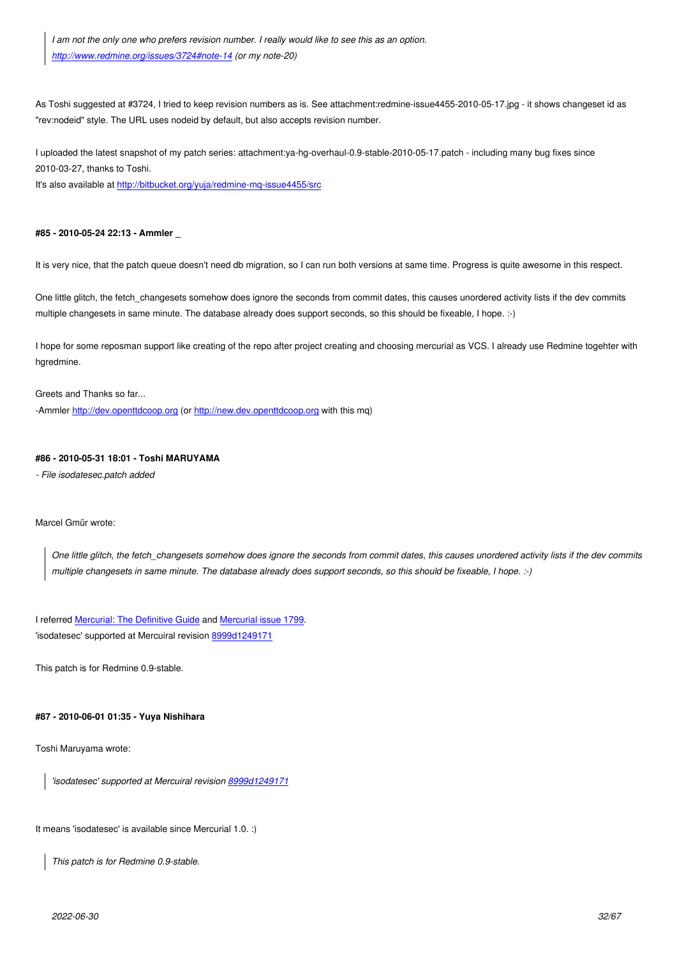As [Toshi suggested at #3724, I tried to keep revis](http://www.redmine.org/issues/3724#note-14)ion numbers as is. See attachment:redmine-issue4455-2010-05-17.jpg - it shows changeset id as "rev:nodeid" style. The URL uses nodeid by default, but also accepts revision number.

I uploaded the latest snapshot of my patch series: attachment:ya-hg-overhaul-0.9-stable-2010-05-17.patch - including many bug fixes since 2010-03-27, thanks to Toshi.

It's also available at http://bitbucket.org/yuja/redmine-mq-issue4455/src

### **#85 - 2010-05-24 2[2:13 - Ammler \\_](http://bitbucket.org/yuja/redmine-mq-issue4455/src)**

It is very nice, that the patch queue doesn't need db migration, so I can run both versions at same time. Progress is quite awesome in this respect.

One little glitch, the fetch changesets somehow does ignore the seconds from commit dates, this causes unordered activity lists if the dev commits multiple changesets in same minute. The database already does support seconds, so this should be fixeable, I hope. :-)

I hope for some reposman support like creating of the repo after project creating and choosing mercurial as VCS. I already use Redmine togehter with hgredmine.

Greets and Thanks so far...

-Ammler http://dev.openttdcoop.org (or http://new.dev.openttdcoop.org with this mq)

### **#86 - 2010-05-31 18:01 - Toshi MARU[YAMA](http://new.dev.openttdcoop.org)**

*- File iso[datesec.patch added](http://dev.openttdcoop.org)*

Marcel Gmür wrote:

*One little glitch, the fetch\_changesets somehow does ignore the seconds from commit dates, this causes unordered activity lists if the dev commits multiple changesets in same minute. The database already does support seconds, so this should be fixeable, I hope. :-)*

I referred Mercurial: The Definitive Guide and Mercurial issue 1799. 'isodatesec' supported at Mercuiral revision 8999d1249171

This patc[h is for Redmine 0.9-stable.](http://hgbook.red-bean.com/read/customizing-the-output-of-mercurial.html)

### **#87 - 2010-06-01 01:35 - Yuya Nishihara**

Toshi Maruyama wrote:

*'isodatesec' supported at Mercuiral revision 8999d1249171*

It means 'isodatesec' is available since Mercuri[al 1.0. :\)](http://mercurial.selenic.com/hg/hg-stable/rev/8999d1249171)

*This patch is for Redmine 0.9-stable.*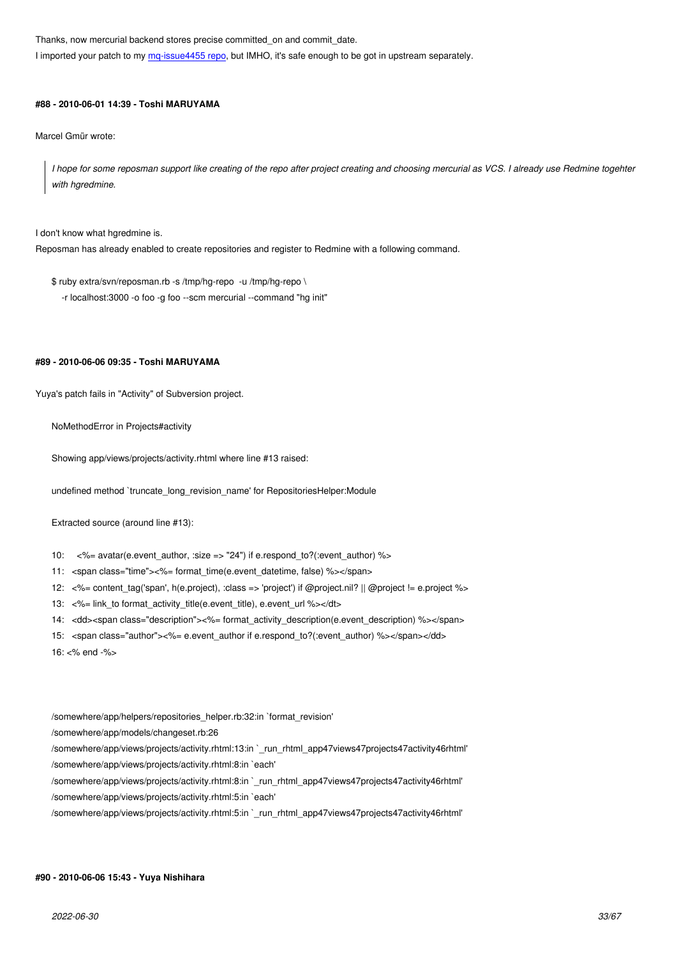**HEDD I EDD, DUTTIVE, IT'S SAFE ENOUGH TO DE GOT IN UPSTREAM** SEPARATELY.

### **#88 - 2010-06-01 14:39 - T[oshi MARUYAMA](http://bitbucket.org/yuja/redmine-mq-issue4455)**

Marcel Gmür wrote:

*I hope for some reposman support like creating of the repo after project creating and choosing mercurial as VCS. I already use Redmine togehter with hgredmine.*

I don't know what hgredmine is.

Reposman has already enabled to create repositories and register to Redmine with a following command.

\$ ruby extra/svn/reposman.rb -s /tmp/hg-repo -u /tmp/hg-repo \ -r localhost:3000 -o foo -g foo --scm mercurial --command "hg init"

#### **#89 - 2010-06-06 09:35 - Toshi MARUYAMA**

Yuya's patch fails in "Activity" of Subversion project.

NoMethodError in Projects#activity

Showing app/views/projects/activity.rhtml where line #13 raised:

undefined method `truncate\_long\_revision\_name' for RepositoriesHelper:Module

Extracted source (around line #13):

10: <%= avatar(e.event\_author, :size => "24") if e.respond\_to?(:event\_author) %>

11: <span class="time"><%= format\_time(e.event\_datetime, false) %></span>

- 12: <%= content\_tag('span', h(e.project), :class => 'project') if @project.nil? || @project != e.project %>
- 13: <%= link\_to format\_activity\_title(e.event\_title), e.event\_url %></dt>
- 14: <dd><span class="description"><%= format\_activity\_description(e.event\_description) %></span>
- 15: <span class="author"><%= e.event\_author if e.respond\_to?(:event\_author) %></span></dd>

16: <% end -%>

/somewhere/app/helpers/repositories\_helper.rb:32:in `format\_revision' /somewhere/app/models/changeset.rb:26 /somewhere/app/views/projects/activity.rhtml:13:in `\_run\_rhtml\_app47views47projects47activity46rhtml' /somewhere/app/views/projects/activity.rhtml:8:in `each' /somewhere/app/views/projects/activity.rhtml:8:in `\_run\_rhtml\_app47views47projects47activity46rhtml' /somewhere/app/views/projects/activity.rhtml:5:in `each'

## /somewhere/app/views/projects/activity.rhtml:5:in `\_run\_rhtml\_app47views47projects47activity46rhtml'

#### **#90 - 2010-06-06 15:43 - Yuya Nishihara**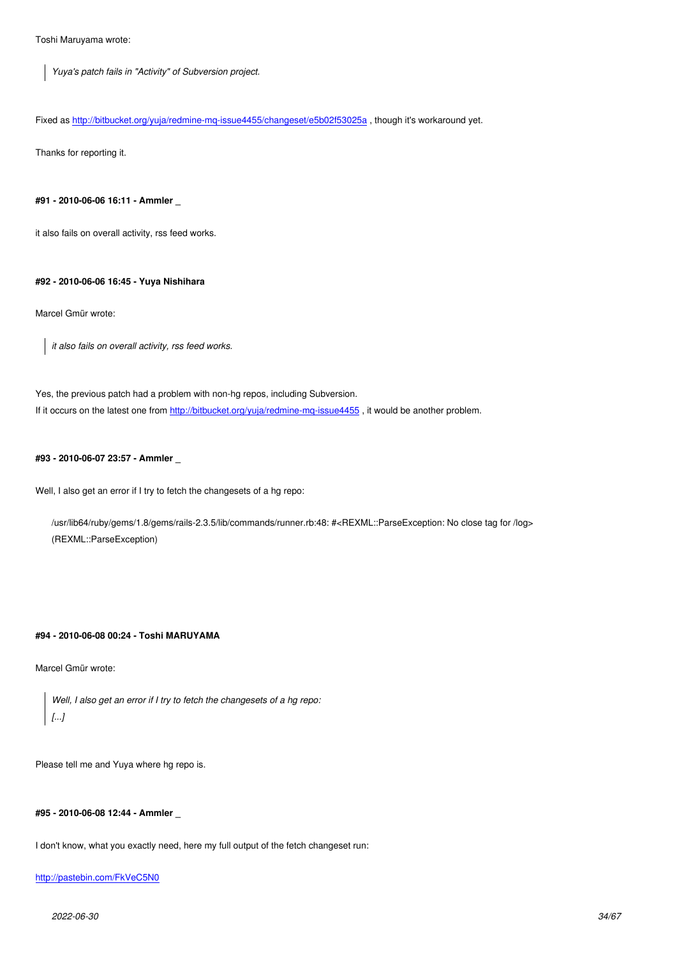*Yuya's patch fails in "Activity" of Subversion project.*

Fixed as http://bitbucket.org/yuja/redmine-mq-issue4455/changeset/e5b02f53025a , though it's workaround yet.

Thanks for reporting it.

## **#91 - 2010-06-06 16:11 - Ammler \_**

it also fails on overall activity, rss feed works.

## **#92 - 2010-06-06 16:45 - Yuya Nishihara**

Marcel Gmür wrote:

*it also fails on overall activity, rss feed works.*

Yes, the previous patch had a problem with non-hg repos, including Subversion. If it occurs on the latest one from http://bitbucket.org/yuja/redmine-mq-issue4455 , it would be another problem.

#### **#93 - 2010-06-07 23:57 - Amml[er \\_](http://bitbucket.org/yuja/redmine-mq-issue4455)**

Well, I also get an error if I try to fetch the changesets of a hg repo:

/usr/lib64/ruby/gems/1.8/gems/rails-2.3.5/lib/commands/runner.rb:48: #<REXML::ParseException: No close tag for /log> (REXML::ParseException)

### **#94 - 2010-06-08 00:24 - Toshi MARUYAMA**

Marcel Gmür wrote:

*Well, I also get an error if I try to fetch the changesets of a hg repo: [...]*

Please tell me and Yuya where hg repo is.

### **#95 - 2010-06-08 12:44 - Ammler \_**

I don't know, what you exactly need, here my full output of the fetch changeset run:

### http://pastebin.com/FkVeC5N0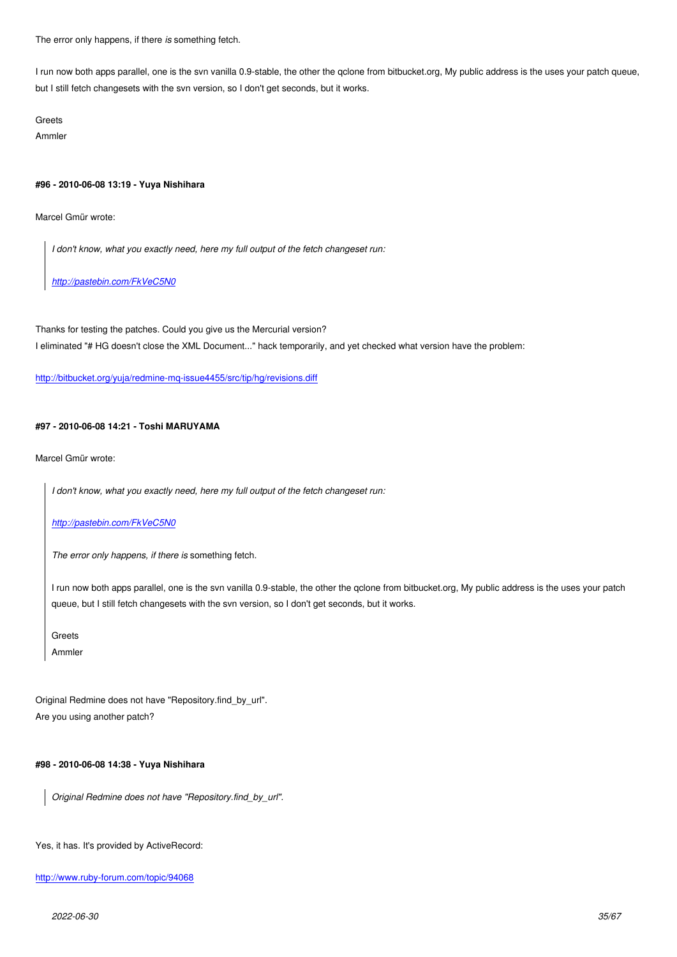I run now both apps parallel, one is the svn vanilla 0.9-stable, the other the qclone from bitbucket.org, My public address is the uses your patch queue, but I still fetch changesets with the svn version, so I don't get seconds, but it works.

Greets

Ammler

#### **#96 - 2010-06-08 13:19 - Yuya Nishihara**

Marcel Gmür wrote:

*I don't know, what you exactly need, here my full output of the fetch changeset run:*

*http://pastebin.com/FkVeC5N0*

Tha[nks for testing the patches. Cou](http://pastebin.com/FkVeC5N0)ld you give us the Mercurial version?

I eliminated "# HG doesn't close the XML Document..." hack temporarily, and yet checked what version have the problem:

http://bitbucket.org/yuja/redmine-mq-issue4455/src/tip/hg/revisions.diff

## **[#97 - 2010-06-08 14:21 - Toshi MARUYAMA](http://bitbucket.org/yuja/redmine-mq-issue4455/src/tip/hg/revisions.diff)**

Marcel Gmür wrote:

*I don't know, what you exactly need, here my full output of the fetch changeset run:*

*http://pastebin.com/FkVeC5N0*

*The error only happens, if there is* something fetch.

[I run now both apps parallel, on](http://pastebin.com/FkVeC5N0)e is the svn vanilla 0.9-stable, the other the qclone from bitbucket.org, My public address is the uses your patch queue, but I still fetch changesets with the svn version, so I don't get seconds, but it works.

**Greets** 

Ammler

Original Redmine does not have "Repository.find\_by\_url". Are you using another patch?

### **#98 - 2010-06-08 14:38 - Yuya Nishihara**

*Original Redmine does not have "Repository.find\_by\_url".*

#### Yes, it has. It's provided by ActiveRecord:

#### http://www.ruby-forum.com/topic/94068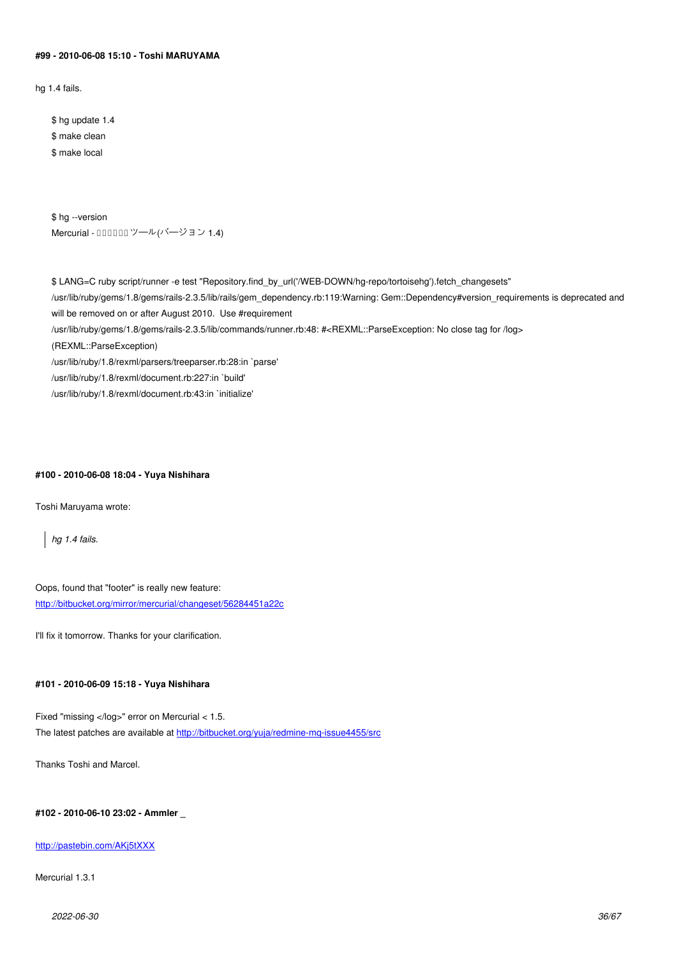#### **#99 - 2010-06-08 15:10 - Toshi MARUYAMA**

hg 1.4 fails.

\$ hg update 1.4 \$ make clean \$ make local

\$ hg --version Mercurial - 000000ツール(バージョン 1.4)

\$ LANG=C ruby script/runner -e test "Repository.find\_by\_url('/WEB-DOWN/hg-repo/tortoisehg').fetch\_changesets" /usr/lib/ruby/gems/1.8/gems/rails-2.3.5/lib/rails/gem\_dependency.rb:119:Warning: Gem::Dependency#version\_requirements is deprecated and will be removed on or after August 2010. Use #requirement /usr/lib/ruby/gems/1.8/gems/rails-2.3.5/lib/commands/runner.rb:48: #<REXML::ParseException: No close tag for /log> (REXML::ParseException) /usr/lib/ruby/1.8/rexml/parsers/treeparser.rb:28:in `parse' /usr/lib/ruby/1.8/rexml/document.rb:227:in `build' /usr/lib/ruby/1.8/rexml/document.rb:43:in `initialize'

## **#100 - 2010-06-08 18:04 - Yuya Nishihara**

Toshi Maruyama wrote:

*hg 1.4 fails.*

Oops, found that "footer" is really new feature: http://bitbucket.org/mirror/mercurial/changeset/56284451a22c

I'll fix it tomorrow. Thanks for your clarification.

## **#101 - 2010-06-09 15:18 - Yuya Nishihara**

Fixed "missing </log>" error on Mercurial < 1.5. The latest patches are available at http://bitbucket.org/yuja/redmine-mq-issue4455/src

Thanks Toshi and Marcel.

**#102 - 2010-06-10 23:02 - Ammler \_**

### http://pastebin.com/AKj5tXXX

Mercurial 1.3.1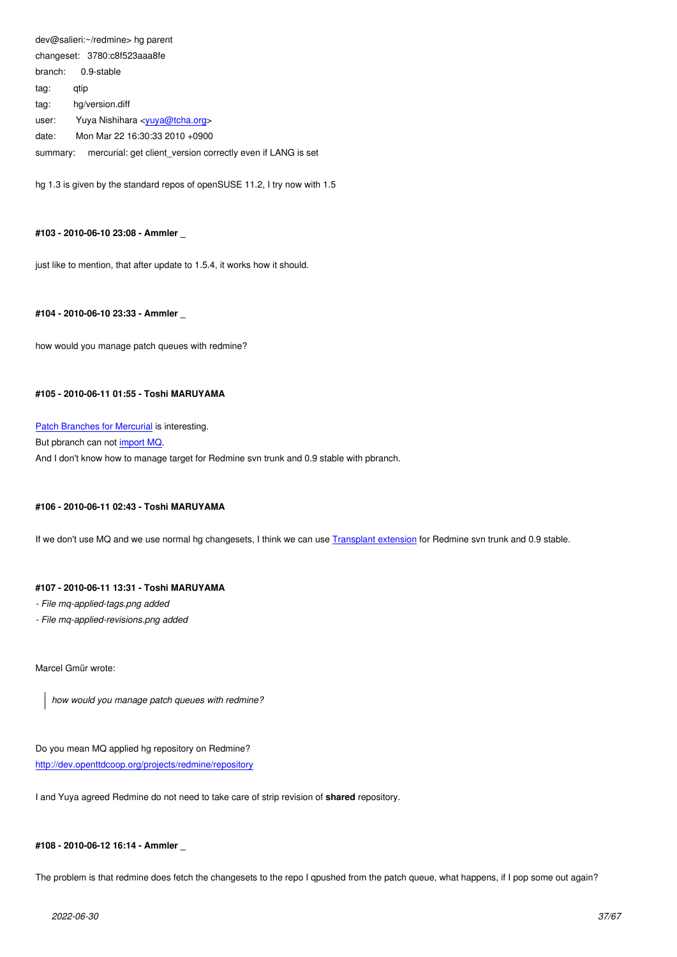changeset. 3780.com/caaabie branch: 0.9-stable tag: qtip tag: hg/version.diff

user: Yuya Nishihara <yuya@tcha.org>

date: Mon Mar 22 16:30:33 2010 +0900

summary: mercurial: get client\_version correctly even if LANG is set

hg 1.3 is given by the stan[dard repos of op](mailto:yuya@tcha.org)enSUSE 11.2, I try now with 1.5

## **#103 - 2010-06-10 23:08 - Ammler \_**

just like to mention, that after update to 1.5.4, it works how it should.

## **#104 - 2010-06-10 23:33 - Ammler \_**

how would you manage patch queues with redmine?

## **#105 - 2010-06-11 01:55 - Toshi MARUYAMA**

Patch Branches for Mercurial is interesting. But pbranch can not import MQ. And I don't know how to manage target for Redmine svn trunk and 0.9 stable with pbranch.

## **#106 - 2010-06-11 0[2:43 - Tosh](http://bitbucket.org/parren/hg-pbranch/issue/13/mq-import)i MARUYAMA**

If we don't use MQ and we use normal hg changesets, I think we can use Transplant extension for Redmine svn trunk and 0.9 stable.

### **#107 - 2010-06-11 13:31 - Toshi MARUYAMA**

### *- File mq-applied-tags.png added*

*- File mq-applied-revisions.png added*

Marcel Gmür wrote:

*how would you manage patch queues with redmine?*

Do you mean MQ applied hg repository on Redmine? http://dev.openttdcoop.org/projects/redmine/repository

I and Yuya agreed Redmine do not need to take care of strip revision of **shared** repository.

## **#108 - 2010-06-12 16:14 - Ammler \_**

The problem is that redmine does fetch the changesets to the repo I qpushed from the patch queue, what happens, if I pop some out again?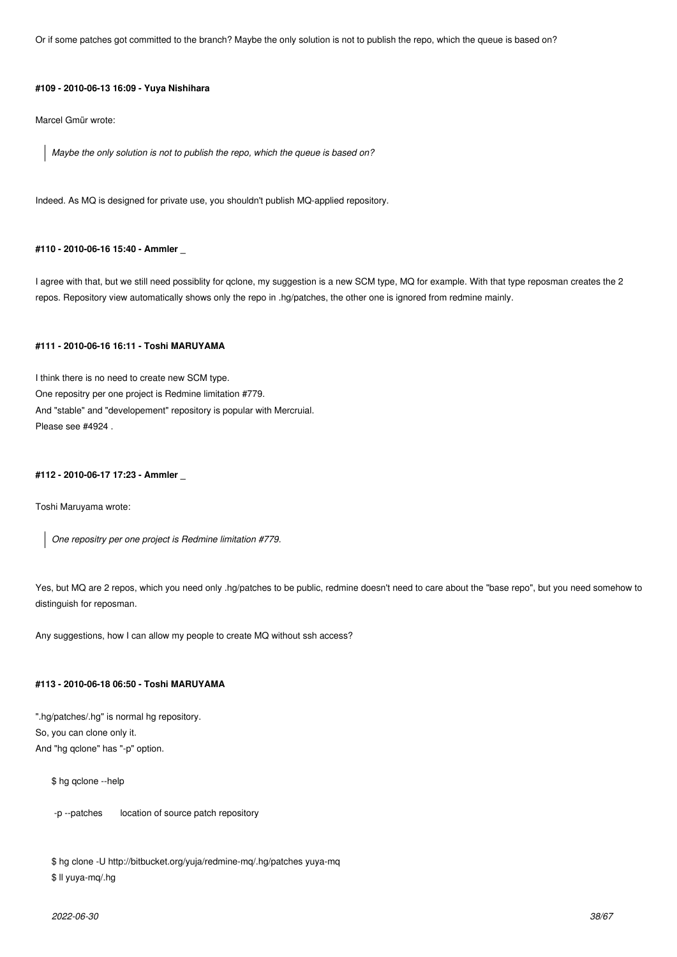Or if some patches got committed to the branch? Maybe the only solution is not to publish the repo, which the queue is based on?

### **#109 - 2010-06-13 16:09 - Yuya Nishihara**

Marcel Gmür wrote:

*Maybe the only solution is not to publish the repo, which the queue is based on?*

Indeed. As MQ is designed for private use, you shouldn't publish MQ-applied repository.

## **#110 - 2010-06-16 15:40 - Ammler \_**

I agree with that, but we still need possiblity for qclone, my suggestion is a new SCM type, MQ for example. With that type reposman creates the 2 repos. Repository view automatically shows only the repo in .hg/patches, the other one is ignored from redmine mainly.

## **#111 - 2010-06-16 16:11 - Toshi MARUYAMA**

I think there is no need to create new SCM type. One repositry per one project is Redmine limitation #779. And "stable" and "developement" repository is popular with Mercruial. Please see #4924 .

#### **#112 - 2010-06-17 17:23 - Ammler \_**

Toshi Maruyama wrote:

*One repositry per one project is Redmine limitation #779.*

Yes, but MQ are 2 repos, which you need only .hg/patches to be public, redmine doesn't need to care about the "base repo", but you need somehow to distinguish for reposman.

Any suggestions, how I can allow my people to create MQ without ssh access?

## **#113 - 2010-06-18 06:50 - Toshi MARUYAMA**

".hg/patches/.hg" is normal hg repository. So, you can clone only it. And "hg qclone" has "-p" option.

\$ hg qclone --help

-p --patches location of source patch repository

```
$ hg clone -U http://bitbucket.org/yuja/redmine-mq/.hg/patches yuya-mq
$ ll yuya-mq/.hg
```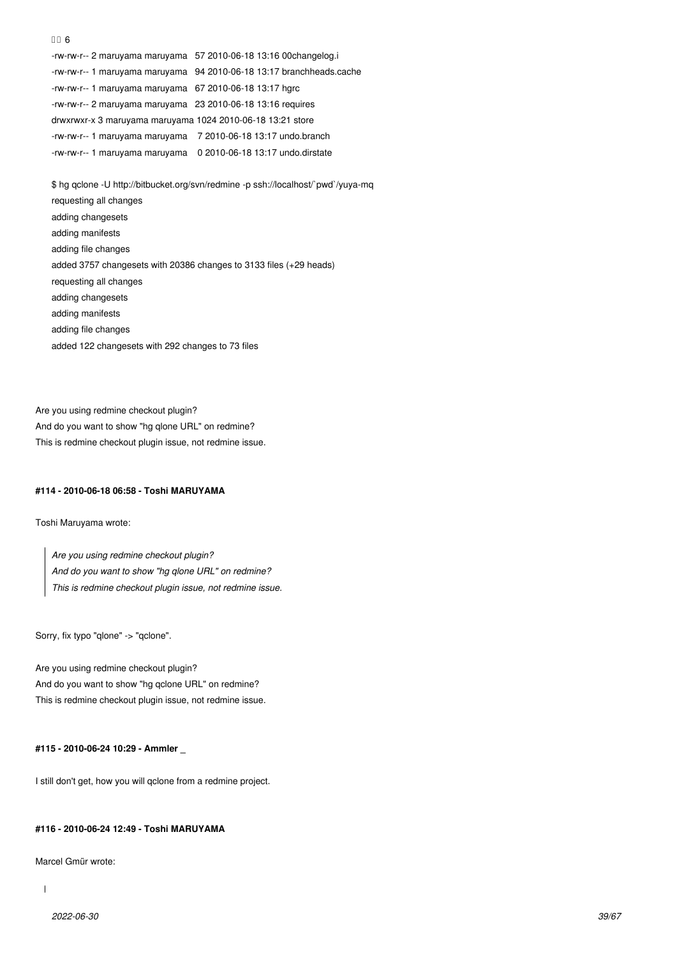-rw-rw-r-- 2 maruyama maruyama 57 2010-06-18 13:16 00changelog.i -rw-rw-r-- 1 maruyama maruyama 94 2010-06-18 13:17 branchheads.cache -rw-rw-r-- 1 maruyama maruyama 67 2010-06-18 13:17 hgrc -rw-rw-r-- 2 maruyama maruyama 23 2010-06-18 13:16 requires drwxrwxr-x 3 maruyama maruyama 1024 2010-06-18 13:21 store -rw-rw-r-- 1 maruyama maruyama 7 2010-06-18 13:17 undo.branch -rw-rw-r-- 1 maruyama maruyama 0 2010-06-18 13:17 undo.dirstate

\$ hg qclone -U http://bitbucket.org/svn/redmine -p ssh://localhost/`pwd`/yuya-mq requesting all changes adding changesets adding manifests adding file changes added 3757 changesets with 20386 changes to 3133 files (+29 heads) requesting all changes adding changesets adding manifests adding file changes added 122 changesets with 292 changes to 73 files

Are you using redmine checkout plugin? And do you want to show "hg qlone URL" on redmine? This is redmine checkout plugin issue, not redmine issue.

## **#114 - 2010-06-18 06:58 - Toshi MARUYAMA**

Toshi Maruyama wrote:

 $n \cap 6$ 

*Are you using redmine checkout plugin? And do you want to show "hg qlone URL" on redmine? This is redmine checkout plugin issue, not redmine issue.*

Sorry, fix typo "qlone" -> "qclone".

Are you using redmine checkout plugin? And do you want to show "hg qclone URL" on redmine? This is redmine checkout plugin issue, not redmine issue.

**#115 - 2010-06-24 10:29 - Ammler \_**

I still don't get, how you will qclone from a redmine project.

#### **#116 - 2010-06-24 12:49 - Toshi MARUYAMA**

Marcel Gmür wrote:

 $\overline{1}$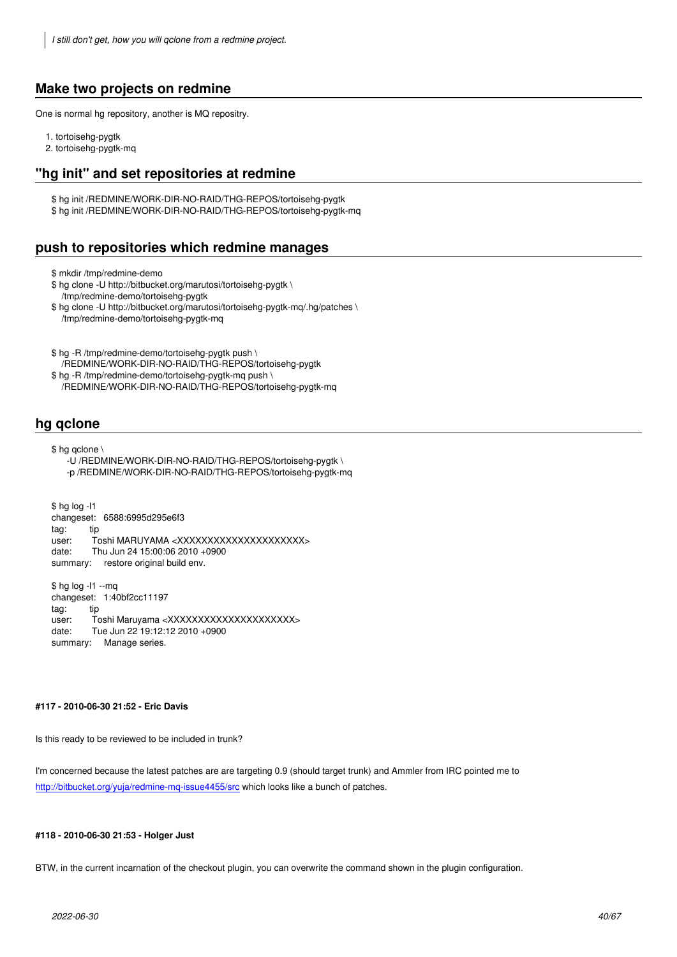# **Make two projects on redmine**

One is normal hg repository, another is MQ repositry.

- 1. tortoisehg-pygtk
- 2. tortoisehg-pygtk-mq

## **"hg init" and set repositories at redmine**

\$ hg init /REDMINE/WORK-DIR-NO-RAID/THG-REPOS/tortoisehg-pygtk \$ hg init /REDMINE/WORK-DIR-NO-RAID/THG-REPOS/tortoisehg-pygtk-mq

# **push to repositories which redmine manages**

\$ mkdir /tmp/redmine-demo

\$ hg clone -U http://bitbucket.org/marutosi/tortoisehg-pygtk \ /tmp/redmine-demo/tortoisehg-pygtk

\$ hg clone -U http://bitbucket.org/marutosi/tortoisehg-pygtk-mq/.hg/patches \ /tmp/redmine-demo/tortoisehg-pygtk-mq

\$ hg -R /tmp/redmine-demo/tortoisehg-pygtk push \

- /REDMINE/WORK-DIR-NO-RAID/THG-REPOS/tortoisehg-pygtk \$ hg -R /tmp/redmine-demo/tortoisehg-pygtk-mq push \
- /REDMINE/WORK-DIR-NO-RAID/THG-REPOS/tortoisehg-pygtk-mq

# **hg qclone**

\$ hg qclone \

 -U /REDMINE/WORK-DIR-NO-RAID/THG-REPOS/tortoisehg-pygtk \ -p /REDMINE/WORK-DIR-NO-RAID/THG-REPOS/tortoisehg-pygtk-mq

\$ hg log -l1 changeset: 6588:6995d295e6f3 tag: tip user: Toshi MARUYAMA <XXXXXXXXXXXXXXXXXXXXXX date: Thu Jun 24 15:00:06 2010 +0900 summary: restore original build env.

\$ hg log -l1 --mq changeset: 1:40bf2cc11197 tag: tip user: Toshi Maruyama <XXXXXXXXXXXXXXXXXXXXXX date: Tue Jun 22 19:12:12 2010 +0900 summary: Manage series.

## **#117 - 2010-06-30 21:52 - Eric Davis**

Is this ready to be reviewed to be included in trunk?

I'm concerned because the latest patches are are targeting 0.9 (should target trunk) and Ammler from IRC pointed me to http://bitbucket.org/yuja/redmine-mq-issue4455/src which looks like a bunch of patches.

### **[#118 - 2010-06-30 21:53 - Holger Just](http://bitbucket.org/yuja/redmine-mq-issue4455/src)**

BTW, in the current incarnation of the checkout plugin, you can overwrite the command shown in the plugin configuration.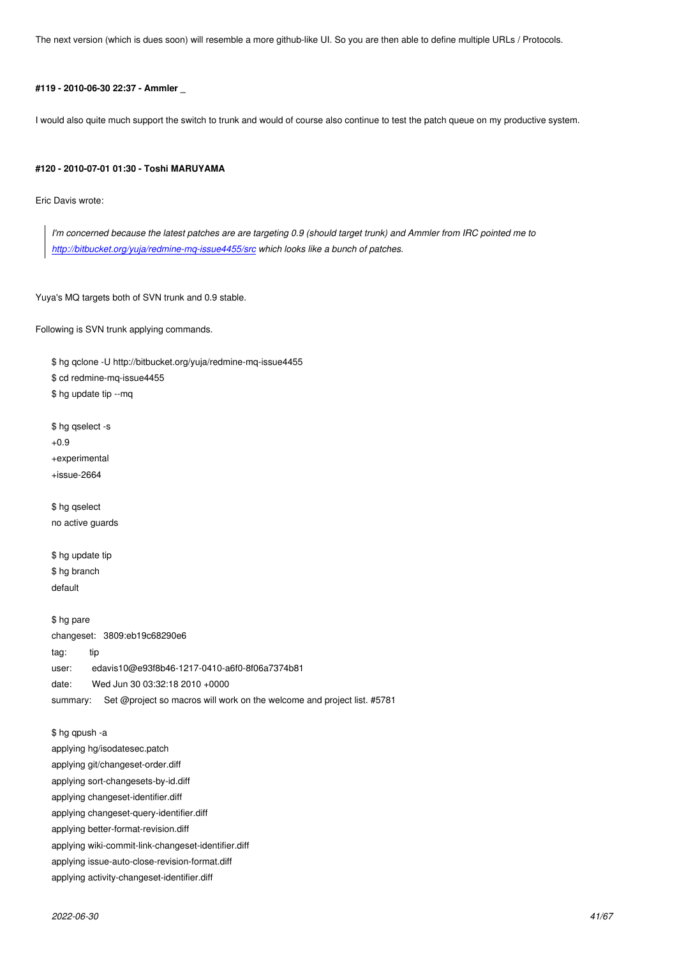## **#119 - 2010-06-30 22:37 - Ammler \_**

I would also quite much support the switch to trunk and would of course also continue to test the patch queue on my productive system.

## **#120 - 2010-07-01 01:30 - Toshi MARUYAMA**

Eric Davis wrote:

*I'm concerned because the latest patches are are targeting 0.9 (should target trunk) and Ammler from IRC pointed me to http://bitbucket.org/yuja/redmine-mq-issue4455/src which looks like a bunch of patches.*

Yuy[a](http://bitbucket.org/yuja/redmine-mq-issue4455/src)'[s MQ targets both of SVN trunk and 0.9 stable.](http://bitbucket.org/yuja/redmine-mq-issue4455/src)

Following is SVN trunk applying commands.

\$ hg qclone -U http://bitbucket.org/yuja/redmine-mq-issue4455 \$ cd redmine-mq-issue4455 \$ hg update tip --mq \$ hg qselect -s +0.9 +experimental +issue-2664

\$ hg qselect no active guards

\$ hg update tip \$ hg branch default

\$ hg pare changeset: 3809:eb19c68290e6 tag: tip user: edavis10@e93f8b46-1217-0410-a6f0-8f06a7374b81 date: Wed Jun 30 03:32:18 2010 +0000 summary: Set @project so macros will work on the welcome and project list. #5781

\$ hg qpush -a applying hg/isodatesec.patch applying git/changeset-order.diff applying sort-changesets-by-id.diff applying changeset-identifier.diff applying changeset-query-identifier.diff applying better-format-revision.diff applying wiki-commit-link-changeset-identifier.diff

applying issue-auto-close-revision-format.diff applying activity-changeset-identifier.diff

*2022-06-30 41/67*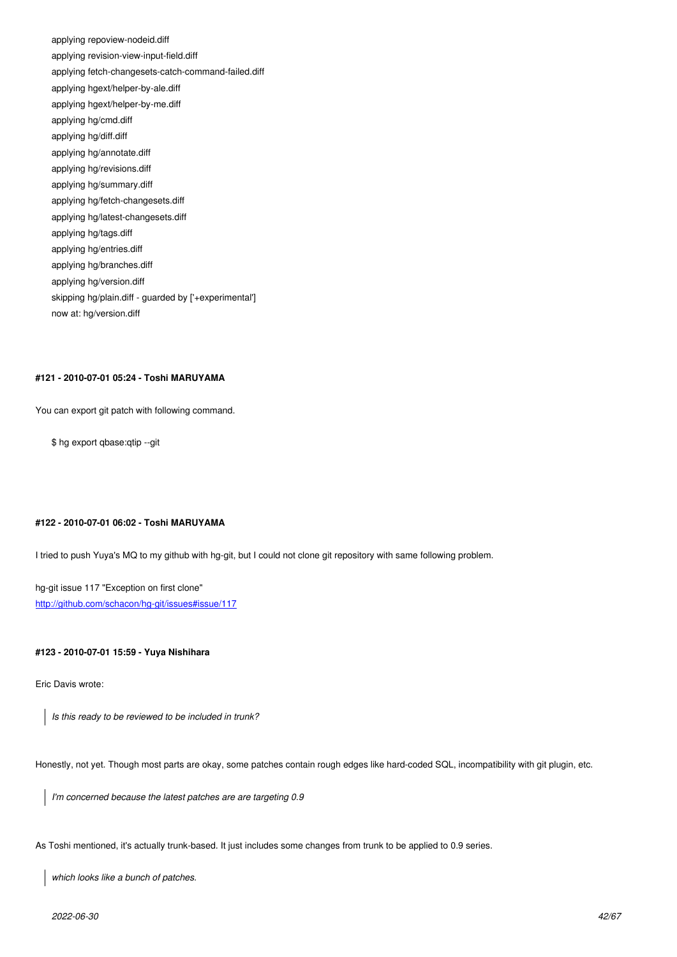applying revision-view-input-field.diff applying fetch-changesets-catch-command-failed.diff applying hgext/helper-by-ale.diff applying hgext/helper-by-me.diff applying hg/cmd.diff applying hg/diff.diff applying hg/annotate.diff applying hg/revisions.diff applying hg/summary.diff applying hg/fetch-changesets.diff applying hg/latest-changesets.diff applying hg/tags.diff applying hg/entries.diff applying hg/branches.diff applying hg/version.diff skipping hg/plain.diff - guarded by ['+experimental'] now at: hg/version.diff

## **#121 - 2010-07-01 05:24 - Toshi MARUYAMA**

You can export git patch with following command.

\$ hg export qbase:qtip --git

### **#122 - 2010-07-01 06:02 - Toshi MARUYAMA**

I tried to push Yuya's MQ to my github with hg-git, but I could not clone git repository with same following problem.

hg-git issue 117 "Exception on first clone" http://github.com/schacon/hg-git/issues#issue/117

### **[#123 - 2010-07-01 15:59 - Yuya Nishihara](http://github.com/schacon/hg-git/issues#issue/117)**

Eric Davis wrote:

*Is this ready to be reviewed to be included in trunk?*

Honestly, not yet. Though most parts are okay, some patches contain rough edges like hard-coded SQL, incompatibility with git plugin, etc.

*I'm concerned because the latest patches are are targeting 0.9*

As Toshi mentioned, it's actually trunk-based. It just includes some changes from trunk to be applied to 0.9 series.

*which looks like a bunch of patches.*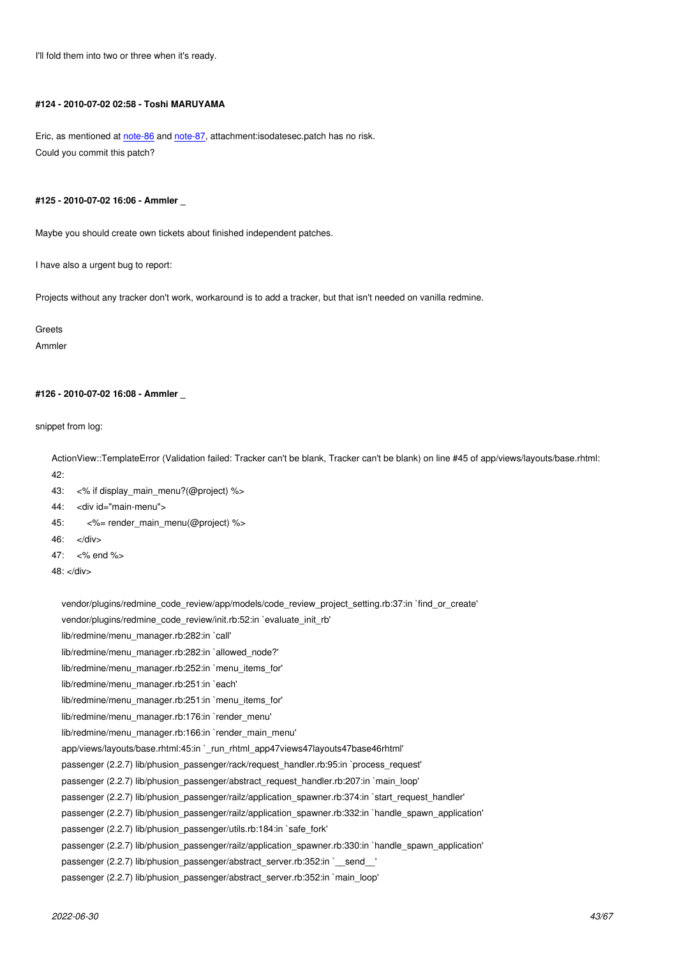I'll fold them into two or three when it's ready.

### **#124 - 2010-07-02 02:58 - Toshi MARUYAMA**

Eric, as mentioned at note-86 and note-87, attachment:isodatesec.patch has no risk. Could you commit this patch?

## **#125 - 2010-07-02 16[:06 - Am](http://www.redmine.org/issues/4455#note-86)ml[er \\_](http://www.redmine.org/issues/4455#note-87)**

Maybe you should create own tickets about finished independent patches.

I have also a urgent bug to report:

Projects without any tracker don't work, workaround is to add a tracker, but that isn't needed on vanilla redmine.

**Greets** 

Ammler

### **#126 - 2010-07-02 16:08 - Ammler \_**

snippet from log:

ActionView::TemplateError (Validation failed: Tracker can't be blank, Tracker can't be blank) on line #45 of app/views/layouts/base.rhtml: 42:

- 43: <% if display\_main\_menu?(@project) %>
- 44: < div id="main-menu">
- 45: <%= render\_main\_menu(@project) %>
- 46: </div>
- 47: <% end %>

48: </div>

vendor/plugins/redmine\_code\_review/app/models/code\_review\_project\_setting.rb:37:in `find\_or\_create'

vendor/plugins/redmine\_code\_review/init.rb:52:in `evaluate\_init\_rb'

lib/redmine/menu\_manager.rb:282:in `call'

lib/redmine/menu\_manager.rb:282:in `allowed\_node?'

lib/redmine/menu\_manager.rb:252:in `menu\_items\_for'

lib/redmine/menu\_manager.rb:251:in `each'

lib/redmine/menu\_manager.rb:251:in `menu\_items\_for'

lib/redmine/menu\_manager.rb:176:in `render\_menu'

lib/redmine/menu\_manager.rb:166:in `render\_main\_menu'

app/views/layouts/base.rhtml:45:in `\_run\_rhtml\_app47views47layouts47base46rhtml'

passenger (2.2.7) lib/phusion\_passenger/rack/request\_handler.rb:95:in `process\_request'

passenger (2.2.7) lib/phusion\_passenger/abstract\_request\_handler.rb:207:in `main\_loop'

passenger (2.2.7) lib/phusion\_passenger/railz/application\_spawner.rb:374:in `start\_request\_handler'

passenger (2.2.7) lib/phusion\_passenger/railz/application\_spawner.rb:332:in `handle\_spawn\_application'

passenger (2.2.7) lib/phusion\_passenger/utils.rb:184:in `safe\_fork'

passenger (2.2.7) lib/phusion\_passenger/railz/application\_spawner.rb:330:in `handle\_spawn\_application'

passenger (2.2.7) lib/phusion\_passenger/abstract\_server.rb:352:in `\_\_send\_\_'

passenger (2.2.7) lib/phusion\_passenger/abstract\_server.rb:352:in `main\_loop'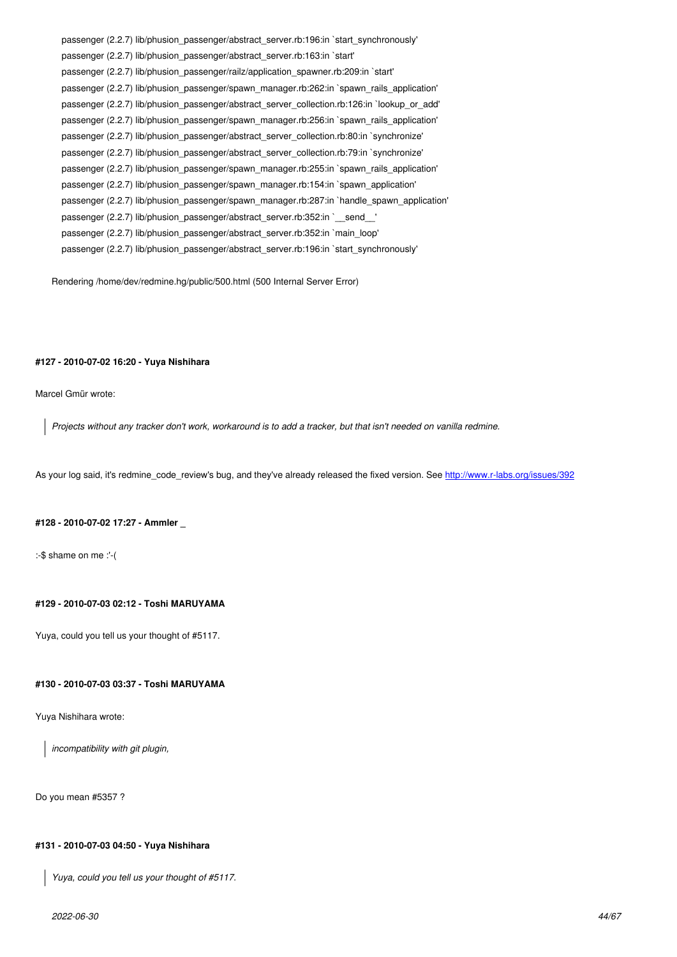passenger (2.2.7) lib/phusion\_passenger/abstract\_server.rb:163:in `start' passenger (2.2.7) lib/phusion\_passenger/railz/application\_spawner.rb:209:in `start' passenger (2.2.7) lib/phusion\_passenger/spawn\_manager.rb:262:in `spawn\_rails\_application' passenger (2.2.7) lib/phusion\_passenger/abstract\_server\_collection.rb:126:in `lookup\_or\_add' passenger (2.2.7) lib/phusion\_passenger/spawn\_manager.rb:256:in `spawn\_rails\_application' passenger (2.2.7) lib/phusion\_passenger/abstract\_server\_collection.rb:80:in `synchronize' passenger (2.2.7) lib/phusion\_passenger/abstract\_server\_collection.rb:79:in `synchronize' passenger (2.2.7) lib/phusion\_passenger/spawn\_manager.rb:255:in `spawn\_rails\_application' passenger (2.2.7) lib/phusion\_passenger/spawn\_manager.rb:154:in `spawn\_application' passenger (2.2.7) lib/phusion\_passenger/spawn\_manager.rb:287:in `handle\_spawn\_application' passenger (2.2.7) lib/phusion\_passenger/abstract\_server.rb:352:in `\_\_send\_\_' passenger (2.2.7) lib/phusion\_passenger/abstract\_server.rb:352:in `main\_loop' passenger (2.2.7) lib/phusion\_passenger/abstract\_server.rb:196:in `start\_synchronously'

Rendering /home/dev/redmine.hg/public/500.html (500 Internal Server Error)

### **#127 - 2010-07-02 16:20 - Yuya Nishihara**

Marcel Gmür wrote:

*Projects without any tracker don't work, workaround is to add a tracker, but that isn't needed on vanilla redmine.*

As your log said, it's redmine\_code\_review's bug, and they've already released the fixed version. See http://www.r-labs.org/issues/392

#### **#128 - 2010-07-02 17:27 - Ammler \_**

:-\$ shame on me :'-(

## **#129 - 2010-07-03 02:12 - Toshi MARUYAMA**

Yuya, could you tell us your thought of #5117.

## **#130 - 2010-07-03 03:37 - Toshi MARUYAMA**

Yuya Nishihara wrote:

*incompatibility with git plugin,*

Do you mean #5357 ?

## **#131 - 2010-07-03 04:50 - Yuya Nishihara**

*Yuya, could you tell us your thought of #5117.*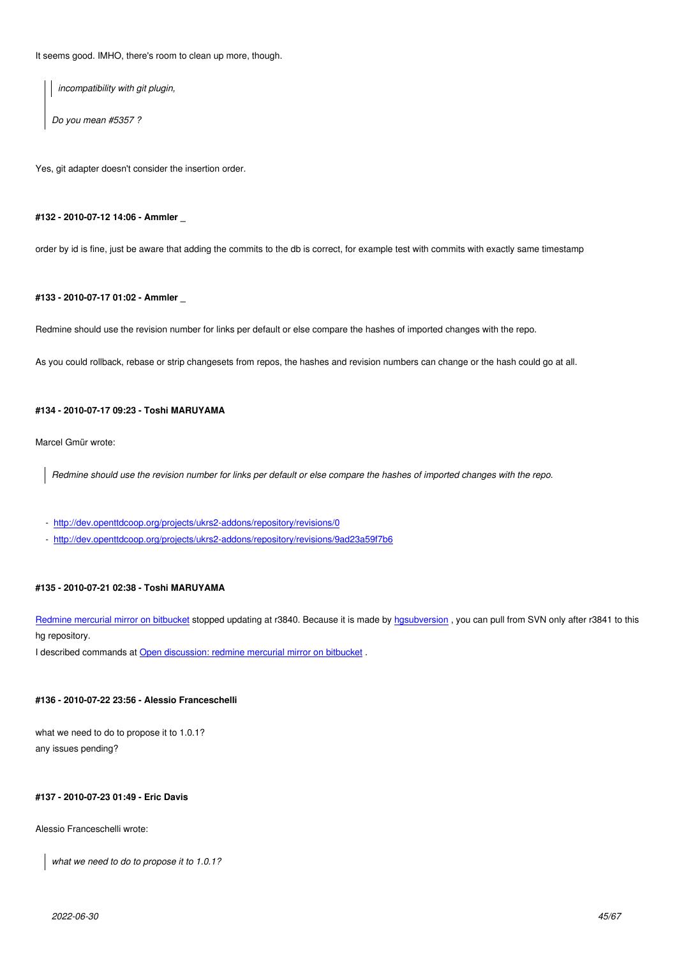It seems good. IMHO, there's room to clean up more, though.

*incompatibility with git plugin,*

*Do you mean #5357 ?*

Yes, git adapter doesn't consider the insertion order.

### **#132 - 2010-07-12 14:06 - Ammler \_**

order by id is fine, just be aware that adding the commits to the db is correct, for example test with commits with exactly same timestamp

## **#133 - 2010-07-17 01:02 - Ammler \_**

Redmine should use the revision number for links per default or else compare the hashes of imported changes with the repo.

As you could rollback, rebase or strip changesets from repos, the hashes and revision numbers can change or the hash could go at all.

### **#134 - 2010-07-17 09:23 - Toshi MARUYAMA**

Marcel Gmür wrote:

*Redmine should use the revision number for links per default or else compare the hashes of imported changes with the repo.*

- http://dev.openttdcoop.org/projects/ukrs2-addons/repository/revisions/0
- http://dev.openttdcoop.org/projects/ukrs2-addons/repository/revisions/9ad23a59f7b6

## **#13[5 - 2010-07-21 02:38 - Toshi MARUYAMA](http://dev.openttdcoop.org/projects/ukrs2-addons/repository/revisions/0)**

Redmine mercurial mirror on bitbucket stopped updating at r3840. Because it is made by hgsubversion, you can pull from SVN only after r3841 to this hg repository.

I described commands at Open discussion: redmine mercurial mirror on bitbucket.

## **#136 - 2010-07-22 23:56 [- Alessio Franceschelli](http://www.redmine.org/boards/1/topics/12312)**

what we need to do to propose it to 1.0.1? any issues pending?

## **#137 - 2010-07-23 01:49 - Eric Davis**

Alessio Franceschelli wrote:

*what we need to do to propose it to 1.0.1?*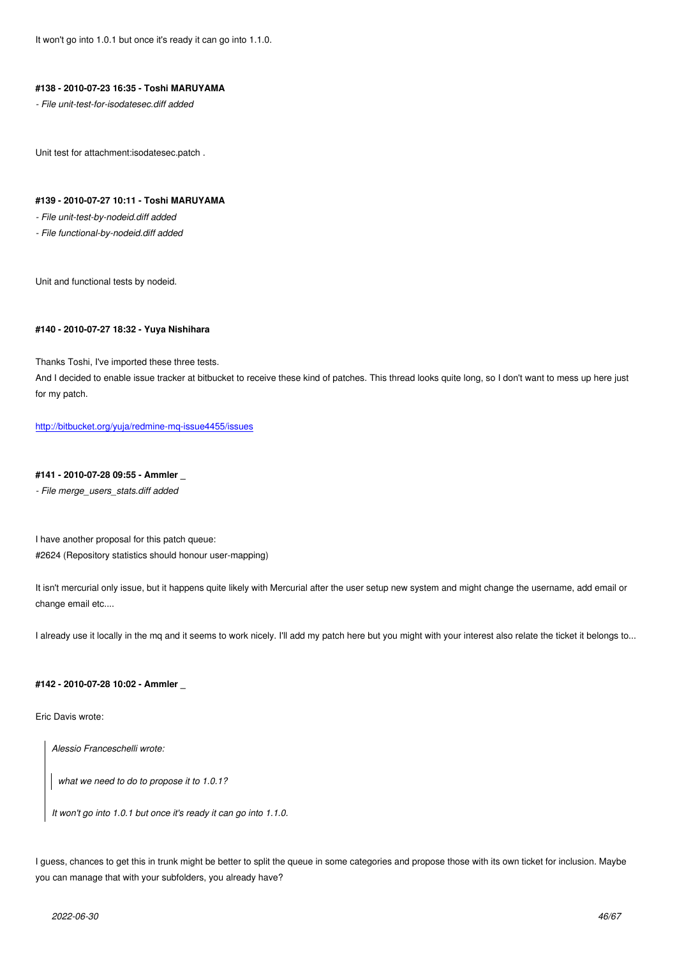## **#138 - 2010-07-23 16:35 - Toshi MARUYAMA**

*- File unit-test-for-isodatesec.diff added*

Unit test for attachment:isodatesec.patch .

### **#139 - 2010-07-27 10:11 - Toshi MARUYAMA**

*- File unit-test-by-nodeid.diff added*

*- File functional-by-nodeid.diff added*

Unit and functional tests by nodeid.

#### **#140 - 2010-07-27 18:32 - Yuya Nishihara**

Thanks Toshi, I've imported these three tests.

And I decided to enable issue tracker at bitbucket to receive these kind of patches. This thread looks quite long, so I don't want to mess up here just for my patch.

http://bitbucket.org/yuja/redmine-mq-issue4455/issues

## **#141 - 2010-07-28 09:55 - Ammler \_**

*[- File merge\\_users\\_stats.diff added](http://bitbucket.org/yuja/redmine-mq-issue4455/issues)*

I have another proposal for this patch queue: #2624 (Repository statistics should honour user-mapping)

It isn't mercurial only issue, but it happens quite likely with Mercurial after the user setup new system and might change the username, add email or change email etc....

I already use it locally in the mq and it seems to work nicely. I'll add my patch here but you might with your interest also relate the ticket it belongs to...

### **#142 - 2010-07-28 10:02 - Ammler \_**

Eric Davis wrote:

*Alessio Franceschelli wrote:*

*what we need to do to propose it to 1.0.1?*

*It won't go into 1.0.1 but once it's ready it can go into 1.1.0.*

I guess, chances to get this in trunk might be better to split the queue in some categories and propose those with its own ticket for inclusion. Maybe you can manage that with your subfolders, you already have?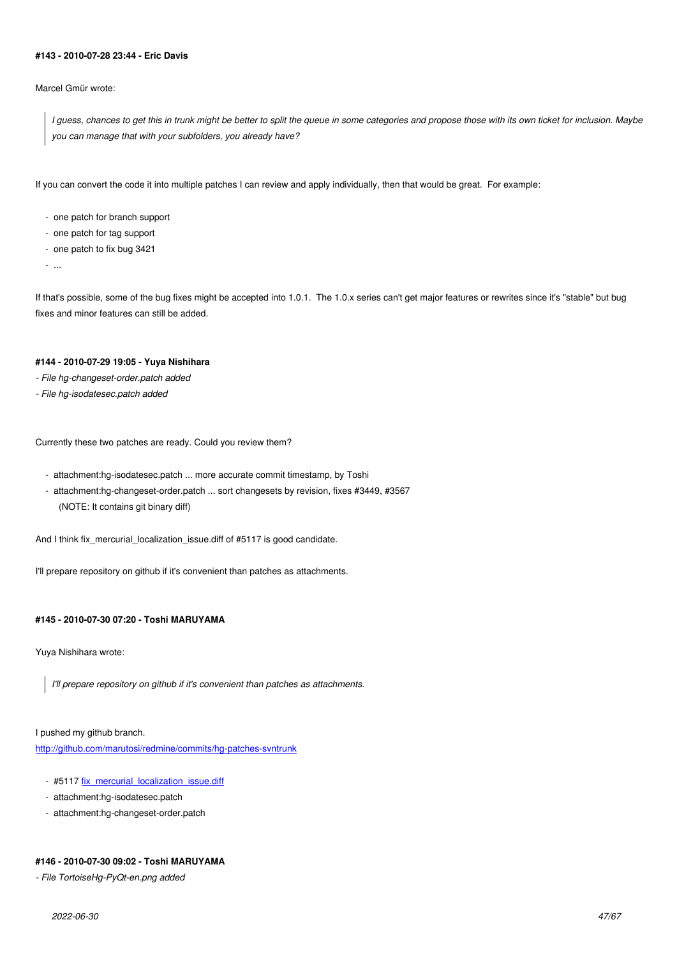#### **#143 - 2010-07-28 23:44 - Eric Davis**

Marcel Gmür wrote:

*I guess, chances to get this in trunk might be better to split the queue in some categories and propose those with its own ticket for inclusion. Maybe you can manage that with your subfolders, you already have?*

If you can convert the code it into multiple patches I can review and apply individually, then that would be great. For example:

- one patch for branch support
- one patch for tag support
- one patch to fix bug 3421

- ...

If that's possible, some of the bug fixes might be accepted into 1.0.1. The 1.0.x series can't get major features or rewrites since it's "stable" but bug fixes and minor features can still be added.

## **#144 - 2010-07-29 19:05 - Yuya Nishihara**

- *File hg-changeset-order.patch added*
- *File hg-isodatesec.patch added*

Currently these two patches are ready. Could you review them?

- attachment:hg-isodatesec.patch ... more accurate commit timestamp, by Toshi
- attachment:hg-changeset-order.patch ... sort changesets by revision, fixes #3449, #3567 (NOTE: It contains git binary diff)

And I think fix mercurial localization issue.diff of #5117 is good candidate.

I'll prepare repository on github if it's convenient than patches as attachments.

## **#145 - 2010-07-30 07:20 - Toshi MARUYAMA**

Yuya Nishihara wrote:

*I'll prepare repository on github if it's convenient than patches as attachments.*

I pushed my github branch. http://github.com/marutosi/redmine/commits/hg-patches-svntrunk

- #5117 fix\_mercurial\_localization\_issue.diff
- [attachment:hg-isodatesec.patch](http://github.com/marutosi/redmine/commits/hg-patches-svntrunk)
- attachment:hg-changeset-order.patch

## **#146 - 2010-07-30 09:02 - Toshi MARUYAMA**

*- File TortoiseHg-PyQt-en.png added*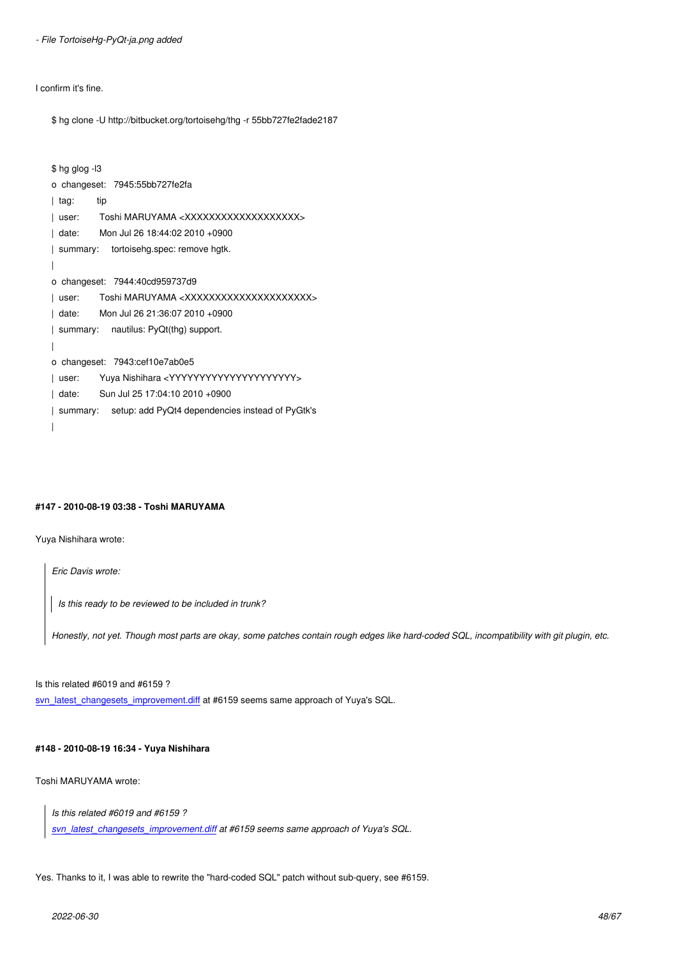I confirm it's fine.

\$ hg clone -U http://bitbucket.org/tortoisehg/thg -r 55bb727fe2fade2187

```
$ hg glog -l3
o changeset: 7945:55bb727fe2fa
| tag: tip
| user: Toshi MARUYAMA <XXXXXXXXXXXXXXXXXXX>
| date: Mon Jul 26 18:44:02 2010 +0900
| summary: tortoisehg.spec: remove hgtk.
|
o changeset: 7944:40cd959737d9
| user: Toshi MARUYAMA <XXXXXXXXXXXXXXXXXXXXXXX
| date: Mon Jul 26 21:36:07 2010 +0900
| summary: nautilus: PyQt(thg) support.
|
o changeset: 7943:cef10e7ab0e5
| user: Yuya Nishihara <YYYYYYYYYYYYYYYYYYYYY>
| date: Sun Jul 25 17:04:10 2010 +0900
| summary: setup: add PyQt4 dependencies instead of PyGtk's
|
```
## **#147 - 2010-08-19 03:38 - Toshi MARUYAMA**

Yuya Nishihara wrote:

*Eric Davis wrote:*

*Is this ready to be reviewed to be included in trunk?*

*Honestly, not yet. Though most parts are okay, some patches contain rough edges like hard-coded SQL, incompatibility with git plugin, etc.*

Is this related #6019 and #6159 ?

svn\_latest\_changesets\_improvement.diff at #6159 seems same approach of Yuya's SQL.

## **[#148 - 2010-08-19 16:34 - Yuya Nishiha](http://www.redmine.org/attachments/4321/svn_latest_changesets_improvement.diff)ra**

Toshi MARUYAMA wrote:

*Is this related #6019 and #6159 ?*

*svn\_latest\_changesets\_improvement.diff at #6159 seems same approach of Yuya's SQL.*

Yes[. Thanks to it, I was able to rewrite the "ha](http://www.redmine.org/attachments/4321/svn_latest_changesets_improvement.diff)rd-coded SQL" patch without sub-query, see #6159.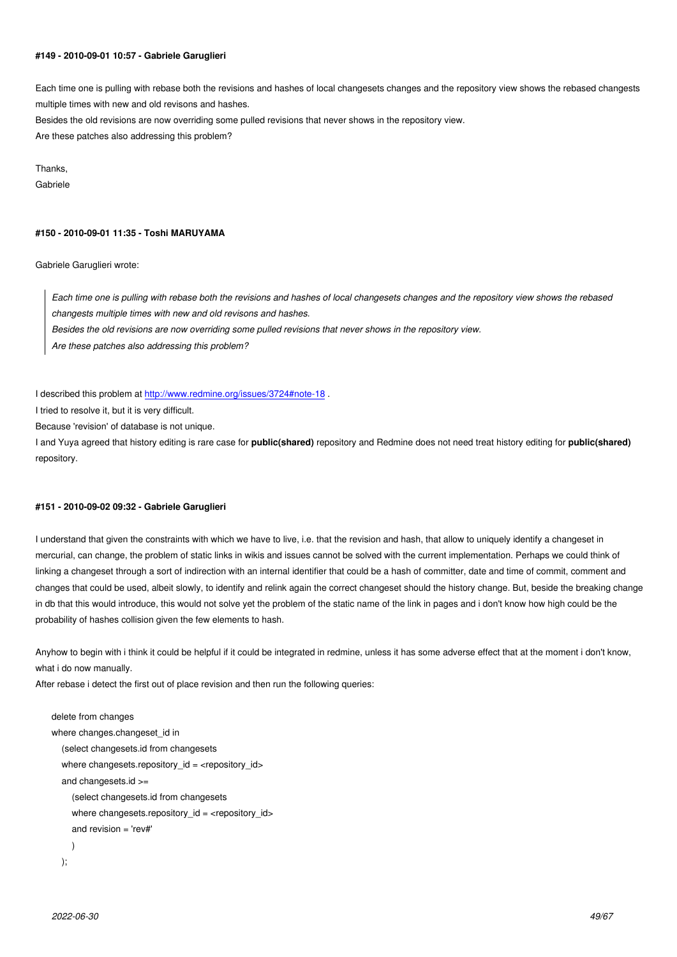#### **#149 - 2010-09-01 10:57 - Gabriele Garuglieri**

Each time one is pulling with rebase both the revisions and hashes of local changesets changes and the repository view shows the rebased changests multiple times with new and old revisons and hashes.

Besides the old revisions are now overriding some pulled revisions that never shows in the repository view.

Are these patches also addressing this problem?

Thanks,

Gabriele

## **#150 - 2010-09-01 11:35 - Toshi MARUYAMA**

Gabriele Garuglieri wrote:

*Each time one is pulling with rebase both the revisions and hashes of local changesets changes and the repository view shows the rebased changests multiple times with new and old revisons and hashes. Besides the old revisions are now overriding some pulled revisions that never shows in the repository view. Are these patches also addressing this problem?*

I described this problem at http://www.redmine.org/issues/3724#note-18.

I tried to resolve it, but it is very difficult.

Because 'revision' of database is not unique.

I and Yuya agreed that hist[ory editing is rare case for](http://www.redmine.org/issues/3724#note-18) **public(shared)** repository and Redmine does not need treat history editing for **public(shared)** repository.

## **#151 - 2010-09-02 09:32 - Gabriele Garuglieri**

I understand that given the constraints with which we have to live, i.e. that the revision and hash, that allow to uniquely identify a changeset in mercurial, can change, the problem of static links in wikis and issues cannot be solved with the current implementation. Perhaps we could think of linking a changeset through a sort of indirection with an internal identifier that could be a hash of committer, date and time of commit, comment and changes that could be used, albeit slowly, to identify and relink again the correct changeset should the history change. But, beside the breaking change in db that this would introduce, this would not solve yet the problem of the static name of the link in pages and i don't know how high could be the probability of hashes collision given the few elements to hash.

Anyhow to begin with i think it could be helpful if it could be integrated in redmine, unless it has some adverse effect that at the moment i don't know, what i do now manually.

After rebase i detect the first out of place revision and then run the following queries:

```
delete from changes 
where changes.changeset_id in
   (select changesets.id from changesets 
  where changesets.repository_id = <repository_id>
   and changesets.id >= 
     (select changesets.id from changesets
    where changesets.repository_id = <repository_id>
    and revision = 'rev#'
     )
   );
```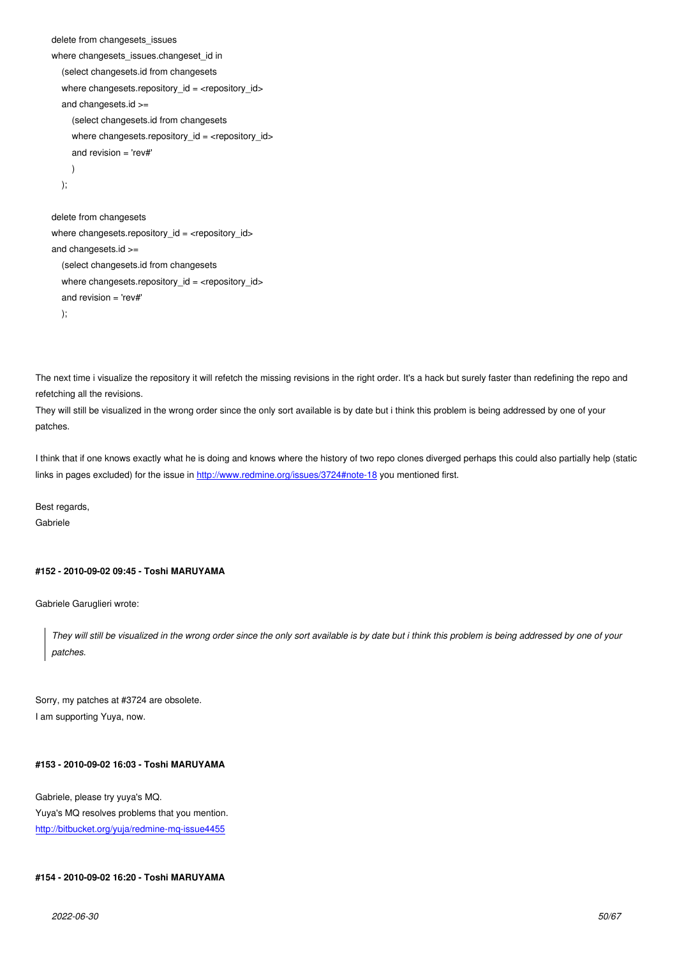```
where changesets_issues.changeset_id in
   (select changesets.id from changesets 
   where changesets.repository_id = <repository_id>
   and changesets.id >= 
     (select changesets.id from changesets
    where changesets.repository_id = <repository_id>
     and revision = 'rev#'
     )
   );
delete from changesets
```

```
where changesets.repository_id = <repository_id>
and changesets.id >= 
   (select changesets.id from changesets
  where changesets.repository_id = <repository_id>
   and revision = 'rev#'
   );
```
The next time i visualize the repository it will refetch the missing revisions in the right order. It's a hack but surely faster than redefining the repo and refetching all the revisions.

They will still be visualized in the wrong order since the only sort available is by date but i think this problem is being addressed by one of your patches.

I think that if one knows exactly what he is doing and knows where the history of two repo clones diverged perhaps this could also partially help (static links in pages excluded) for the issue in http://www.redmine.org/issues/3724#note-18 you mentioned first.

Best regards,

Gabriele

### **#152 - 2010-09-02 09:45 - Toshi MARUYAMA**

Gabriele Garuglieri wrote:

*They will still be visualized in the wrong order since the only sort available is by date but i think this problem is being addressed by one of your patches.*

Sorry, my patches at #3724 are obsolete. I am supporting Yuya, now.

### **#153 - 2010-09-02 16:03 - Toshi MARUYAMA**

Gabriele, please try yuya's MQ. Yuya's MQ resolves problems that you mention. http://bitbucket.org/yuja/redmine-mq-issue4455

## **[#154 - 2010-09-02 16:20 - Toshi MARUYAMA](http://bitbucket.org/yuja/redmine-mq-issue4455)**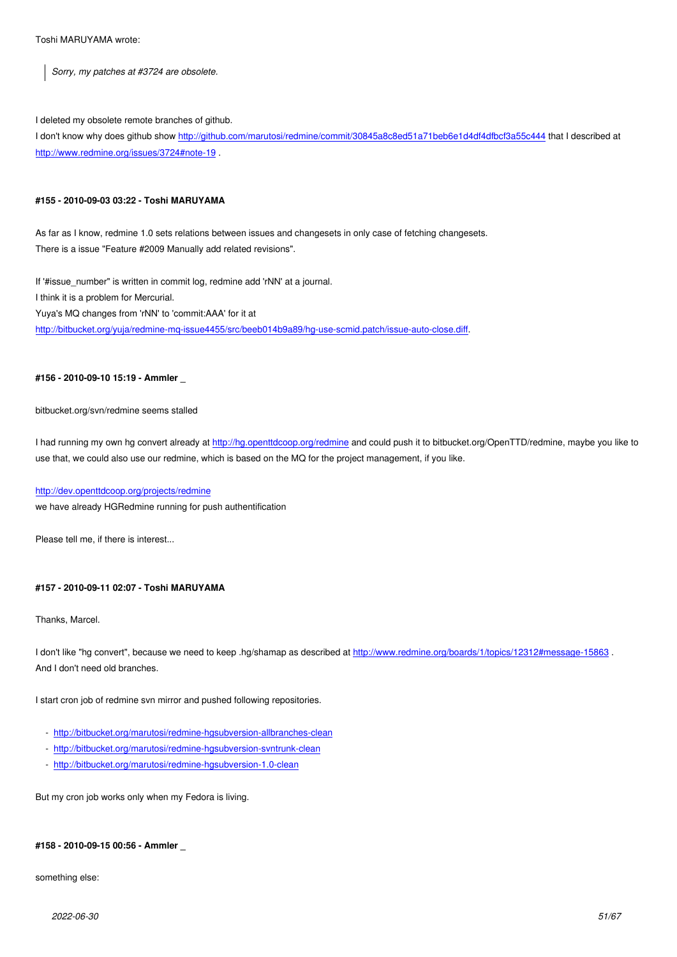## I deleted my obsolete remote branches of github.

I don't know why does github show http://github.com/marutosi/redmine/commit/30845a8c8ed51a71beb6e1d4df4dfbcf3a55c444 that I described at http://www.redmine.org/issues/3724#note-19 .

## **[#155 - 2010-09-03 03:22 - Toshi M](http://www.redmine.org/issues/3724#note-19)[ARUYAMA](http://github.com/marutosi/redmine/commit/30845a8c8ed51a71beb6e1d4df4dfbcf3a55c444)**

As far as I know, redmine 1.0 sets relations between issues and changesets in only case of fetching changesets. There is a issue "Feature #2009 Manually add related revisions".

If '#issue\_number" is written in commit log, redmine add 'rNN' at a journal. I think it is a problem for Mercurial. Yuya's MQ changes from 'rNN' to 'commit:AAA' for it at http://bitbucket.org/yuja/redmine-mq-issue4455/src/beeb014b9a89/hg-use-scmid.patch/issue-auto-close.diff.

### **[#156 - 2010-09-10 15:19 - Ammler \\_](http://bitbucket.org/yuja/redmine-mq-issue4455/src/beeb014b9a89/hg-use-scmid.patch/issue-auto-close.diff)**

#### bitbucket.org/svn/redmine seems stalled

I had running my own hg convert already at http://hg.openttdcoop.org/redmine and could push it to bitbucket.org/OpenTTD/redmine, maybe you like to use that, we could also use our redmine, which is based on the MQ for the project management, if you like.

## http://dev.openttdcoop.org/projects/redmine

we have already HGRedmine running for p[ush authentification](http://hg.openttdcoop.org/redmine)

[Please tell me, if there is interest...](http://dev.openttdcoop.org/projects/redmine)

## **#157 - 2010-09-11 02:07 - Toshi MARUYAMA**

Thanks, Marcel.

I don't like "hg convert", because we need to keep .hg/shamap as described at http://www.redmine.org/boards/1/topics/12312#message-15863. And I don't need old branches.

I start cron job of redmine svn mirror and pushed following repositories.

- http://bitbucket.org/marutosi/redmine-hgsubversion-allbranches-clean
- http://bitbucket.org/marutosi/redmine-hgsubversion-svntrunk-clean
- http://bitbucket.org/marutosi/redmine-hgsubversion-1.0-clean

But [my cron job works only when my Fedora is living.](http://bitbucket.org/marutosi/redmine-hgsubversion-svntrunk-clean)

## **#158 - 2010-09-15 00:56 - Ammler \_**

something else: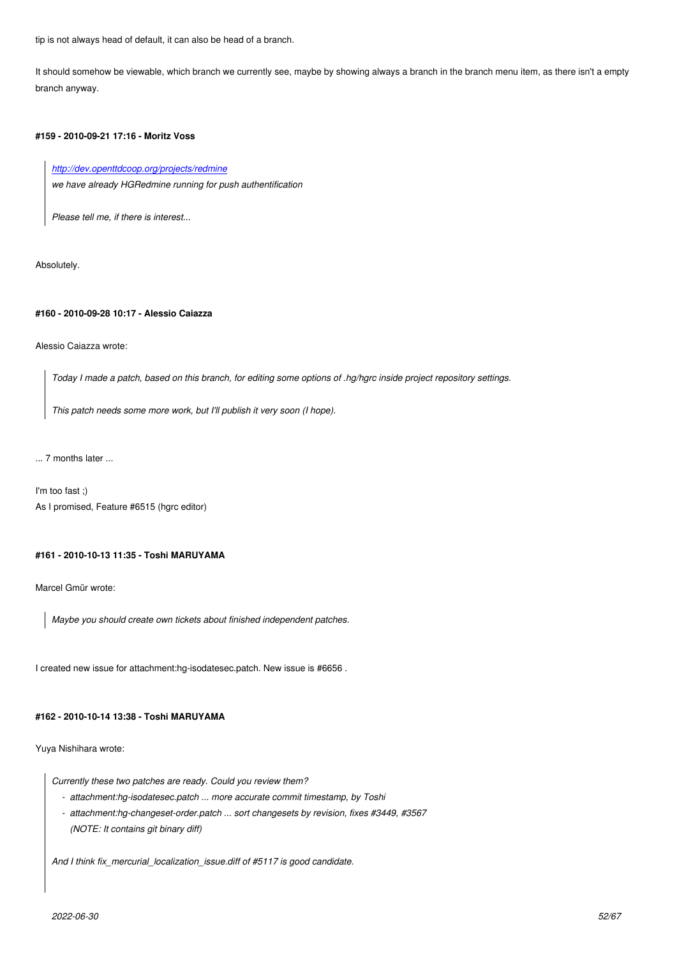It should somehow be viewable, which branch we currently see, maybe by showing always a branch in the branch menu item, as there isn't a empty branch anyway.

## **#159 - 2010-09-21 17:16 - Moritz Voss**

## *http://dev.openttdcoop.org/projects/redmine*

*we have already HGRedmine running for push authentification*

*[Please tell me, if there is interest...](http://dev.openttdcoop.org/projects/redmine)*

Absolutely.

## **#160 - 2010-09-28 10:17 - Alessio Caiazza**

Alessio Caiazza wrote:

*Today I made a patch, based on this branch, for editing some options of .hg/hgrc inside project repository settings.*

*This patch needs some more work, but I'll publish it very soon (I hope).*

... 7 months later ...

I'm too fast ;) As I promised, Feature #6515 (hgrc editor)

## **#161 - 2010-10-13 11:35 - Toshi MARUYAMA**

Marcel Gmür wrote:

*Maybe you should create own tickets about finished independent patches.*

I created new issue for attachment:hg-isodatesec.patch. New issue is #6656 .

#### **#162 - 2010-10-14 13:38 - Toshi MARUYAMA**

Yuya Nishihara wrote:

*Currently these two patches are ready. Could you review them?*

- *attachment:hg-isodatesec.patch ... more accurate commit timestamp, by Toshi*
- *attachment:hg-changeset-order.patch ... sort changesets by revision, fixes #3449, #3567 (NOTE: It contains git binary diff)*

*And I think fix\_mercurial\_localization\_issue.diff of #5117 is good candidate.*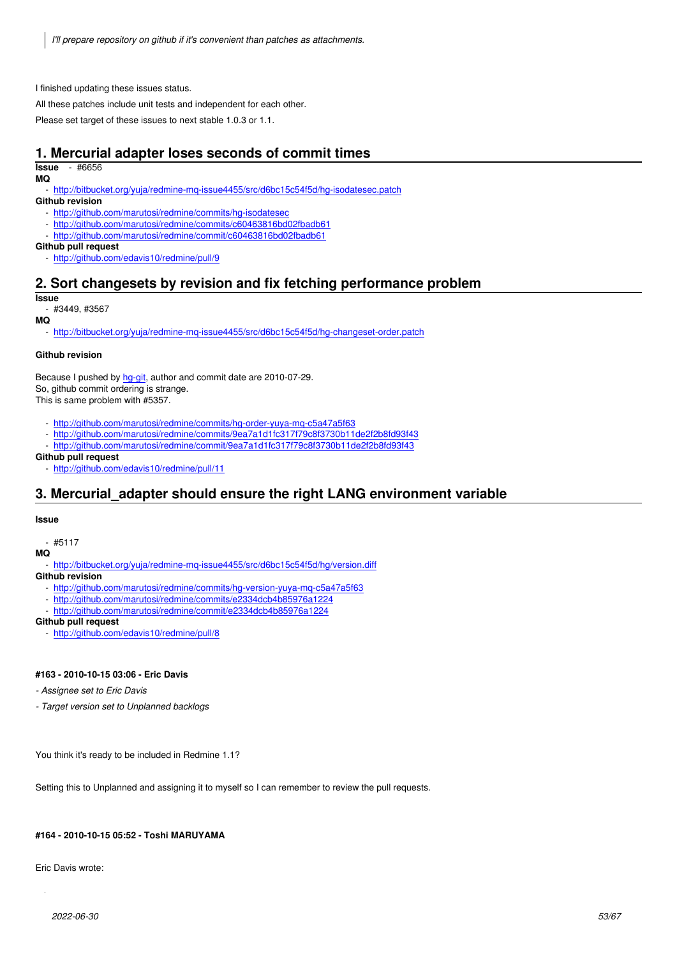I finished updating these issues status.

All these patches include unit tests and independent for each other.

Please set target of these issues to next stable 1.0.3 or 1.1.

# **1. Mercurial adapter loses seconds of commit times**

## **Issue** - #6656

**MQ**

- http://bitbucket.org/yuja/redmine-mq-issue4455/src/d6bc15c54f5d/hg-isodatesec.patch

## **Github revision**

- http://github.com/marutosi/redmine/commits/hg-isodatesec
- http://github.com/marutosi/redmine/commits/c60463816bd02fbadb61
- http://github.com/marutosi/redmine/commit/c60463816bd02fbadb61

## **Git[hub pull request](http://bitbucket.org/yuja/redmine-mq-issue4455/src/d6bc15c54f5d/hg-isodatesec.patch)**

- http://github.com/edavis10/redmine/pull/9

# **2. [Sort changesets by revision and fix fetching](http://github.com/marutosi/redmine/commits/c60463816bd02fbadb61) performance problem**

## **Issue**

[#3449, #3567](http://github.com/edavis10/redmine/pull/9)

**MQ**

http://bitbucket.org/yuja/redmine-mq-issue4455/src/d6bc15c54f5d/hg-changeset-order.patch

## **Github revision**

Because I pushed by hg-git, author and commit date are 2010-07-29. So, [github commit ordering is strange.](http://bitbucket.org/yuja/redmine-mq-issue4455/src/d6bc15c54f5d/hg-changeset-order.patch) This is same problem with #5357.

- http://github.com/marutosi/redmine/commits/hg-order-yuya-mq-c5a47a5f63
- http://github.com[/marut](http://mercurial.selenic.com/wiki/HgGit)osi/redmine/commits/9ea7a1d1fc317f79c8f3730b11de2f2b8fd93f43
- http://github.com/marutosi/redmine/commit/9ea7a1d1fc317f79c8f3730b11de2f2b8fd93f43

## **Github pull request**

- http://github.com/edavis10/redmine/pull/11

# **3. [Mercurial\\_adapter should ensure the right LANG environ](http://github.com/marutosi/redmine/commits/9ea7a1d1fc317f79c8f3730b11de2f2b8fd93f43)ment variable**

### **Iss[ue](http://github.com/edavis10/redmine/pull/11)**

 $-$  #5117

### **MQ**

- http://bitbucket.org/yuja/redmine-mq-issue4455/src/d6bc15c54f5d/hg/version.diff

**Github revision**

- http://github.com/marutosi/redmine/commits/hg-version-yuya-mq-c5a47a5f63
- http://github.com/marutosi/redmine/commits/e2334dcb4b85976a1224
- http://github.com/marutosi/redmine/commit/e2334dcb4b85976a1224

## **Git[hub pull request](http://bitbucket.org/yuja/redmine-mq-issue4455/src/d6bc15c54f5d/hg/version.diff)**

- http://github.com/edavis10/redmine/pull/8

## **#16[3 - 2010-10-15 03:06 - Eric Davis](http://github.com/marutosi/redmine/commit/e2334dcb4b85976a1224)**

*- As[signee set to Eric Davis](http://github.com/edavis10/redmine/pull/8)*

*- Target version set to Unplanned backlogs*

You think it's ready to be included in Redmine 1.1?

Setting this to Unplanned and assigning it to myself so I can remember to review the pull requests.

## **#164 - 2010-10-15 05:52 - Toshi MARUYAMA**

Eric Davis wrote: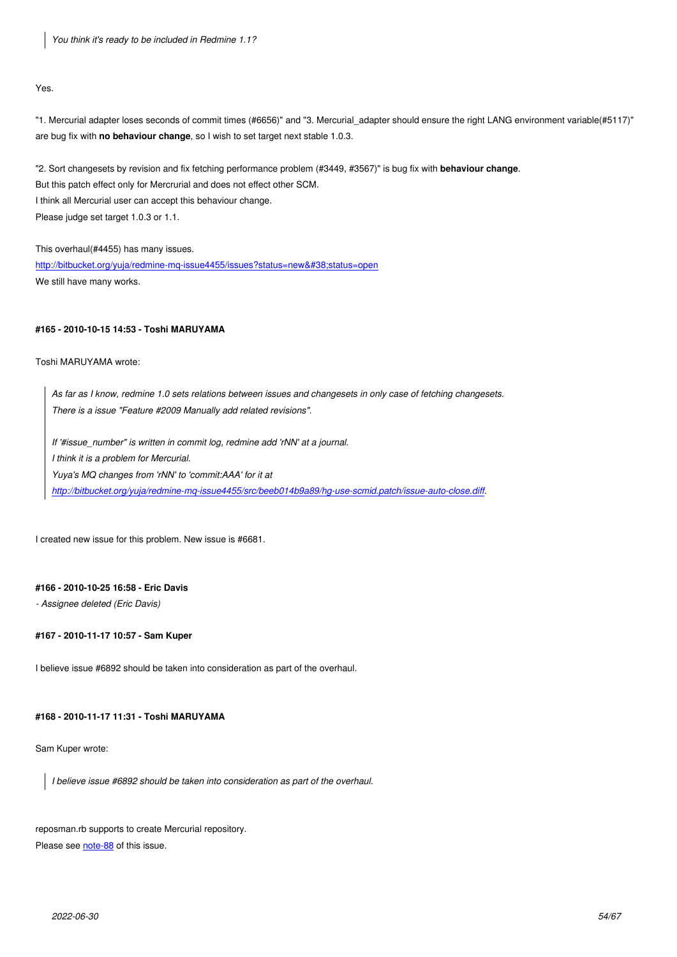Yes.

"1. Mercurial adapter loses seconds of commit times (#6656)" and "3. Mercurial\_adapter should ensure the right LANG environment variable(#5117)" are bug fix with **no behaviour change**, so I wish to set target next stable 1.0.3.

"2. Sort changesets by revision and fix fetching performance problem (#3449, #3567)" is bug fix with **behaviour change**. But this patch effect only for Mercrurial and does not effect other SCM. I think all Mercurial user can accept this behaviour change. Please judge set target 1.0.3 or 1.1.

This overhaul(#4455) has many issues. http://bitbucket.org/yuja/redmine-mq-issue4455/issues?status=new&status=open We still have many works.

## **[#165 - 2010-10-15 14:53 - Toshi MARUYAMA](http://bitbucket.org/yuja/redmine-mq-issue4455/issues?status=new&status=open)**

Toshi MARUYAMA wrote:

*As far as I know, redmine 1.0 sets relations between issues and changesets in only case of fetching changesets. There is a issue "Feature #2009 Manually add related revisions".*

*If '#issue\_number" is written in commit log, redmine add 'rNN' at a journal.*

*I think it is a problem for Mercurial.*

*Yuya's MQ changes from 'rNN' to 'commit:AAA' for it at* 

*http://bitbucket.org/yuja/redmine-mq-issue4455/src/beeb014b9a89/hg-use-scmid.patch/issue-auto-close.diff.*

I cr[eated new issue for this problem. New issue is #6681.](http://bitbucket.org/yuja/redmine-mq-issue4455/src/beeb014b9a89/hg-use-scmid.patch/issue-auto-close.diff)

## **#166 - 2010-10-25 16:58 - Eric Davis**

*- Assignee deleted (Eric Davis)*

### **#167 - 2010-11-17 10:57 - Sam Kuper**

I believe issue #6892 should be taken into consideration as part of the overhaul.

#### **#168 - 2010-11-17 11:31 - Toshi MARUYAMA**

Sam Kuper wrote:

*I believe issue #6892 should be taken into consideration as part of the overhaul.*

reposman.rb supports to create Mercurial repository. Please see note-88 of this issue.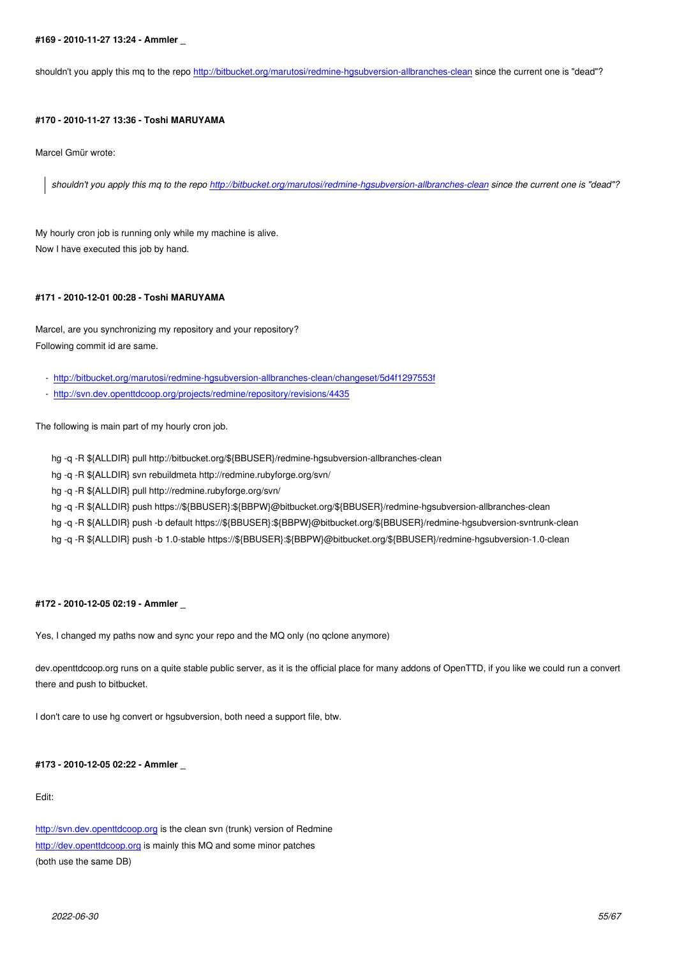shouldn't you apply this mq to the repo http://bitbucket.org/marutosi/redmine-hgsubversion-allbranches-clean since the current one is "dead"?

## **#170 - 2010-11-27 13:36 - Toshi MAR[UYAMA](http://bitbucket.org/marutosi/redmine-hgsubversion-allbranches-clean)**

Marcel Gmür wrote:

*shouldn't you apply this mq to the repo http://bitbucket.org/marutosi/redmine-hgsubversion-allbranches-clean since the current one is "dead"?*

My hourly cron job is running only while my [machine is alive.](http://bitbucket.org/marutosi/redmine-hgsubversion-allbranches-clean) Now I have executed this job by hand.

## **#171 - 2010-12-01 00:28 - Toshi MARUYAMA**

Marcel, are you synchronizing my repository and your repository? Following commit id are same.

- http://bitbucket.org/marutosi/redmine-hgsubversion-allbranches-clean/changeset/5d4f1297553f
- http://svn.dev.openttdcoop.org/projects/redmine/repository/revisions/4435

The [following is main part of my hourly cron job.](http://bitbucket.org/marutosi/redmine-hgsubversion-allbranches-clean/changeset/5d4f1297553f)

[hg -q -R \\${ALLDIR} pull http://bitbucket.org/\\${BBUSER}/redmine-hgsubver](http://svn.dev.openttdcoop.org/projects/redmine/repository/revisions/4435)sion-allbranches-clean

- hg -q -R \${ALLDIR} svn rebuildmeta http://redmine.rubyforge.org/svn/
- hg -q -R \${ALLDIR} pull http://redmine.rubyforge.org/svn/
- hg -q -R \${ALLDIR} push https://\${BBUSER}:\${BBPW}@bitbucket.org/\${BBUSER}/redmine-hgsubversion-allbranches-clean
- hg -q -R \${ALLDIR} push -b default https://\${BBUSER}:\${BBPW}@bitbucket.org/\${BBUSER}/redmine-hgsubversion-svntrunk-clean
- hg -q -R \${ALLDIR} push -b 1.0-stable https://\${BBUSER}:\${BBPW}@bitbucket.org/\${BBUSER}/redmine-hgsubversion-1.0-clean

### **#172 - 2010-12-05 02:19 - Ammler \_**

Yes, I changed my paths now and sync your repo and the MQ only (no qclone anymore)

dev.openttdcoop.org runs on a quite stable public server, as it is the official place for many addons of OpenTTD, if you like we could run a convert there and push to bitbucket.

I don't care to use hg convert or hgsubversion, both need a support file, btw.

## **#173 - 2010-12-05 02:22 - Ammler \_**

Edit:

http://svn.dev.openttdcoop.org is the clean svn (trunk) version of Redmine http://dev.openttdcoop.org is mainly this MQ and some minor patches (both use the same DB)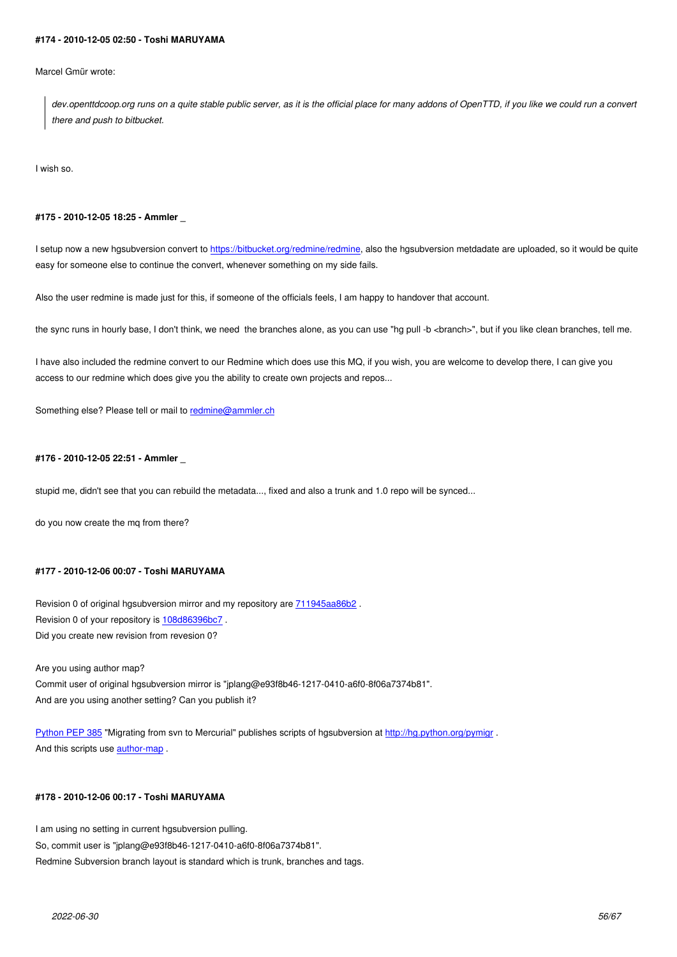Marcel Gmür wrote:

*dev.openttdcoop.org runs on a quite stable public server, as it is the official place for many addons of OpenTTD, if you like we could run a convert there and push to bitbucket.*

I wish so.

### **#175 - 2010-12-05 18:25 - Ammler \_**

I setup now a new hgsubversion convert to https://bitbucket.org/redmine/redmine, also the hgsubversion metdadate are uploaded, so it would be quite easy for someone else to continue the convert, whenever something on my side fails.

Also the user redmine is made just for this, [if someone of the officials feels, I am h](https://bitbucket.org/redmine/redmine)appy to handover that account.

the sync runs in hourly base, I don't think, we need the branches alone, as you can use "hg pull -b <br >branch>", but if you like clean branches, tell me.

I have also included the redmine convert to our Redmine which does use this MQ, if you wish, you are welcome to develop there, I can give you access to our redmine which does give you the ability to create own projects and repos...

Something else? Please tell or mail to redmine@ammler.ch

### **#176 - 2010-12-05 22:51 - Ammler \_**

stupid me, didn't see that you can rebuild the metadata..., fixed and also a trunk and 1.0 repo will be synced...

do you now create the mq from there?

### **#177 - 2010-12-06 00:07 - Toshi MARUYAMA**

Revision 0 of original hgsubversion mirror and my repository are 711945aa86b2. Revision 0 of your repository is 108d86396bc7. Did you create new revision from revesion 0?

Are you using author map? Commit user of original hgsubv[ersion mirror is](http://bitbucket.org/redmine/redmine/changeset/108d86396bc7) "jplang@e93f8b46-1217-0410-a6f0-8f06a7374b81". And are you using another setting? Can you publish it?

Python PEP 385 "Migrating from svn to Mercurial" publishes scripts of hgsubversion at http://hg.python.org/pymigr . And this scripts use author-map .

## **[#178 - 2010-12-0](http://www.python.org/dev/peps/pep-0385/)6 [00:17 - Tosh](http://hg.python.org/pymigr/file/647ec6412ac6/author-map)i MARUYAMA**

I am using no setting in current hgsubversion pulling. So, commit user is "jplang@e93f8b46-1217-0410-a6f0-8f06a7374b81". Redmine Subversion branch layout is standard which is trunk, branches and tags.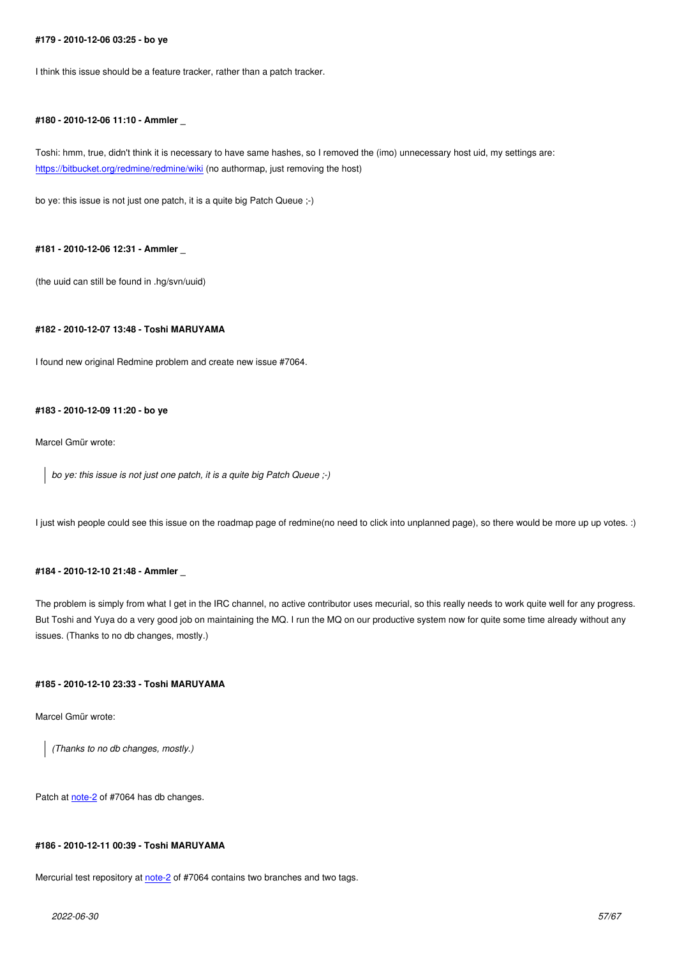I think this issue should be a feature tracker, rather than a patch tracker.

### **#180 - 2010-12-06 11:10 - Ammler \_**

Toshi: hmm, true, didn't think it is necessary to have same hashes, so I removed the (imo) unnecessary host uid, my settings are: https://bitbucket.org/redmine/redmine/wiki (no authormap, just removing the host)

bo ye: this issue is not just one patch, it is a quite big Patch Queue ;-)

### **#181 - 2010-12-06 12:31 - Ammler \_**

(the uuid can still be found in .hg/svn/uuid)

#### **#182 - 2010-12-07 13:48 - Toshi MARUYAMA**

I found new original Redmine problem and create new issue #7064.

#### **#183 - 2010-12-09 11:20 - bo ye**

Marcel Gmür wrote:

*bo ye: this issue is not just one patch, it is a quite big Patch Queue ;-)*

I just wish people could see this issue on the roadmap page of redmine(no need to click into unplanned page), so there would be more up up votes. :)

#### **#184 - 2010-12-10 21:48 - Ammler \_**

The problem is simply from what I get in the IRC channel, no active contributor uses mecurial, so this really needs to work quite well for any progress. But Toshi and Yuya do a very good job on maintaining the MQ. I run the MQ on our productive system now for quite some time already without any issues. (Thanks to no db changes, mostly.)

## **#185 - 2010-12-10 23:33 - Toshi MARUYAMA**

Marcel Gmür wrote:

*(Thanks to no db changes, mostly.)*

Patch at note-2 of #7064 has db changes.

## **#186 - 2[010-12](http://www.redmine.org/issues/7064#note-2)-11 00:39 - Toshi MARUYAMA**

Mercurial test repository at note-2 of #7064 contains two branches and two tags.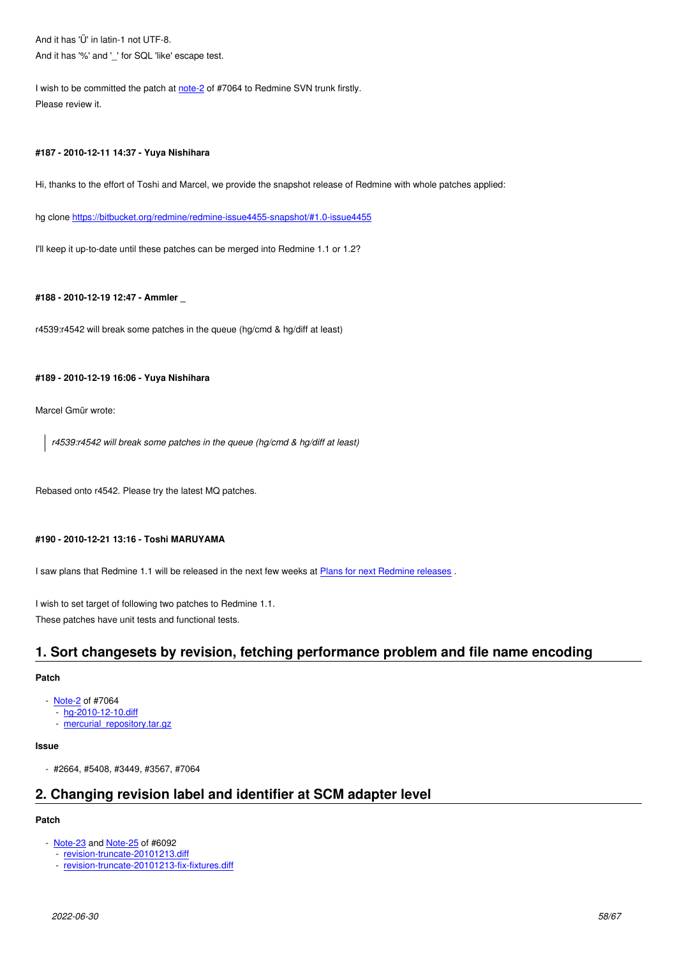And it has  $\%$  and  $\degree$  for SQL like escape test.

I wish to be committed the patch at note-2 of #7064 to Redmine SVN trunk firstly. Please review it.

### **#187 - 2010-12-11 14:37 - Yuya Ni[shihar](http://www.redmine.org/issues/7064#note-2)a**

Hi, thanks to the effort of Toshi and Marcel, we provide the snapshot release of Redmine with whole patches applied:

hg clone https://bitbucket.org/redmine/redmine-issue4455-snapshot/#1.0-issue4455

I'll keep it up-to-date until these patches can be merged into Redmine 1.1 or 1.2?

## **#188 - 2010-12-19 12:47 - Ammler \_**

r4539:r4542 will break some patches in the queue (hg/cmd & hg/diff at least)

#### **#189 - 2010-12-19 16:06 - Yuya Nishihara**

Marcel Gmür wrote:

*r4539:r4542 will break some patches in the queue (hg/cmd & hg/diff at least)*

Rebased onto r4542. Please try the latest MQ patches.

## **#190 - 2010-12-21 13:16 - Toshi MARUYAMA**

I saw plans that Redmine 1.1 will be released in the next few weeks at Plans for next Redmine releases.

I wish to set target of following two patches to Redmine 1.1.

These patches have unit tests and functional tests.

# **1. Sort changesets by revision, fetching performance problem and file name encoding**

## **Patch**

- Note-2 of #7064
	- hg-2010-12-10.diff
	- mercurial\_repository.tar.gz

## **Issue**

- #[2664, #5408, #3449](http://www.redmine.org/attachments/4991/hg-2010-12-10.diff), #3567, #7064

# **2. Changing revision label and identifier at SCM adapter level**

## **Patch**

- Note-23 and Note-25 of #6092
	- revision-truncate-20101213.diff
	- revision-truncate-20101213-fix-fixtures.diff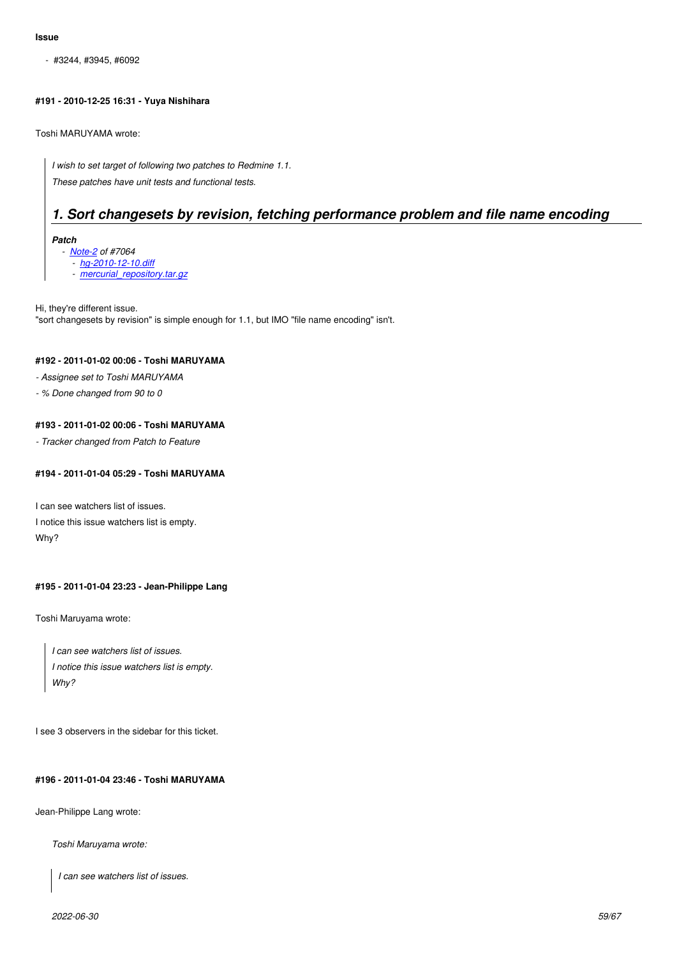- #3244, #3945, #6092

## **#191 - 2010-12-25 16:31 - Yuya Nishihara**

Toshi MARUYAMA wrote:

*I wish to set target of following two patches to Redmine 1.1. These patches have unit tests and functional tests.*

# *1. Sort changesets by revision, fetching performance problem and file name encoding*

*Patch*

 *- Note-2 of #7064*

- *hg-2010-12-10.diff*
- *mercurial\_repository.tar.gz*

Hi, they'[re differ](http://www.redmine.org/issues/7064#note-2)ent issue. "sort chan[gesets by revision"](http://www.redmine.org/attachments/4991/hg-2010-12-10.diff) is simple enough for 1.1, but IMO "file name encoding" isn't.

## **#192 - 2011-01-02 00:06 - Toshi MARUYAMA**

*- Assignee set to Toshi MARUYAMA*

*- % Done changed from 90 to 0*

## **#193 - 2011-01-02 00:06 - Toshi MARUYAMA**

*- Tracker changed from Patch to Feature*

## **#194 - 2011-01-04 05:29 - Toshi MARUYAMA**

I can see watchers list of issues.

I notice this issue watchers list is empty. Why?

## **#195 - 2011-01-04 23:23 - Jean-Philippe Lang**

Toshi Maruyama wrote:

*I can see watchers list of issues. I notice this issue watchers list is empty. Why?*

I see 3 observers in the sidebar for this ticket.

## **#196 - 2011-01-04 23:46 - Toshi MARUYAMA**

Jean-Philippe Lang wrote:

*Toshi Maruyama wrote:*

*I can see watchers list of issues.*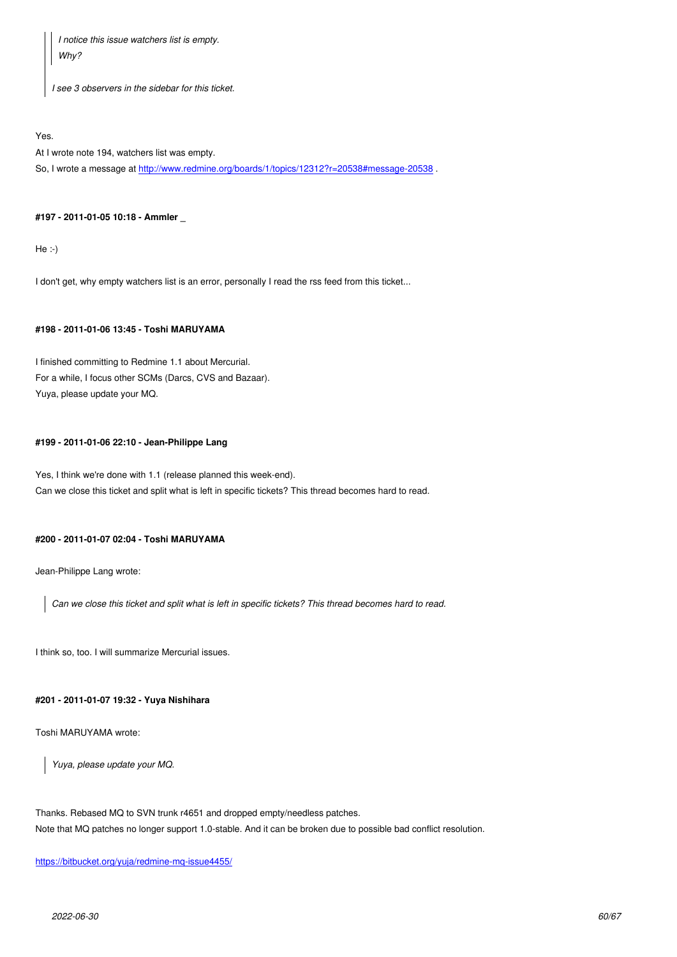*Why?*

 $\mathbf{I}$ 

*I see 3 observers in the sidebar for this ticket.*

Yes.

At I wrote note 194, watchers list was empty.

So, I wrote a message at http://www.redmine.org/boards/1/topics/12312?r=20538#message-20538 .

### **#197 - 2011-01-05 10:18 [- Ammler \\_](http://www.redmine.org/boards/1/topics/12312?r=20538#message-20538)**

He :-)

I don't get, why empty watchers list is an error, personally I read the rss feed from this ticket...

#### **#198 - 2011-01-06 13:45 - Toshi MARUYAMA**

I finished committing to Redmine 1.1 about Mercurial. For a while, I focus other SCMs (Darcs, CVS and Bazaar). Yuya, please update your MQ.

## **#199 - 2011-01-06 22:10 - Jean-Philippe Lang**

Yes, I think we're done with 1.1 (release planned this week-end). Can we close this ticket and split what is left in specific tickets? This thread becomes hard to read.

### **#200 - 2011-01-07 02:04 - Toshi MARUYAMA**

Jean-Philippe Lang wrote:

*Can we close this ticket and split what is left in specific tickets? This thread becomes hard to read.*

I think so, too. I will summarize Mercurial issues.

## **#201 - 2011-01-07 19:32 - Yuya Nishihara**

Toshi MARUYAMA wrote:

*Yuya, please update your MQ.*

Thanks. Rebased MQ to SVN trunk r4651 and dropped empty/needless patches. Note that MQ patches no longer support 1.0-stable. And it can be broken due to possible bad conflict resolution.

https://bitbucket.org/yuja/redmine-mq-issue4455/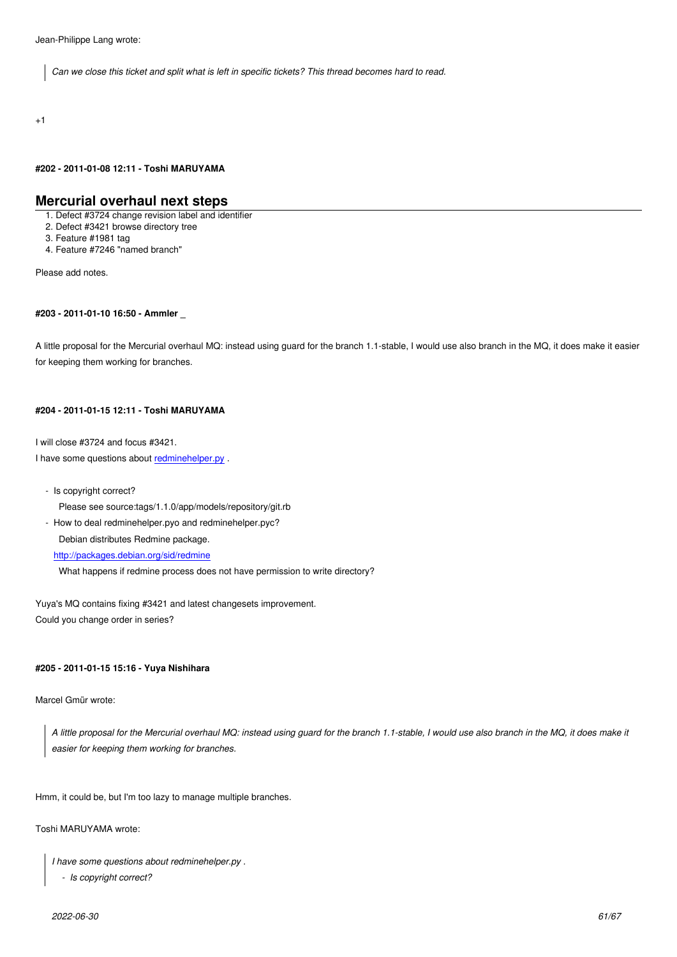+1

## **#202 - 2011-01-08 12:11 - Toshi MARUYAMA**

## **Mercurial overhaul next steps**

1. Defect #3724 change revision label and identifier

2. Defect #3421 browse directory tree

3. Feature #1981 tag

4. Feature #7246 "named branch"

Please add notes.

### **#203 - 2011-01-10 16:50 - Ammler \_**

A little proposal for the Mercurial overhaul MQ: instead using guard for the branch 1.1-stable, I would use also branch in the MQ, it does make it easier for keeping them working for branches.

### **#204 - 2011-01-15 12:11 - Toshi MARUYAMA**

I will close #3724 and focus #3421.

I have some questions about redminehelper.py .

- Is copyright correct?

Please see source:tags[/1.1.0/app/models](https://bitbucket.org/redmine/redmine-issue4455-snapshot/src/166614508187/extra/mercurial/redminehelper.py)/repository/git.rb

- How to deal redminehelper.pyo and redminehelper.pyc?

Debian distributes Redmine package.

http://packages.debian.org/sid/redmine

What happens if redmine process does not have permission to write directory?

Yuy[a](http://packages.debian.org/sid/redmine)'[s MQ contains fixing #3421 and latest](http://packages.debian.org/sid/redmine) changesets improvement. Could you change order in series?

### **#205 - 2011-01-15 15:16 - Yuya Nishihara**

Marcel Gmür wrote:

*A little proposal for the Mercurial overhaul MQ: instead using guard for the branch 1.1-stable, I would use also branch in the MQ, it does make it easier for keeping them working for branches.*

Hmm, it could be, but I'm too lazy to manage multiple branches.

Toshi MARUYAMA wrote:

```
I have some questions about redminehelper.py .
```

```
 - Is copyright correct?
```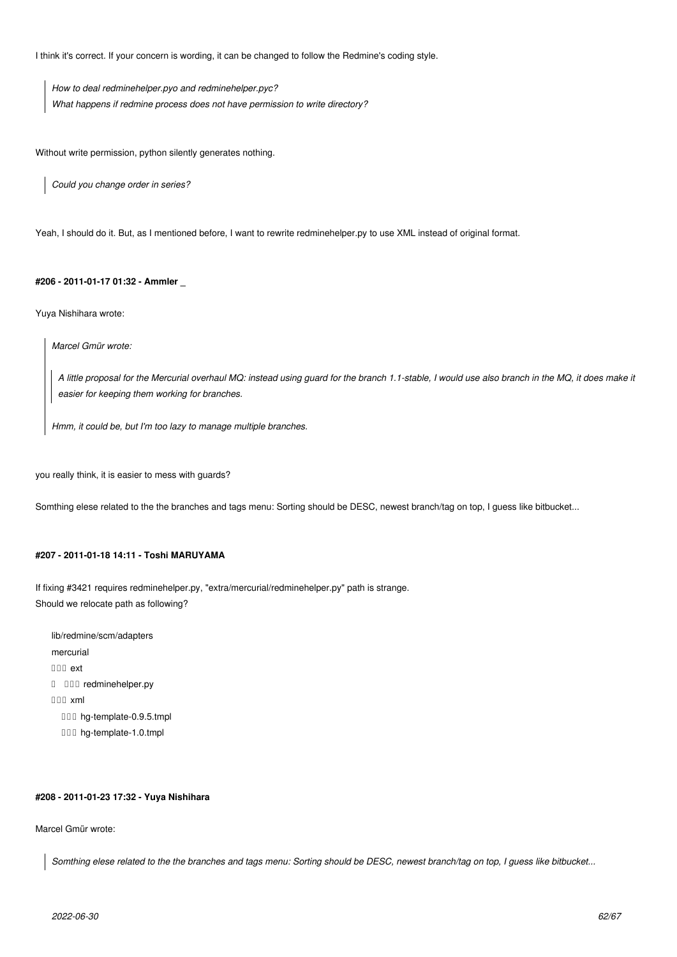I think it's correct. If your concern is wording, it can be changed to follow the Redmine's coding style.

*How to deal redminehelper.pyo and redminehelper.pyc? What happens if redmine process does not have permission to write directory?*

Without write permission, python silently generates nothing.

*Could you change order in series?*

Yeah, I should do it. But, as I mentioned before, I want to rewrite redminehelper.py to use XML instead of original format.

## **#206 - 2011-01-17 01:32 - Ammler \_**

Yuya Nishihara wrote:

*Marcel Gmür wrote:*

*A little proposal for the Mercurial overhaul MQ: instead using guard for the branch 1.1-stable, I would use also branch in the MQ, it does make it easier for keeping them working for branches.*

*Hmm, it could be, but I'm too lazy to manage multiple branches.*

you really think, it is easier to mess with guards?

Somthing elese related to the the branches and tags menu: Sorting should be DESC, newest branch/tag on top, I guess like bitbucket...

## **#207 - 2011-01-18 14:11 - Toshi MARUYAMA**

If fixing #3421 requires redminehelper.py, "extra/mercurial/redminehelper.py" path is strange. Should we relocate path as following?

lib/redmine/scm/adapters mercurial  $\Box \Box \Box$  ext │ └── redminehelper.py └── xml **III** hg-template-0.9.5.tmpl □□□ hg-template-1.0.tmpl

### **#208 - 2011-01-23 17:32 - Yuya Nishihara**

Marcel Gmür wrote:

*Somthing elese related to the the branches and tags menu: Sorting should be DESC, newest branch/tag on top, I guess like bitbucket...*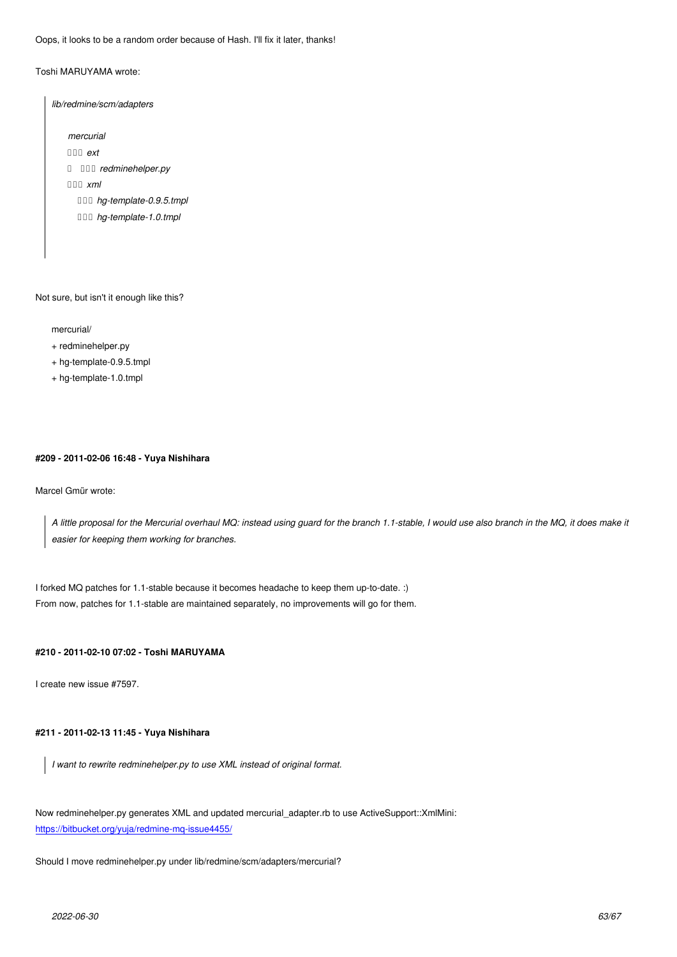Toshi MARUYAMA wrote:

*lib/redmine/scm/adapters*

*mercurial*

*├── ext*

*│ └── redminehelper.py*

*└── xml*

 *├── hg-template-0.9.5.tmpl*

 *└── hg-template-1.0.tmpl*

Not sure, but isn't it enough like this?

mercurial/

+ redminehelper.py

+ hg-template-0.9.5.tmpl

+ hg-template-1.0.tmpl

#### **#209 - 2011-02-06 16:48 - Yuya Nishihara**

Marcel Gmür wrote:

*A little proposal for the Mercurial overhaul MQ: instead using guard for the branch 1.1-stable, I would use also branch in the MQ, it does make it easier for keeping them working for branches.*

I forked MQ patches for 1.1-stable because it becomes headache to keep them up-to-date. :) From now, patches for 1.1-stable are maintained separately, no improvements will go for them.

## **#210 - 2011-02-10 07:02 - Toshi MARUYAMA**

I create new issue #7597.

## **#211 - 2011-02-13 11:45 - Yuya Nishihara**

*I want to rewrite redminehelper.py to use XML instead of original format.*

Now redminehelper.py generates XML and updated mercurial\_adapter.rb to use ActiveSupport::XmlMini: https://bitbucket.org/yuja/redmine-mq-issue4455/

Should I move redminehelper.py under lib/redmine/scm/adapters/mercurial?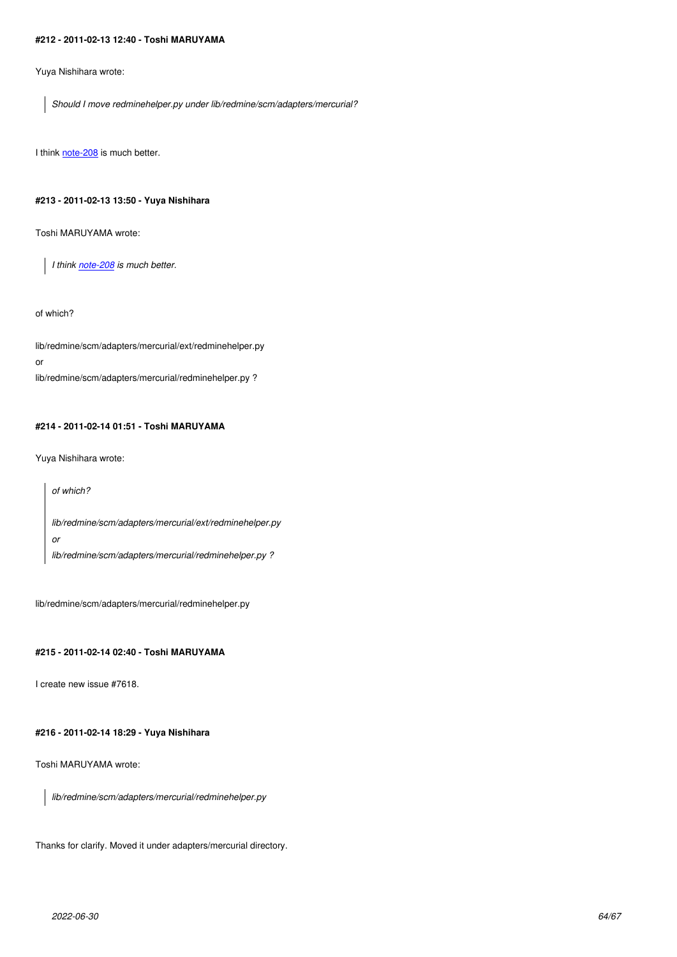Yuya Nishihara wrote:

*Should I move redminehelper.py under lib/redmine/scm/adapters/mercurial?*

I think note-208 is much better.

## **#213 - [2011-02-](http://www.redmine.org/issues/4455#note-208)13 13:50 - Yuya Nishihara**

Toshi MARUYAMA wrote:

*I think note-208 is much better.*

of which?

lib/redmine/scm/adapters/mercurial/ext/redminehelper.py

or

lib/redmine/scm/adapters/mercurial/redminehelper.py ?

## **#214 - 2011-02-14 01:51 - Toshi MARUYAMA**

Yuya Nishihara wrote:

*of which? lib/redmine/scm/adapters/mercurial/ext/redminehelper.py or lib/redmine/scm/adapters/mercurial/redminehelper.py ?*

lib/redmine/scm/adapters/mercurial/redminehelper.py

## **#215 - 2011-02-14 02:40 - Toshi MARUYAMA**

I create new issue #7618.

## **#216 - 2011-02-14 18:29 - Yuya Nishihara**

Toshi MARUYAMA wrote:

*lib/redmine/scm/adapters/mercurial/redminehelper.py*

Thanks for clarify. Moved it under adapters/mercurial directory.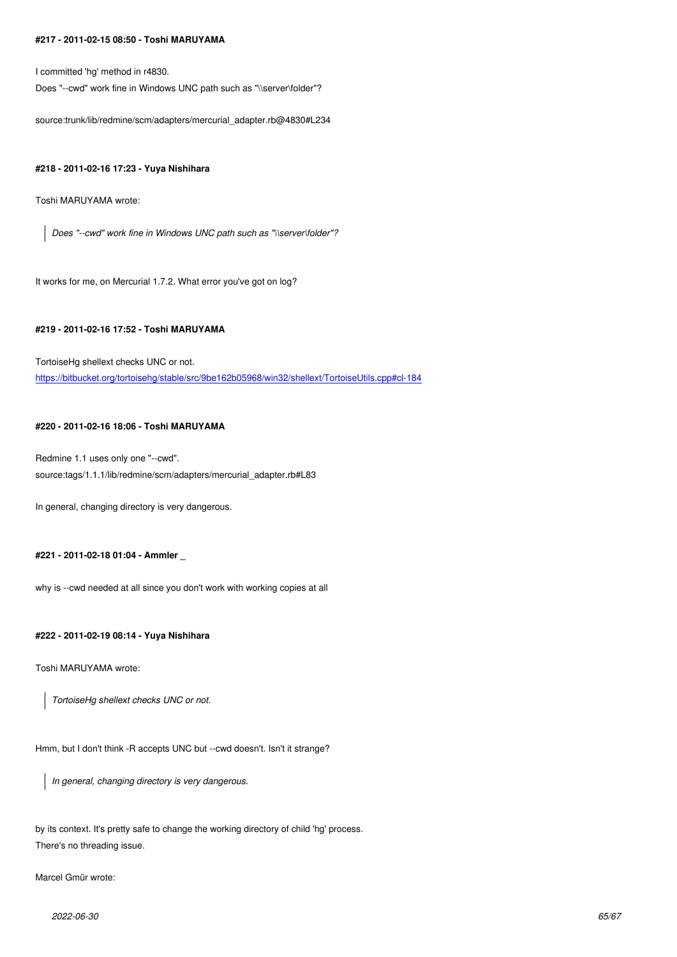I committed 'hg' method in r4830. Does "--cwd" work fine in Windows UNC path such as "\\server\folder"?

source:trunk/lib/redmine/scm/adapters/mercurial\_adapter.rb@4830#L234

## **#218 - 2011-02-16 17:23 - Yuya Nishihara**

Toshi MARUYAMA wrote:

*Does "--cwd" work fine in Windows UNC path such as "\\server\folder"?*

It works for me, on Mercurial 1.7.2. What error you've got on log?

## **#219 - 2011-02-16 17:52 - Toshi MARUYAMA**

TortoiseHg shellext checks UNC or not. https://bitbucket.org/tortoisehg/stable/src/9be162b05968/win32/shellext/TortoiseUtils.cpp#cl-184

## **[#220 - 2011-02-16 18:06 - Toshi MARUYAMA](https://bitbucket.org/tortoisehg/stable/src/9be162b05968/win32/shellext/TortoiseUtils.cpp#cl-184)**

Redmine 1.1 uses only one "--cwd". source:tags/1.1.1/lib/redmine/scm/adapters/mercurial\_adapter.rb#L83

In general, changing directory is very dangerous.

## **#221 - 2011-02-18 01:04 - Ammler \_**

why is --cwd needed at all since you don't work with working copies at all

## **#222 - 2011-02-19 08:14 - Yuya Nishihara**

Toshi MARUYAMA wrote:

*TortoiseHg shellext checks UNC or not.*

Hmm, but I don't think -R accepts UNC but --cwd doesn't. Isn't it strange?

*In general, changing directory is very dangerous.*

by its context. It's pretty safe to change the working directory of child 'hg' process. There's no threading issue.

Marcel Gmür wrote: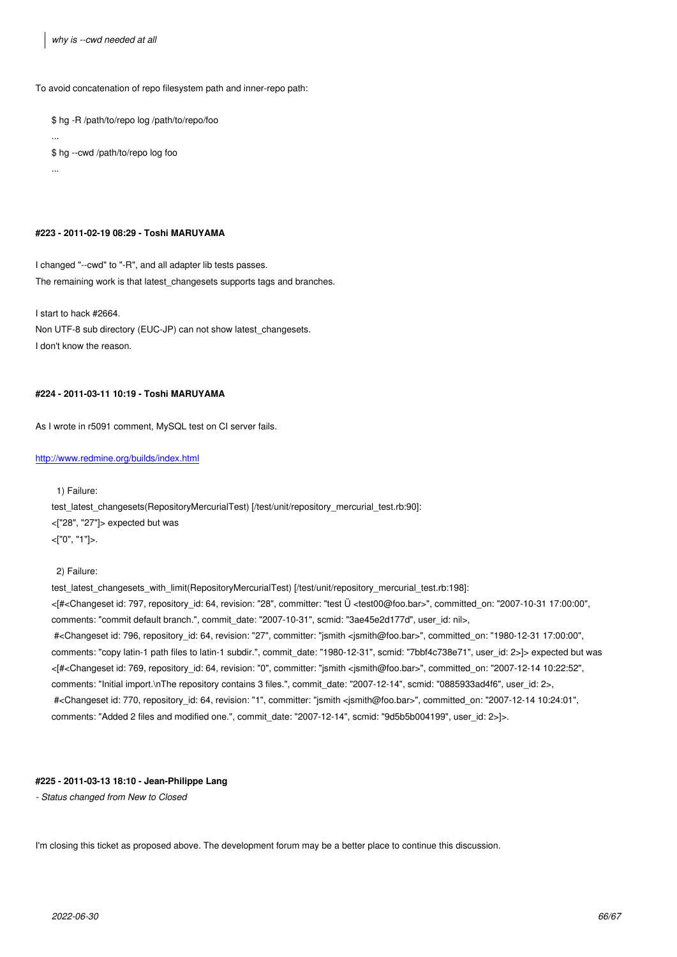To avoid concatenation of repo filesystem path and inner-repo path:

\$ hg -R /path/to/repo log /path/to/repo/foo

... \$ hg --cwd /path/to/repo log foo

...

#### **#223 - 2011-02-19 08:29 - Toshi MARUYAMA**

I changed "--cwd" to "-R", and all adapter lib tests passes. The remaining work is that latest\_changesets supports tags and branches.

I start to hack #2664. Non UTF-8 sub directory (EUC-JP) can not show latest changesets. I don't know the reason.

## **#224 - 2011-03-11 10:19 - Toshi MARUYAMA**

As I wrote in r5091 comment, MySQL test on CI server fails.

#### http://www.redmine.org/builds/index.html

1) Failure:

[test\\_latest\\_changesets\(RepositoryMe](http://www.redmine.org/builds/index.html)rcurialTest) [/test/unit/repository\_mercurial\_test.rb:90]: <["28", "27"]> expected but was <["0", "1"]>.

2) Failure:

test\_latest\_changesets\_with\_limit(RepositoryMercurialTest) [/test/unit/repository\_mercurial\_test.rb:198]: <[#<Changeset id: 797, repository\_id: 64, revision: "28", committer: "test Ü <test00@foo.bar>", committed\_on: "2007-10-31 17:00:00", comments: "commit default branch.", commit\_date: "2007-10-31", scmid: "3ae45e2d177d", user\_id: nil>, #<Changeset id: 796, repository\_id: 64, revision: "27", committer: "jsmith <jsmith@foo.bar>", committed\_on: "1980-12-31 17:00:00", comments: "copy latin-1 path files to latin-1 subdir.", commit\_date: "1980-12-31", scmid: "7bbf4c738e71", user\_id: 2>]> expected but was <[#<Changeset id: 769, repository\_id: 64, revision: "0", committer: "jsmith <jsmith@foo.bar>", committed\_on: "2007-12-14 10:22:52", comments: "Initial import.\nThe repository contains 3 files.", commit\_date: "2007-12-14", scmid: "0885933ad4f6", user\_id: 2>, #<Changeset id: 770, repository\_id: 64, revision: "1", committer: "jsmith <jsmith@foo.bar>", committed\_on: "2007-12-14 10:24:01", comments: "Added 2 files and modified one.", commit\_date: "2007-12-14", scmid: "9d5b5b004199", user\_id: 2>]>.

## **#225 - 2011-03-13 18:10 - Jean-Philippe Lang**

*- Status changed from New to Closed*

I'm closing this ticket as proposed above. The development forum may be a better place to continue this discussion.